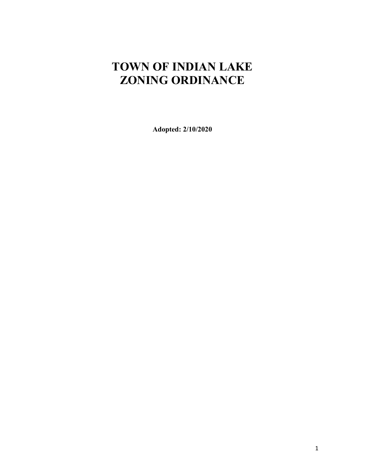# <span id="page-0-0"></span>**TOWN OF INDIAN LAKE ZONING ORDINANCE**

**Adopted: 2/10/2020**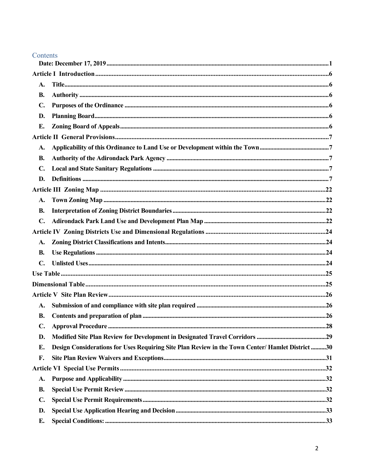## Contents

| <b>A.</b>      |                                                                                                  |     |  |  |
|----------------|--------------------------------------------------------------------------------------------------|-----|--|--|
| <b>B.</b>      |                                                                                                  |     |  |  |
| $\mathbf{C}$   |                                                                                                  |     |  |  |
| D.             |                                                                                                  |     |  |  |
| E.             |                                                                                                  |     |  |  |
|                |                                                                                                  |     |  |  |
| A.             |                                                                                                  |     |  |  |
| <b>B.</b>      |                                                                                                  |     |  |  |
| $\mathbf{C}$ . |                                                                                                  |     |  |  |
| D.             |                                                                                                  |     |  |  |
|                |                                                                                                  |     |  |  |
| A.             |                                                                                                  |     |  |  |
| <b>B.</b>      |                                                                                                  |     |  |  |
| C.             |                                                                                                  |     |  |  |
|                |                                                                                                  |     |  |  |
| A.             |                                                                                                  |     |  |  |
| <b>B.</b>      |                                                                                                  |     |  |  |
| C.             |                                                                                                  |     |  |  |
|                |                                                                                                  |     |  |  |
|                |                                                                                                  |     |  |  |
|                |                                                                                                  |     |  |  |
| A.             |                                                                                                  |     |  |  |
| <b>B.</b>      |                                                                                                  |     |  |  |
|                |                                                                                                  | .28 |  |  |
| D.             |                                                                                                  |     |  |  |
| E.             | Design Considerations for Uses Requiring Site Plan Review in the Town Center/ Hamlet District 30 |     |  |  |
| F.             |                                                                                                  |     |  |  |
|                |                                                                                                  |     |  |  |
| A.             |                                                                                                  |     |  |  |
| <b>B.</b>      |                                                                                                  |     |  |  |
| $\mathbf{C}$ . |                                                                                                  |     |  |  |
| D.             |                                                                                                  |     |  |  |
| E.             |                                                                                                  |     |  |  |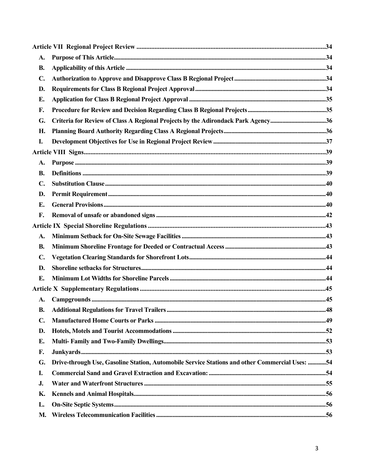| A.             |                                                                                                |  |  |  |  |
|----------------|------------------------------------------------------------------------------------------------|--|--|--|--|
| <b>B.</b>      |                                                                                                |  |  |  |  |
| $\mathbf{C}$ . |                                                                                                |  |  |  |  |
| D.             |                                                                                                |  |  |  |  |
| Е.             |                                                                                                |  |  |  |  |
| F.             |                                                                                                |  |  |  |  |
| G.             | Criteria for Review of Class A Regional Projects by the Adirondack Park Agency36               |  |  |  |  |
| Η.             |                                                                                                |  |  |  |  |
| I.             |                                                                                                |  |  |  |  |
|                |                                                                                                |  |  |  |  |
| A.             |                                                                                                |  |  |  |  |
| <b>B.</b>      |                                                                                                |  |  |  |  |
| $\mathbf{C}$ . |                                                                                                |  |  |  |  |
| D.             |                                                                                                |  |  |  |  |
| E.             |                                                                                                |  |  |  |  |
| F.             |                                                                                                |  |  |  |  |
|                |                                                                                                |  |  |  |  |
| A.             |                                                                                                |  |  |  |  |
| <b>B.</b>      |                                                                                                |  |  |  |  |
| $\mathbf{C}$ . |                                                                                                |  |  |  |  |
| D.             |                                                                                                |  |  |  |  |
| E.             |                                                                                                |  |  |  |  |
|                |                                                                                                |  |  |  |  |
| A.             |                                                                                                |  |  |  |  |
| <b>B.</b>      |                                                                                                |  |  |  |  |
| $\mathbf{C}$ . |                                                                                                |  |  |  |  |
| D.             |                                                                                                |  |  |  |  |
| E.             |                                                                                                |  |  |  |  |
| F.             |                                                                                                |  |  |  |  |
| G.             | Drive-through Use, Gasoline Station, Automobile Service Stations and other Commercial Uses: 54 |  |  |  |  |
| I.             |                                                                                                |  |  |  |  |
| J.             |                                                                                                |  |  |  |  |
| K.             |                                                                                                |  |  |  |  |
| L.             |                                                                                                |  |  |  |  |
| М.             |                                                                                                |  |  |  |  |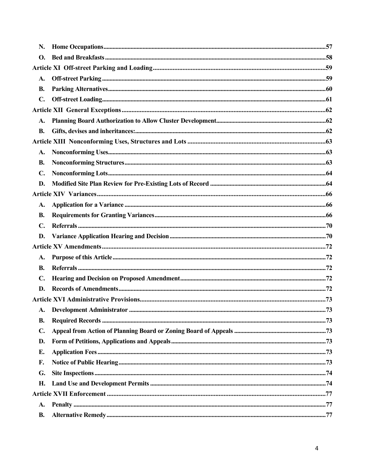| N.             |  |  |  |  |
|----------------|--|--|--|--|
| <b>O.</b>      |  |  |  |  |
|                |  |  |  |  |
| A.             |  |  |  |  |
| <b>B.</b>      |  |  |  |  |
| $\mathbf{C}$ . |  |  |  |  |
|                |  |  |  |  |
|                |  |  |  |  |
| <b>B.</b>      |  |  |  |  |
|                |  |  |  |  |
| A.             |  |  |  |  |
| <b>B.</b>      |  |  |  |  |
| $\mathbf{C}$ . |  |  |  |  |
| D.             |  |  |  |  |
|                |  |  |  |  |
| <b>A.</b>      |  |  |  |  |
| <b>B.</b>      |  |  |  |  |
| $\mathbf{C}$ . |  |  |  |  |
| D.             |  |  |  |  |
|                |  |  |  |  |
| A.             |  |  |  |  |
| B.             |  |  |  |  |
| $\mathbf{C}$ . |  |  |  |  |
| D.             |  |  |  |  |
|                |  |  |  |  |
| A.             |  |  |  |  |
| <b>B.</b>      |  |  |  |  |
| $\mathbf{C}$ . |  |  |  |  |
| D.             |  |  |  |  |
| E.             |  |  |  |  |
| F.             |  |  |  |  |
| G.             |  |  |  |  |
| Н.             |  |  |  |  |
|                |  |  |  |  |
| <b>A.</b>      |  |  |  |  |
| <b>B.</b>      |  |  |  |  |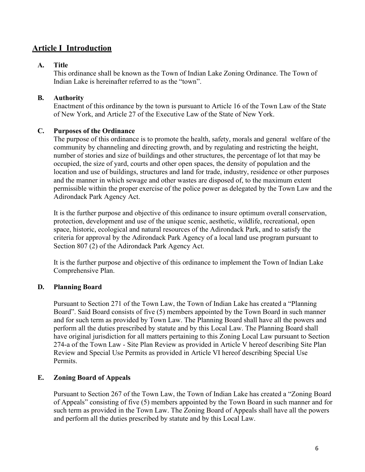# <span id="page-5-0"></span>**Article I Introduction**

#### <span id="page-5-1"></span>**A. Title**

This ordinance shall be known as the Town of Indian Lake Zoning Ordinance. The Town of Indian Lake is hereinafter referred to as the "town".

## <span id="page-5-2"></span>**B. Authority**

Enactment of this ordinance by the town is pursuant to Article 16 of the Town Law of the State of New York, and Article 27 of the Executive Law of the State of New York.

## <span id="page-5-3"></span>**C. Purposes of the Ordinance**

The purpose of this ordinance is to promote the health, safety, morals and general welfare of the community by channeling and directing growth, and by regulating and restricting the height, number of stories and size of buildings and other structures, the percentage of lot that may be occupied, the size of yard, courts and other open spaces, the density of population and the location and use of buildings, structures and land for trade, industry, residence or other purposes and the manner in which sewage and other wastes are disposed of, to the maximum extent permissible within the proper exercise of the police power as delegated by the Town Law and the Adirondack Park Agency Act.

It is the further purpose and objective of this ordinance to insure optimum overall conservation, protection, development and use of the unique scenic, aesthetic, wildlife, recreational, open space, historic, ecological and natural resources of the Adirondack Park, and to satisfy the criteria for approval by the Adirondack Park Agency of a local land use program pursuant to Section 807 (2) of the Adirondack Park Agency Act.

It is the further purpose and objective of this ordinance to implement the Town of Indian Lake Comprehensive Plan.

## <span id="page-5-4"></span>**D. Planning Board**

Pursuant to Section 271 of the Town Law, the Town of Indian Lake has created a "Planning Board". Said Board consists of five (5) members appointed by the Town Board in such manner and for such term as provided by Town Law. The Planning Board shall have all the powers and perform all the duties prescribed by statute and by this Local Law. The Planning Board shall have original jurisdiction for all matters pertaining to this Zoning Local Law pursuant to Section 274-a of the Town Law - Site Plan Review as provided in Article V hereof describing Site Plan Review and Special Use Permits as provided in Article VI hereof describing Special Use Permits.

## <span id="page-5-5"></span>**E. Zoning Board of Appeals**

Pursuant to Section 267 of the Town Law, the Town of Indian Lake has created a "Zoning Board of Appeals" consisting of five (5) members appointed by the Town Board in such manner and for such term as provided in the Town Law. The Zoning Board of Appeals shall have all the powers and perform all the duties prescribed by statute and by this Local Law.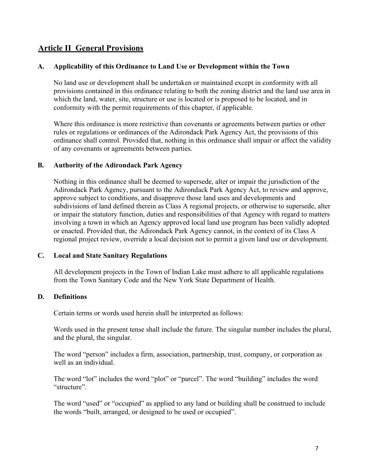# <span id="page-6-0"></span>**Article II General Provisions**

#### <span id="page-6-1"></span>**A. Applicability of this Ordinance to Land Use or Development within the Town**

No land use or development shall be undertaken or maintained except in conformity with all provisions contained in this ordinance relating to both the zoning district and the land use area in which the land, water, site, structure or use is located or is proposed to be located, and in conformity with the permit requirements of this chapter, if applicable.

Where this ordinance is more restrictive than covenants or agreements between parties or other rules or regulations or ordinances of the Adirondack Park Agency Act, the provisions of this ordinance shall control. Provided that, nothing in this ordinance shall impair or affect the validity of any covenants or agreements between parties.

#### <span id="page-6-2"></span>**B. Authority of the Adirondack Park Agency**

Nothing in this ordinance shall be deemed to supersede, alter or impair the jurisdiction of the Adirondack Park Agency, pursuant to the Adirondack Park Agency Act, to review and approve, approve subject to conditions, and disapprove those land uses and developments and subdivisions of land defined therein as Class A regional projects, or otherwise to supersede, alter or impair the statutory function, duties and responsibilities of that Agency with regard to matters involving a town in which an Agency approved local land use program has been validly adopted or enacted. Provided that, the Adirondack Park Agency cannot, in the context of its Class A regional project review, override a local decision not to permit a given land use or development.

#### <span id="page-6-3"></span>**C. Local and State Sanitary Regulations**

All development projects in the Town of Indian Lake must adhere to all applicable regulations from the Town Sanitary Code and the New York State Department of Health.

#### <span id="page-6-4"></span>**D. Definitions**

Certain terms or words used herein shall be interpreted as follows:

Words used in the present tense shall include the future. The singular number includes the plural, and the plural, the singular.

The word "person" includes a firm, association, partnership, trust, company, or corporation as well as an individual.

The word "lot" includes the word "plot" or "parcel". The word "building" includes the word "structure".

The word "used" or "occupied" as applied to any land or building shall be construed to include the words "built, arranged, or designed to be used or occupied".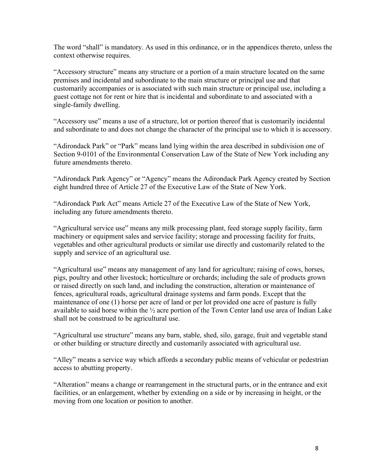The word "shall" is mandatory. As used in this ordinance, or in the appendices thereto, unless the context otherwise requires.

"Accessory structure" means any structure or a portion of a main structure located on the same premises and incidental and subordinate to the main structure or principal use and that customarily accompanies or is associated with such main structure or principal use, including a guest cottage not for rent or hire that is incidental and subordinate to and associated with a single-family dwelling.

"Accessory use" means a use of a structure, lot or portion thereof that is customarily incidental and subordinate to and does not change the character of the principal use to which it is accessory.

"Adirondack Park" or "Park" means land lying within the area described in subdivision one of Section 9-0101 of the Environmental Conservation Law of the State of New York including any future amendments thereto.

"Adirondack Park Agency" or "Agency" means the Adirondack Park Agency created by Section eight hundred three of Article 27 of the Executive Law of the State of New York.

"Adirondack Park Act" means Article 27 of the Executive Law of the State of New York, including any future amendments thereto.

"Agricultural service use" means any milk processing plant, feed storage supply facility, farm machinery or equipment sales and service facility; storage and processing facility for fruits, vegetables and other agricultural products or similar use directly and customarily related to the supply and service of an agricultural use.

"Agricultural use" means any management of any land for agriculture; raising of cows, horses, pigs, poultry and other livestock; horticulture or orchards; including the sale of products grown or raised directly on such land, and including the construction, alteration or maintenance of fences, agricultural roads, agricultural drainage systems and farm ponds. Except that the maintenance of one (1) horse per acre of land or per lot provided one acre of pasture is fully available to said horse within the ½ acre portion of the Town Center land use area of Indian Lake shall not be construed to be agricultural use.

"Agricultural use structure" means any barn, stable, shed, silo, garage, fruit and vegetable stand or other building or structure directly and customarily associated with agricultural use.

"Alley" means a service way which affords a secondary public means of vehicular or pedestrian access to abutting property.

"Alteration" means a change or rearrangement in the structural parts, or in the entrance and exit facilities, or an enlargement, whether by extending on a side or by increasing in height, or the moving from one location or position to another.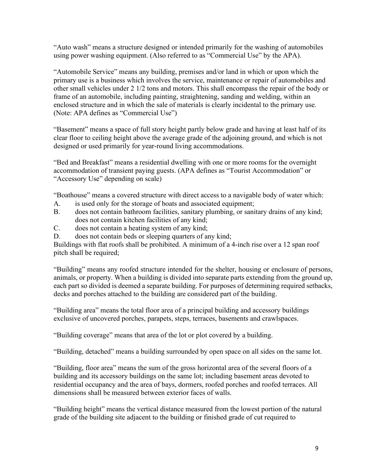"Auto wash" means a structure designed or intended primarily for the washing of automobiles using power washing equipment. (Also referred to as "Commercial Use" by the APA).

"Automobile Service" means any building, premises and/or land in which or upon which the primary use is a business which involves the service, maintenance or repair of automobiles and other small vehicles under 2 1/2 tons and motors. This shall encompass the repair of the body or frame of an automobile, including painting, straightening, sanding and welding, within an enclosed structure and in which the sale of materials is clearly incidental to the primary use. (Note: APA defines as "Commercial Use")

"Basement" means a space of full story height partly below grade and having at least half of its clear floor to ceiling height above the average grade of the adjoining ground, and which is not designed or used primarily for year-round living accommodations.

"Bed and Breakfast" means a residential dwelling with one or more rooms for the overnight accommodation of transient paying guests. (APA defines as "Tourist Accommodation" or "Accessory Use" depending on scale)

"Boathouse" means a covered structure with direct access to a navigable body of water which:

- A. is used only for the storage of boats and associated equipment;
- B. does not contain bathroom facilities, sanitary plumbing, or sanitary drains of any kind; does not contain kitchen facilities of any kind;
- C. does not contain a heating system of any kind;
- D. does not contain beds or sleeping quarters of any kind;

Buildings with flat roofs shall be prohibited. A minimum of a 4-inch rise over a 12 span roof pitch shall be required;

"Building" means any roofed structure intended for the shelter, housing or enclosure of persons, animals, or property. When a building is divided into separate parts extending from the ground up, each part so divided is deemed a separate building. For purposes of determining required setbacks, decks and porches attached to the building are considered part of the building.

"Building area" means the total floor area of a principal building and accessory buildings exclusive of uncovered porches, parapets, steps, terraces, basements and crawlspaces.

"Building coverage" means that area of the lot or plot covered by a building.

"Building, detached" means a building surrounded by open space on all sides on the same lot.

"Building, floor area" means the sum of the gross horizontal area of the several floors of a building and its accessory buildings on the same lot; including basement areas devoted to residential occupancy and the area of bays, dormers, roofed porches and roofed terraces. All dimensions shall be measured between exterior faces of walls.

"Building height" means the vertical distance measured from the lowest portion of the natural grade of the building site adjacent to the building or finished grade of cut required to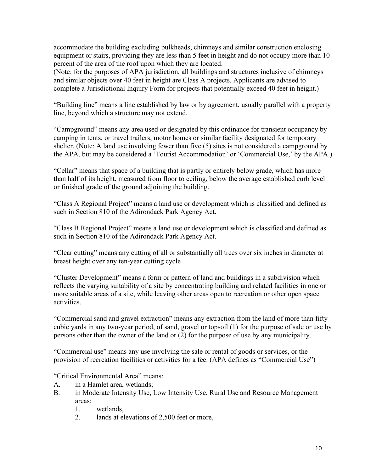accommodate the building excluding bulkheads, chimneys and similar construction enclosing equipment or stairs, providing they are less than 5 feet in height and do not occupy more than 10 percent of the area of the roof upon which they are located.

(Note: for the purposes of APA jurisdiction, all buildings and structures inclusive of chimneys and similar objects over 40 feet in height are Class A projects. Applicants are advised to complete a Jurisdictional Inquiry Form for projects that potentially exceed 40 feet in height.)

"Building line" means a line established by law or by agreement, usually parallel with a property line, beyond which a structure may not extend.

"Campground" means any area used or designated by this ordinance for transient occupancy by camping in tents, or travel trailers, motor homes or similar facility designated for temporary shelter. (Note: A land use involving fewer than five (5) sites is not considered a campground by the APA, but may be considered a 'Tourist Accommodation' or 'Commercial Use,' by the APA.)

"Cellar" means that space of a building that is partly or entirely below grade, which has more than half of its height, measured from floor to ceiling, below the average established curb level or finished grade of the ground adjoining the building.

"Class A Regional Project" means a land use or development which is classified and defined as such in Section 810 of the Adirondack Park Agency Act.

"Class B Regional Project" means a land use or development which is classified and defined as such in Section 810 of the Adirondack Park Agency Act.

"Clear cutting" means any cutting of all or substantially all trees over six inches in diameter at breast height over any ten-year cutting cycle

"Cluster Development" means a form or pattern of land and buildings in a subdivision which reflects the varying suitability of a site by concentrating building and related facilities in one or more suitable areas of a site, while leaving other areas open to recreation or other open space activities.

"Commercial sand and gravel extraction" means any extraction from the land of more than fifty cubic yards in any two-year period, of sand, gravel or topsoil (1) for the purpose of sale or use by persons other than the owner of the land or (2) for the purpose of use by any municipality.

"Commercial use" means any use involving the sale or rental of goods or services, or the provision of recreation facilities or activities for a fee. (APA defines as "Commercial Use")

"Critical Environmental Area" means:

- A. in a Hamlet area, wetlands;
- B. in Moderate Intensity Use, Low Intensity Use, Rural Use and Resource Management areas:
	- 1. wetlands,
	- 2. lands at elevations of 2,500 feet or more,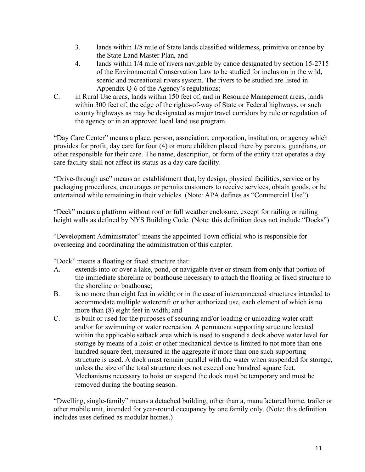- 3. lands within 1/8 mile of State lands classified wilderness, primitive or canoe by the State Land Master Plan, and
- 4. lands within 1/4 mile of rivers navigable by canoe designated by section 15-2715 of the Environmental Conservation Law to be studied for inclusion in the wild, scenic and recreational rivers system. The rivers to be studied are listed in Appendix Q-6 of the Agency's regulations;
- C. in Rural Use areas, lands within 150 feet of, and in Resource Management areas, lands within 300 feet of, the edge of the rights-of-way of State or Federal highways, or such county highways as may be designated as major travel corridors by rule or regulation of the agency or in an approved local land use program.

"Day Care Center" means a place, person, association, corporation, institution, or agency which provides for profit, day care for four (4) or more children placed there by parents, guardians, or other responsible for their care. The name, description, or form of the entity that operates a day care facility shall not affect its status as a day care facility.

"Drive-through use" means an establishment that, by design, physical facilities, service or by packaging procedures, encourages or permits customers to receive services, obtain goods, or be entertained while remaining in their vehicles. (Note: APA defines as "Commercial Use")

"Deck" means a platform without roof or full weather enclosure, except for railing or railing height walls as defined by NYS Building Code. (Note: this definition does not include "Docks")

"Development Administrator" means the appointed Town official who is responsible for overseeing and coordinating the administration of this chapter.

"Dock" means a floating or fixed structure that:

- A. extends into or over a lake, pond, or navigable river or stream from only that portion of the immediate shoreline or boathouse necessary to attach the floating or fixed structure to the shoreline or boathouse;
- B. is no more than eight feet in width; or in the case of interconnected structures intended to accommodate multiple watercraft or other authorized use, each element of which is no more than (8) eight feet in width; and
- C. is built or used for the purposes of securing and/or loading or unloading water craft and/or for swimming or water recreation. A permanent supporting structure located within the applicable setback area which is used to suspend a dock above water level for storage by means of a hoist or other mechanical device is limited to not more than one hundred square feet, measured in the aggregate if more than one such supporting structure is used. A dock must remain parallel with the water when suspended for storage, unless the size of the total structure does not exceed one hundred square feet. Mechanisms necessary to hoist or suspend the dock must be temporary and must be removed during the boating season.

"Dwelling, single-family" means a detached building, other than a, manufactured home, trailer or other mobile unit, intended for year-round occupancy by one family only. (Note: this definition includes uses defined as modular homes.)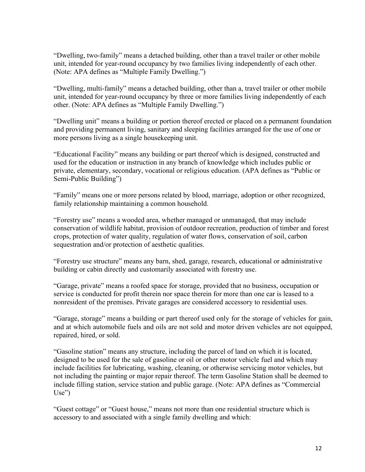"Dwelling, two-family" means a detached building, other than a travel trailer or other mobile unit, intended for year-round occupancy by two families living independently of each other. (Note: APA defines as "Multiple Family Dwelling.")

"Dwelling, multi-family" means a detached building, other than a, travel trailer or other mobile unit, intended for year-round occupancy by three or more families living independently of each other. (Note: APA defines as "Multiple Family Dwelling.")

"Dwelling unit" means a building or portion thereof erected or placed on a permanent foundation and providing permanent living, sanitary and sleeping facilities arranged for the use of one or more persons living as a single housekeeping unit.

"Educational Facility" means any building or part thereof which is designed, constructed and used for the education or instruction in any branch of knowledge which includes public or private, elementary, secondary, vocational or religious education. (APA defines as "Public or Semi-Public Building")

"Family" means one or more persons related by blood, marriage, adoption or other recognized, family relationship maintaining a common household.

"Forestry use" means a wooded area, whether managed or unmanaged, that may include conservation of wildlife habitat, provision of outdoor recreation, production of timber and forest crops, protection of water quality, regulation of water flows, conservation of soil, carbon sequestration and/or protection of aesthetic qualities.

"Forestry use structure" means any barn, shed, garage, research, educational or administrative building or cabin directly and customarily associated with forestry use.

"Garage, private" means a roofed space for storage, provided that no business, occupation or service is conducted for profit therein nor space therein for more than one car is leased to a nonresident of the premises. Private garages are considered accessory to residential uses.

"Garage, storage" means a building or part thereof used only for the storage of vehicles for gain, and at which automobile fuels and oils are not sold and motor driven vehicles are not equipped, repaired, hired, or sold.

"Gasoline station" means any structure, including the parcel of land on which it is located, designed to be used for the sale of gasoline or oil or other motor vehicle fuel and which may include facilities for lubricating, washing, cleaning, or otherwise servicing motor vehicles, but not including the painting or major repair thereof. The term Gasoline Station shall be deemed to include filling station, service station and public garage. (Note: APA defines as "Commercial Use")

"Guest cottage" or "Guest house," means not more than one residential structure which is accessory to and associated with a single family dwelling and which: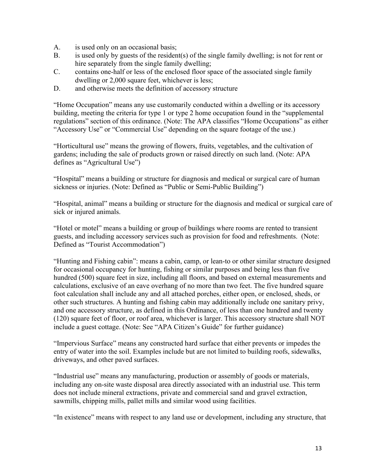- A. is used only on an occasional basis;
- B. is used only by guests of the resident(s) of the single family dwelling; is not for rent or hire separately from the single family dwelling;
- C. contains one-half or less of the enclosed floor space of the associated single family dwelling or 2,000 square feet, whichever is less;
- D. and otherwise meets the definition of accessory structure

"Home Occupation" means any use customarily conducted within a dwelling or its accessory building, meeting the criteria for type 1 or type 2 home occupation found in the "supplemental regulations" section of this ordinance. (Note: The APA classifies "Home Occupations" as either "Accessory Use" or "Commercial Use" depending on the square footage of the use.)

"Horticultural use" means the growing of flowers, fruits, vegetables, and the cultivation of gardens; including the sale of products grown or raised directly on such land. (Note: APA defines as "Agricultural Use")

"Hospital" means a building or structure for diagnosis and medical or surgical care of human sickness or injuries. (Note: Defined as "Public or Semi-Public Building")

"Hospital, animal" means a building or structure for the diagnosis and medical or surgical care of sick or injured animals.

"Hotel or motel" means a building or group of buildings where rooms are rented to transient guests, and including accessory services such as provision for food and refreshments. (Note: Defined as "Tourist Accommodation")

"Hunting and Fishing cabin": means a cabin, camp, or lean-to or other similar structure designed for occasional occupancy for hunting, fishing or similar purposes and being less than five hundred (500) square feet in size, including all floors, and based on external measurements and calculations, exclusive of an eave overhang of no more than two feet. The five hundred square foot calculation shall include any and all attached porches, either open, or enclosed, sheds, or other such structures. A hunting and fishing cabin may additionally include one sanitary privy, and one accessory structure, as defined in this Ordinance, of less than one hundred and twenty (120) square feet of floor, or roof area, whichever is larger. This accessory structure shall NOT include a guest cottage. (Note: See "APA Citizen's Guide" for further guidance)

"Impervious Surface" means any constructed hard surface that either prevents or impedes the entry of water into the soil. Examples include but are not limited to building roofs, sidewalks, driveways, and other paved surfaces.

"Industrial use" means any manufacturing, production or assembly of goods or materials, including any on-site waste disposal area directly associated with an industrial use. This term does not include mineral extractions, private and commercial sand and gravel extraction, sawmills, chipping mills, pallet mills and similar wood using facilities.

"In existence" means with respect to any land use or development, including any structure, that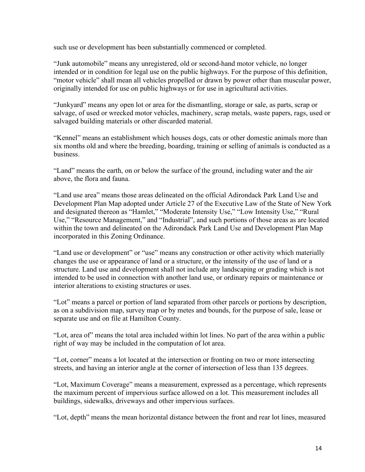such use or development has been substantially commenced or completed.

"Junk automobile" means any unregistered, old or second-hand motor vehicle, no longer intended or in condition for legal use on the public highways. For the purpose of this definition, "motor vehicle" shall mean all vehicles propelled or drawn by power other than muscular power, originally intended for use on public highways or for use in agricultural activities.

"Junkyard" means any open lot or area for the dismantling, storage or sale, as parts, scrap or salvage, of used or wrecked motor vehicles, machinery, scrap metals, waste papers, rags, used or salvaged building materials or other discarded material.

"Kennel" means an establishment which houses dogs, cats or other domestic animals more than six months old and where the breeding, boarding, training or selling of animals is conducted as a business.

"Land" means the earth, on or below the surface of the ground, including water and the air above, the flora and fauna.

"Land use area" means those areas delineated on the official Adirondack Park Land Use and Development Plan Map adopted under Article 27 of the Executive Law of the State of New York and designated thereon as "Hamlet," "Moderate Intensity Use," "Low Intensity Use," "Rural Use," "Resource Management," and "Industrial", and such portions of those areas as are located within the town and delineated on the Adirondack Park Land Use and Development Plan Map incorporated in this Zoning Ordinance.

"Land use or development" or "use" means any construction or other activity which materially changes the use or appearance of land or a structure, or the intensity of the use of land or a structure. Land use and development shall not include any landscaping or grading which is not intended to be used in connection with another land use, or ordinary repairs or maintenance or interior alterations to existing structures or uses.

"Lot" means a parcel or portion of land separated from other parcels or portions by description, as on a subdivision map, survey map or by metes and bounds, for the purpose of sale, lease or separate use and on file at Hamilton County.

"Lot, area of" means the total area included within lot lines. No part of the area within a public right of way may be included in the computation of lot area.

"Lot, corner" means a lot located at the intersection or fronting on two or more intersecting streets, and having an interior angle at the corner of intersection of less than 135 degrees.

"Lot, Maximum Coverage" means a measurement, expressed as a percentage, which represents the maximum percent of impervious surface allowed on a lot. This measurement includes all buildings, sidewalks, driveways and other impervious surfaces.

"Lot, depth" means the mean horizontal distance between the front and rear lot lines, measured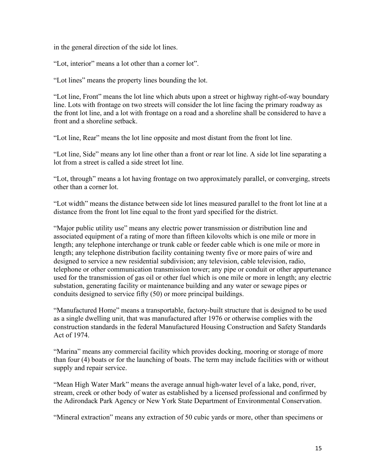in the general direction of the side lot lines.

"Lot, interior" means a lot other than a corner lot".

"Lot lines" means the property lines bounding the lot.

"Lot line, Front" means the lot line which abuts upon a street or highway right-of-way boundary line. Lots with frontage on two streets will consider the lot line facing the primary roadway as the front lot line, and a lot with frontage on a road and a shoreline shall be considered to have a front and a shoreline setback.

"Lot line, Rear" means the lot line opposite and most distant from the front lot line.

"Lot line, Side" means any lot line other than a front or rear lot line. A side lot line separating a lot from a street is called a side street lot line.

"Lot, through" means a lot having frontage on two approximately parallel, or converging, streets other than a corner lot.

"Lot width" means the distance between side lot lines measured parallel to the front lot line at a distance from the front lot line equal to the front yard specified for the district.

"Major public utility use" means any electric power transmission or distribution line and associated equipment of a rating of more than fifteen kilovolts which is one mile or more in length; any telephone interchange or trunk cable or feeder cable which is one mile or more in length; any telephone distribution facility containing twenty five or more pairs of wire and designed to service a new residential subdivision; any television, cable television, radio, telephone or other communication transmission tower; any pipe or conduit or other appurtenance used for the transmission of gas oil or other fuel which is one mile or more in length; any electric substation, generating facility or maintenance building and any water or sewage pipes or conduits designed to service fifty (50) or more principal buildings.

"Manufactured Home" means a transportable, factory-built structure that is designed to be used as a single dwelling unit, that was manufactured after 1976 or otherwise complies with the construction standards in the federal Manufactured Housing Construction and Safety Standards Act of 1974.

"Marina" means any commercial facility which provides docking, mooring or storage of more than four (4) boats or for the launching of boats. The term may include facilities with or without supply and repair service.

"Mean High Water Mark" means the average annual high-water level of a lake, pond, river, stream, creek or other body of water as established by a licensed professional and confirmed by the Adirondack Park Agency or New York State Department of Environmental Conservation.

"Mineral extraction" means any extraction of 50 cubic yards or more, other than specimens or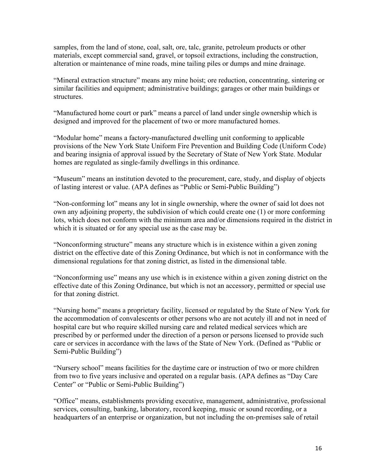samples, from the land of stone, coal, salt, ore, talc, granite, petroleum products or other materials, except commercial sand, gravel, or topsoil extractions, including the construction, alteration or maintenance of mine roads, mine tailing piles or dumps and mine drainage.

"Mineral extraction structure" means any mine hoist; ore reduction, concentrating, sintering or similar facilities and equipment; administrative buildings; garages or other main buildings or structures.

"Manufactured home court or park" means a parcel of land under single ownership which is designed and improved for the placement of two or more manufactured homes.

"Modular home" means a factory-manufactured dwelling unit conforming to applicable provisions of the New York State Uniform Fire Prevention and Building Code (Uniform Code) and bearing insignia of approval issued by the Secretary of State of New York State. Modular homes are regulated as single-family dwellings in this ordinance.

"Museum" means an institution devoted to the procurement, care, study, and display of objects of lasting interest or value. (APA defines as "Public or Semi-Public Building")

"Non-conforming lot" means any lot in single ownership, where the owner of said lot does not own any adjoining property, the subdivision of which could create one (1) or more conforming lots, which does not conform with the minimum area and/or dimensions required in the district in which it is situated or for any special use as the case may be.

"Nonconforming structure" means any structure which is in existence within a given zoning district on the effective date of this Zoning Ordinance, but which is not in conformance with the dimensional regulations for that zoning district, as listed in the dimensional table.

"Nonconforming use" means any use which is in existence within a given zoning district on the effective date of this Zoning Ordinance, but which is not an accessory, permitted or special use for that zoning district.

"Nursing home" means a proprietary facility, licensed or regulated by the State of New York for the accommodation of convalescents or other persons who are not acutely ill and not in need of hospital care but who require skilled nursing care and related medical services which are prescribed by or performed under the direction of a person or persons licensed to provide such care or services in accordance with the laws of the State of New York. (Defined as "Public or Semi-Public Building")

"Nursery school" means facilities for the daytime care or instruction of two or more children from two to five years inclusive and operated on a regular basis. (APA defines as "Day Care Center" or "Public or Semi-Public Building")

"Office" means, establishments providing executive, management, administrative, professional services, consulting, banking, laboratory, record keeping, music or sound recording, or a headquarters of an enterprise or organization, but not including the on-premises sale of retail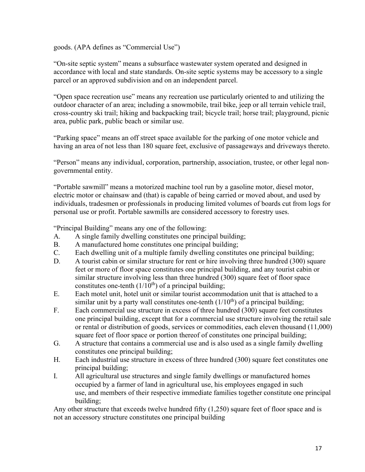goods. (APA defines as "Commercial Use")

"On-site septic system" means a subsurface wastewater system operated and designed in accordance with local and state standards. On-site septic systems may be accessory to a single parcel or an approved subdivision and on an independent parcel.

"Open space recreation use" means any recreation use particularly oriented to and utilizing the outdoor character of an area; including a snowmobile, trail bike, jeep or all terrain vehicle trail, cross-country ski trail; hiking and backpacking trail; bicycle trail; horse trail; playground, picnic area, public park, public beach or similar use.

"Parking space" means an off street space available for the parking of one motor vehicle and having an area of not less than 180 square feet, exclusive of passageways and driveways thereto.

"Person" means any individual, corporation, partnership, association, trustee, or other legal nongovernmental entity.

"Portable sawmill" means a motorized machine tool run by a gasoline motor, diesel motor, electric motor or chainsaw and (that) is capable of being carried or moved about, and used by individuals, tradesmen or professionals in producing limited volumes of boards cut from logs for personal use or profit. Portable sawmills are considered accessory to forestry uses.

"Principal Building" means any one of the following:

- A. A single family dwelling constitutes one principal building;
- B. A manufactured home constitutes one principal building;
- C. Each dwelling unit of a multiple family dwelling constitutes one principal building;
- D. A tourist cabin or similar structure for rent or hire involving three hundred (300) square feet or more of floor space constitutes one principal building, and any tourist cabin or similar structure involving less than three hundred (300) square feet of floor space constitutes one-tenth  $(1/10<sup>th</sup>)$  of a principal building;
- E. Each motel unit, hotel unit or similar tourist accommodation unit that is attached to a similar unit by a party wall constitutes one-tenth  $(1/10<sup>th</sup>)$  of a principal building;
- F. Each commercial use structure in excess of three hundred (300) square feet constitutes one principal building, except that for a commercial use structure involving the retail sale or rental or distribution of goods, services or commodities, each eleven thousand (11,000) square feet of floor space or portion thereof of constitutes one principal building;
- G. A structure that contains a commercial use and is also used as a single family dwelling constitutes one principal building;
- H. Each industrial use structure in excess of three hundred (300) square feet constitutes one principal building;
- I. All agricultural use structures and single family dwellings or manufactured homes occupied by a farmer of land in agricultural use, his employees engaged in such use, and members of their respective immediate families together constitute one principal building;

Any other structure that exceeds twelve hundred fifty (1,250) square feet of floor space and is not an accessory structure constitutes one principal building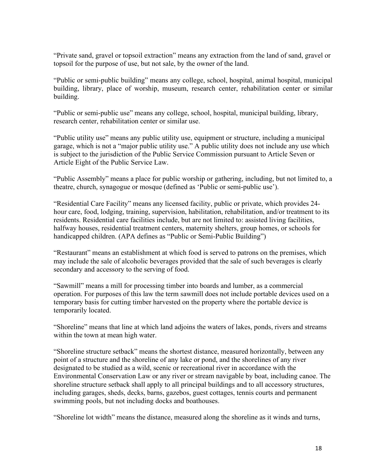"Private sand, gravel or topsoil extraction" means any extraction from the land of sand, gravel or topsoil for the purpose of use, but not sale, by the owner of the land.

"Public or semi-public building" means any college, school, hospital, animal hospital, municipal building, library, place of worship, museum, research center, rehabilitation center or similar building.

"Public or semi-public use" means any college, school, hospital, municipal building, library, research center, rehabilitation center or similar use.

"Public utility use" means any public utility use, equipment or structure, including a municipal garage, which is not a "major public utility use." A public utility does not include any use which is subject to the jurisdiction of the Public Service Commission pursuant to Article Seven or Article Eight of the Public Service Law.

"Public Assembly" means a place for public worship or gathering, including, but not limited to, a theatre, church, synagogue or mosque (defined as 'Public or semi-public use').

"Residential Care Facility" means any licensed facility, public or private, which provides 24 hour care, food, lodging, training, supervision, habilitation, rehabilitation, and/or treatment to its residents. Residential care facilities include, but are not limited to: assisted living facilities, halfway houses, residential treatment centers, maternity shelters, group homes, or schools for handicapped children. (APA defines as "Public or Semi-Public Building")

"Restaurant" means an establishment at which food is served to patrons on the premises, which may include the sale of alcoholic beverages provided that the sale of such beverages is clearly secondary and accessory to the serving of food.

"Sawmill" means a mill for processing timber into boards and lumber, as a commercial operation. For purposes of this law the term sawmill does not include portable devices used on a temporary basis for cutting timber harvested on the property where the portable device is temporarily located.

"Shoreline" means that line at which land adjoins the waters of lakes, ponds, rivers and streams within the town at mean high water.

"Shoreline structure setback" means the shortest distance, measured horizontally, between any point of a structure and the shoreline of any lake or pond, and the shorelines of any river designated to be studied as a wild, scenic or recreational river in accordance with the Environmental Conservation Law or any river or stream navigable by boat, including canoe. The shoreline structure setback shall apply to all principal buildings and to all accessory structures, including garages, sheds, decks, barns, gazebos, guest cottages, tennis courts and permanent swimming pools, but not including docks and boathouses.

"Shoreline lot width" means the distance, measured along the shoreline as it winds and turns,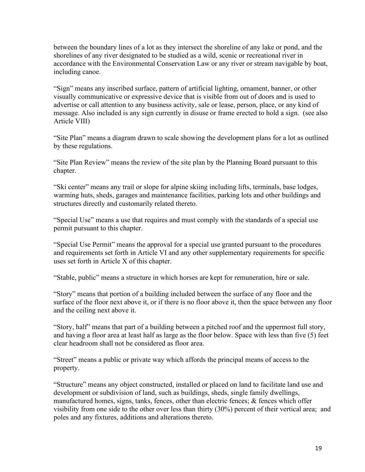between the boundary lines of a lot as they intersect the shoreline of any lake or pond, and the shorelines of any river designated to be studied as a wild, scenic or recreational river in accordance with the Environmental Conservation Law or any river or stream navigable by boat, including canoe.

"Sign" means any inscribed surface, pattern of artificial lighting, ornament, banner, or other visually communicative or expressive device that is visible from out of doors and is used to advertise or call attention to any business activity, sale or lease, person, place, or any kind of message. Also included is any sign currently in disuse or frame erected to hold a sign. (see also Article VIII)

"Site Plan" means a diagram drawn to scale showing the development plans for a lot as outlined by these regulations.

"Site Plan Review" means the review of the site plan by the Planning Board pursuant to this chapter.

"Ski center" means any trail or slope for alpine skiing including lifts, terminals, base lodges, warming huts, sheds, garages and maintenance facilities, parking lots and other buildings and structures directly and customarily related thereto.

"Special Use" means a use that requires and must comply with the standards of a special use permit pursuant to this chapter.

"Special Use Permit" means the approval for a special use granted pursuant to the procedures and requirements set forth in Article VI and any other supplementary requirements for specific uses set forth in Article X of this chapter.

"Stable, public" means a structure in which horses are kept for remuneration, hire or sale.

"Story" means that portion of a building included between the surface of any floor and the surface of the floor next above it, or if there is no floor above it, then the space between any floor and the ceiling next above it.

"Story, half" means that part of a building between a pitched roof and the uppermost full story, and having a floor area at least half as large as the floor below. Space with less than five (5) feet clear headroom shall not be considered as floor area.

"Street" means a public or private way which affords the principal means of access to the property.

"Structure" means any object constructed, installed or placed on land to facilitate land use and development or subdivision of land, such as buildings, sheds, single family dwellings, manufactured homes, signs, tanks, fences, other than electric fences; & fences which offer visibility from one side to the other over less than thirty (30%) percent of their vertical area; and poles and any fixtures, additions and alterations thereto.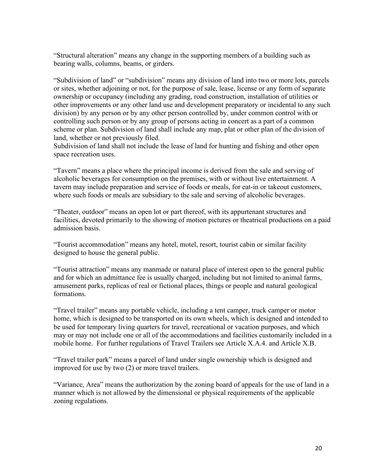"Structural alteration" means any change in the supporting members of a building such as bearing walls, columns, beams, or girders.

"Subdivision of land" or "subdivision" means any division of land into two or more lots, parcels or sites, whether adjoining or not, for the purpose of sale, lease, license or any form of separate ownership or occupancy (including any grading, road construction, installation of utilities or other improvements or any other land use and development preparatory or incidental to any such division) by any person or by any other person controlled by, under common control with or controlling such person or by any group of persons acting in concert as a part of a common scheme or plan. Subdivision of land shall include any map, plat or other plan of the division of land, whether or not previously filed.

Subdivision of land shall not include the lease of land for hunting and fishing and other open space recreation uses.

"Tavern" means a place where the principal income is derived from the sale and serving of alcoholic beverages for consumption on the premises, with or without live entertainment. A tavern may include preparation and service of foods or meals, for eat-in or takeout customers, where such foods or meals are subsidiary to the sale and serving of alcoholic beverages.

"Theater, outdoor" means an open lot or part thereof, with its appurtenant structures and facilities, devoted primarily to the showing of motion pictures or theatrical productions on a paid admission basis.

"Tourist accommodation" means any hotel, motel, resort, tourist cabin or similar facility designed to house the general public.

"Tourist attraction" means any manmade or natural place of interest open to the general public and for which an admittance fee is usually charged, including but not limited to animal farms, amusement parks, replicas of real or fictional places, things or people and natural geological formations.

"Travel trailer" means any portable vehicle, including a tent camper, truck camper or motor home, which is designed to be transported on its own wheels, which is designed and intended to be used for temporary living quarters for travel, recreational or vacation purposes, and which may or may not include one or all of the accommodations and facilities customarily included in a mobile home. For further regulations of Travel Trailers see Article X.A.4. and Article X.B.

"Travel trailer park" means a parcel of land under single ownership which is designed and improved for use by two (2) or more travel trailers.

"Variance, Area" means the authorization by the zoning board of appeals for the use of land in a manner which is not allowed by the dimensional or physical requirements of the applicable zoning regulations.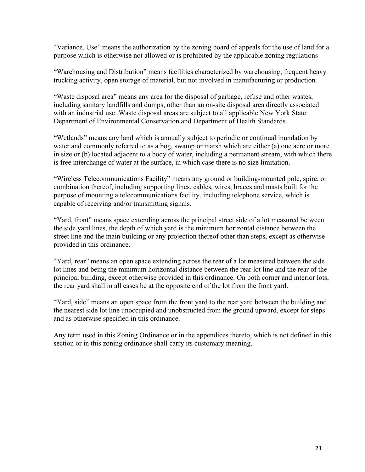"Variance, Use" means the authorization by the zoning board of appeals for the use of land for a purpose which is otherwise not allowed or is prohibited by the applicable zoning regulations

"Warehousing and Distribution" means facilities characterized by warehousing, frequent heavy trucking activity, open storage of material, but not involved in manufacturing or production.

"Waste disposal area" means any area for the disposal of garbage, refuse and other wastes, including sanitary landfills and dumps, other than an on-site disposal area directly associated with an industrial use. Waste disposal areas are subject to all applicable New York State Department of Environmental Conservation and Department of Health Standards.

"Wetlands" means any land which is annually subject to periodic or continual inundation by water and commonly referred to as a bog, swamp or marsh which are either (a) one acre or more in size or (b) located adjacent to a body of water, including a permanent stream, with which there is free interchange of water at the surface, in which case there is no size limitation.

"Wireless Telecommunications Facility" means any ground or building-mounted pole, spire, or combination thereof, including supporting lines, cables, wires, braces and masts built for the purpose of mounting a telecommunications facility, including telephone service, which is capable of receiving and/or transmitting signals.

"Yard, front" means space extending across the principal street side of a lot measured between the side yard lines, the depth of which yard is the minimum horizontal distance between the street line and the main building or any projection thereof other than steps, except as otherwise provided in this ordinance.

"Yard, rear" means an open space extending across the rear of a lot measured between the side lot lines and being the minimum horizontal distance between the rear lot line and the rear of the principal building, except otherwise provided in this ordinance. On both corner and interior lots, the rear yard shall in all cases be at the opposite end of the lot from the front yard.

"Yard, side" means an open space from the front yard to the rear yard between the building and the nearest side lot line unoccupied and unobstructed from the ground upward, except for steps and as otherwise specified in this ordinance.

Any term used in this Zoning Ordinance or in the appendices thereto, which is not defined in this section or in this zoning ordinance shall carry its customary meaning.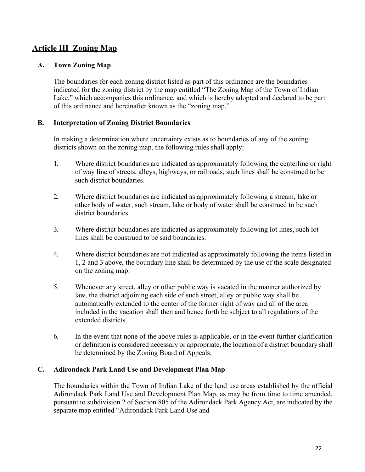# <span id="page-21-0"></span>**Article III Zoning Map**

#### <span id="page-21-1"></span>**A. Town Zoning Map**

The boundaries for each zoning district listed as part of this ordinance are the boundaries indicated for the zoning district by the map entitled "The Zoning Map of the Town of Indian Lake," which accompanies this ordinance, and which is hereby adopted and declared to be part of this ordinance and hereinafter known as the "zoning map."

#### <span id="page-21-2"></span>**B. Interpretation of Zoning District Boundaries**

In making a determination where uncertainty exists as to boundaries of any of the zoning districts shown on the zoning map, the following rules shall apply:

- 1. Where district boundaries are indicated as approximately following the centerline or right of way line of streets, alleys, highways, or railroads, such lines shall be construed to be such district boundaries.
- 2. Where district boundaries are indicated as approximately following a stream, lake or other body of water, such stream, lake or body of water shall be construed to be such district boundaries.
- 3. Where district boundaries are indicated as approximately following lot lines, such lot lines shall be construed to be said boundaries.
- 4. Where district boundaries are not indicated as approximately following the items listed in 1, 2 and 3 above, the boundary line shall be determined by the use of the scale designated on the zoning map.
- 5. Whenever any street, alley or other public way is vacated in the manner authorized by law, the district adjoining each side of such street, alley or public way shall be automatically extended to the center of the former right of way and all of the area included in the vacation shall then and hence forth be subject to all regulations of the extended districts.
- 6. In the event that none of the above rules is applicable, or in the event further clarification or definition is considered necessary or appropriate, the location of a district boundary shall be determined by the Zoning Board of Appeals.

#### <span id="page-21-3"></span>**C. Adirondack Park Land Use and Development Plan Map**

The boundaries within the Town of Indian Lake of the land use areas established by the official Adirondack Park Land Use and Development Plan Map, as may be from time to time amended, pursuant to subdivision 2 of Section 805 of the Adirondack Park Agency Act, are indicated by the separate map entitled "Adirondack Park Land Use and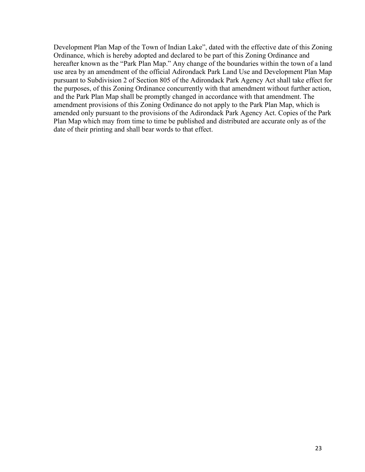Development Plan Map of the Town of Indian Lake", dated with the effective date of this Zoning Ordinance, which is hereby adopted and declared to be part of this Zoning Ordinance and hereafter known as the "Park Plan Map." Any change of the boundaries within the town of a land use area by an amendment of the official Adirondack Park Land Use and Development Plan Map pursuant to Subdivision 2 of Section 805 of the Adirondack Park Agency Act shall take effect for the purposes, of this Zoning Ordinance concurrently with that amendment without further action, and the Park Plan Map shall be promptly changed in accordance with that amendment. The amendment provisions of this Zoning Ordinance do not apply to the Park Plan Map, which is amended only pursuant to the provisions of the Adirondack Park Agency Act. Copies of the Park Plan Map which may from time to time be published and distributed are accurate only as of the date of their printing and shall bear words to that effect.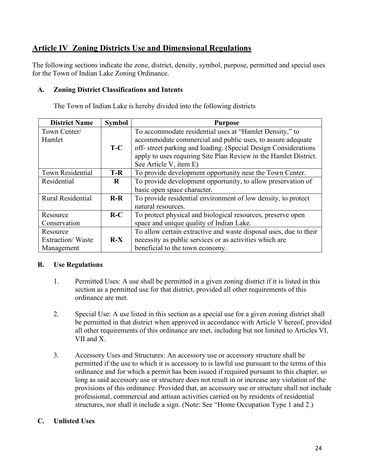# <span id="page-23-0"></span>**Article IV Zoning Districts Use and Dimensional Regulations**

The following sections indicate the zone, district, density, symbol, purpose, permitted and special uses for the Town of Indian Lake Zoning Ordinance.

#### <span id="page-23-1"></span>**A. Zoning District Classifications and Intents**

The Town of Indian Lake is hereby divided into the following districts

| <b>District Name</b> | <b>Symbol</b> | <b>Purpose</b>                                                    |
|----------------------|---------------|-------------------------------------------------------------------|
| Town Center/         |               | To accommodate residential uses at "Hamlet Density," to           |
| Hamlet               |               | accommodate commercial and public uses, to assure adequate        |
|                      | $T-C$         | off- street parking and loading. (Special Design Considerations   |
|                      |               | apply to uses requiring Site Plan Review in the Hamlet District.  |
|                      |               | See Article V, item E)                                            |
| Town Residential     | $T-R$         | To provide development opportunity near the Town Center.          |
| Residential          | $\bf R$       | To provide development opportunity, to allow preservation of      |
|                      |               | basic open space character.                                       |
| Rural Residential    | $R-R$         | To provide residential environment of low density, to protect     |
|                      |               | natural resources.                                                |
| Resource             | $R-C$         | To protect physical and biological resources, preserve open       |
| Conservation         |               | space and unique quality of Indian Lake.                          |
| Resource             |               | To allow certain extractive and waste disposal uses, due to their |
| Extraction/Waste     | $R-X$         | necessity as public services or as activities which are           |
| Management           |               | beneficial to the town economy.                                   |

## <span id="page-23-2"></span>**B. Use Regulations**

- 1. Permitted Uses: A use shall be permitted in a given zoning district if it is listed in this section as a permitted use for that district, provided all other requirements of this ordinance are met.
- 2. Special Use: A use listed in this section as a special use for a given zoning district shall be permitted in that district when approved in accordance with Article V hereof, provided all other requirements of this ordinance are met, including but not limited to Articles VI, VII and X.
- 3. Accessory Uses and Structures: An accessory use or accessory structure shall be permitted if the use to which it is accessory to is lawful use pursuant to the terms of this ordinance and for which a permit has been issued if required pursuant to this chapter, so long as said accessory use or structure does not result in or increase any violation of the provisions of this ordinance. Provided that, an accessory use or structure shall not include professional, commercial and artisan activities carried on by residents of residential structures, nor shall it include a sign. (Note: See "Home Occupation Type 1 and 2.)

#### <span id="page-23-3"></span>**C. Unlisted Uses**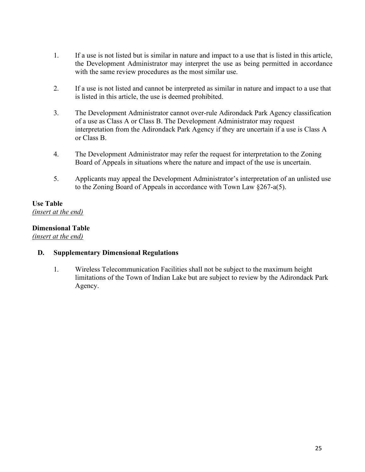- 1. If a use is not listed but is similar in nature and impact to a use that is listed in this article, the Development Administrator may interpret the use as being permitted in accordance with the same review procedures as the most similar use.
- 2. If a use is not listed and cannot be interpreted as similar in nature and impact to a use that is listed in this article, the use is deemed prohibited.
- 3. The Development Administrator cannot over-rule Adirondack Park Agency classification of a use as Class A or Class B. The Development Administrator may request interpretation from the Adirondack Park Agency if they are uncertain if a use is Class A or Class B.
- 4. The Development Administrator may refer the request for interpretation to the Zoning Board of Appeals in situations where the nature and impact of the use is uncertain.
- 5. Applicants may appeal the Development Administrator's interpretation of an unlisted use to the Zoning Board of Appeals in accordance with Town Law §267-a(5).

## <span id="page-24-0"></span>**Use Table** *(insert at the end)*

## <span id="page-24-1"></span>**Dimensional Table**

*(insert at the end)*

#### **D. Supplementary Dimensional Regulations**

1. Wireless Telecommunication Facilities shall not be subject to the maximum height limitations of the Town of Indian Lake but are subject to review by the Adirondack Park Agency.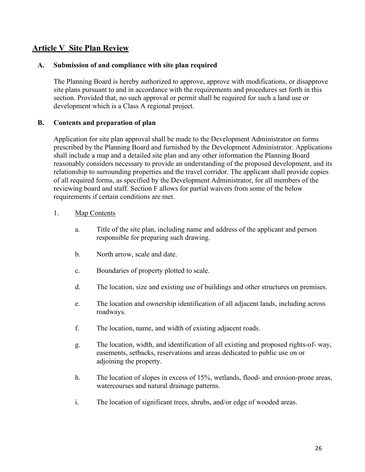## <span id="page-25-0"></span>**Article V Site Plan Review**

#### <span id="page-25-1"></span>**A. Submission of and compliance with site plan required**

The Planning Board is hereby authorized to approve, approve with modifications, or disapprove site plans pursuant to and in accordance with the requirements and procedures set forth in this section. Provided that, no such approval or permit shall be required for such a land use or development which is a Class A regional project.

#### <span id="page-25-2"></span>**B. Contents and preparation of plan**

Application for site plan approval shall be made to the Development Administrator on forms prescribed by the Planning Board and furnished by the Development Administrator. Applications shall include a map and a detailed site plan and any other information the Planning Board reasonably considers necessary to provide an understanding of the proposed development, and its relationship to surrounding properties and the travel corridor. The applicant shall provide copies of all required forms, as specified by the Development Administrator, for all members of the reviewing board and staff. Section F allows for partial waivers from some of the below requirements if certain conditions are met.

#### 1. Map Contents

- a. Title of the site plan, including name and address of the applicant and person responsible for preparing such drawing.
- b. North arrow, scale and date.
- c. Boundaries of property plotted to scale.
- d. The location, size and existing use of buildings and other structures on premises.
- e. The location and ownership identification of all adjacent lands, including across roadways.
- f. The location, name, and width of existing adjacent roads.
- g. The location, width, and identification of all existing and proposed rights-of- way, easements, setbacks, reservations and areas dedicated to public use on or adjoining the property.
- h. The location of slopes in excess of 15%, wetlands, flood- and erosion-prone areas, watercourses and natural drainage patterns.
- i. The location of significant trees, shrubs, and/or edge of wooded areas.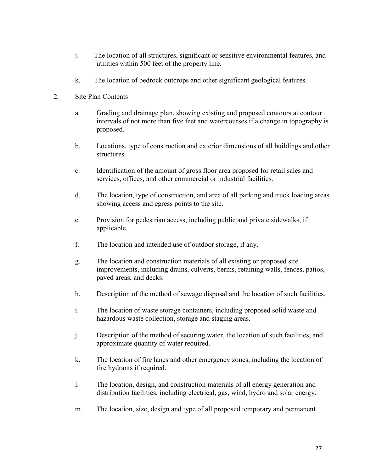- j. The location of all structures, significant or sensitive environmental features, and utilities within 500 feet of the property line.
- k. The location of bedrock outcrops and other significant geological features.

#### 2. Site Plan Contents

- a. Grading and drainage plan, showing existing and proposed contours at contour intervals of not more than five feet and watercourses if a change in topography is proposed.
- b. Locations, type of construction and exterior dimensions of all buildings and other structures.
- c. Identification of the amount of gross floor area proposed for retail sales and services, offices, and other commercial or industrial facilities.
- d. The location, type of construction, and area of all parking and truck loading areas showing access and egress points to the site.
- e. Provision for pedestrian access, including public and private sidewalks, if applicable.
- f. The location and intended use of outdoor storage, if any.
- g. The location and construction materials of all existing or proposed site improvements, including drains, culverts, berms, retaining walls, fences, patios, paved areas, and decks.
- h. Description of the method of sewage disposal and the location of such facilities.
- i. The location of waste storage containers, including proposed solid waste and hazardous waste collection, storage and staging areas.
- j. Description of the method of securing water, the location of such facilities, and approximate quantity of water required.
- k. The location of fire lanes and other emergency zones, including the location of fire hydrants if required.
- l. The location, design, and construction materials of all energy generation and distribution facilities, including electrical, gas, wind, hydro and solar energy.
- m. The location, size, design and type of all proposed temporary and permanent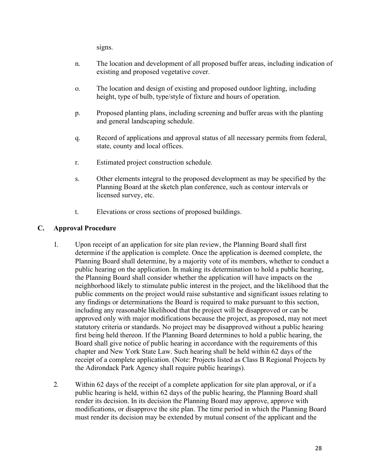signs.

- n. The location and development of all proposed buffer areas, including indication of existing and proposed vegetative cover.
- o. The location and design of existing and proposed outdoor lighting, including height, type of bulb, type/style of fixture and hours of operation.
- p. Proposed planting plans, including screening and buffer areas with the planting and general landscaping schedule.
- q. Record of applications and approval status of all necessary permits from federal, state, county and local offices.
- r. Estimated project construction schedule.
- s. Other elements integral to the proposed development as may be specified by the Planning Board at the sketch plan conference, such as contour intervals or licensed survey, etc.
- t. Elevations or cross sections of proposed buildings.

## <span id="page-27-0"></span>**C. Approval Procedure**

- 1. Upon receipt of an application for site plan review, the Planning Board shall first determine if the application is complete. Once the application is deemed complete, the Planning Board shall determine, by a majority vote of its members, whether to conduct a public hearing on the application. In making its determination to hold a public hearing, the Planning Board shall consider whether the application will have impacts on the neighborhood likely to stimulate public interest in the project, and the likelihood that the public comments on the project would raise substantive and significant issues relating to any findings or determinations the Board is required to make pursuant to this section, including any reasonable likelihood that the project will be disapproved or can be approved only with major modifications because the project, as proposed, may not meet statutory criteria or standards. No project may be disapproved without a public hearing first being held thereon. If the Planning Board determines to hold a public hearing, the Board shall give notice of public hearing in accordance with the requirements of this chapter and New York State Law. Such hearing shall be held within 62 days of the receipt of a complete application. (Note: Projects listed as Class B Regional Projects by the Adirondack Park Agency shall require public hearings).
- 2. Within 62 days of the receipt of a complete application for site plan approval, or if a public hearing is held, within 62 days of the public hearing, the Planning Board shall render its decision. In its decision the Planning Board may approve, approve with modifications, or disapprove the site plan. The time period in which the Planning Board must render its decision may be extended by mutual consent of the applicant and the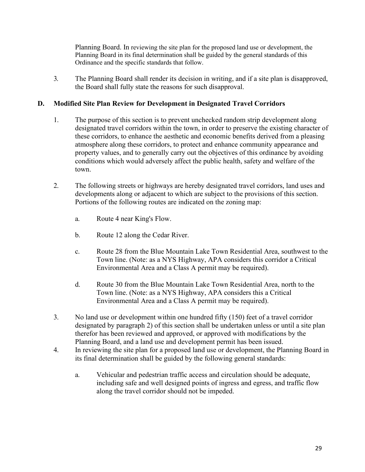Planning Board. In reviewing the site plan for the proposed land use or development, the Planning Board in its final determination shall be guided by the general standards of this Ordinance and the specific standards that follow.

3. The Planning Board shall render its decision in writing, and if a site plan is disapproved, the Board shall fully state the reasons for such disapproval.

#### <span id="page-28-0"></span>**D. Modified Site Plan Review for Development in Designated Travel Corridors**

- 1. The purpose of this section is to prevent unchecked random strip development along designated travel corridors within the town, in order to preserve the existing character of these corridors, to enhance the aesthetic and economic benefits derived from a pleasing atmosphere along these corridors, to protect and enhance community appearance and property values, and to generally carry out the objectives of this ordinance by avoiding conditions which would adversely affect the public health, safety and welfare of the town.
- 2. The following streets or highways are hereby designated travel corridors, land uses and developments along or adjacent to which are subject to the provisions of this section. Portions of the following routes are indicated on the zoning map:
	- a. Route 4 near King's Flow.
	- b. Route 12 along the Cedar River.
	- c. Route 28 from the Blue Mountain Lake Town Residential Area, southwest to the Town line. (Note: as a NYS Highway, APA considers this corridor a Critical Environmental Area and a Class A permit may be required).
	- d. Route 30 from the Blue Mountain Lake Town Residential Area, north to the Town line. (Note: as a NYS Highway, APA considers this a Critical Environmental Area and a Class A permit may be required).
- 3. No land use or development within one hundred fifty (150) feet of a travel corridor designated by paragraph 2) of this section shall be undertaken unless or until a site plan therefor has been reviewed and approved, or approved with modifications by the Planning Board, and a land use and development permit has been issued.
- 4. In reviewing the site plan for a proposed land use or development, the Planning Board in its final determination shall be guided by the following general standards:
	- a. Vehicular and pedestrian traffic access and circulation should be adequate, including safe and well designed points of ingress and egress, and traffic flow along the travel corridor should not be impeded.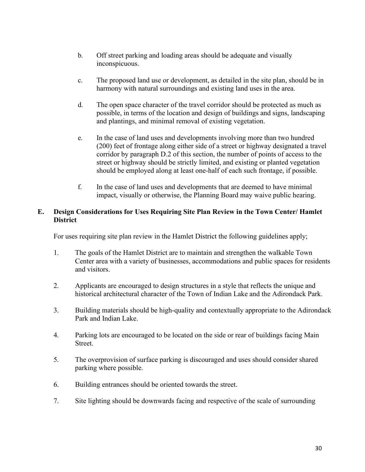- b. Off street parking and loading areas should be adequate and visually inconspicuous.
- c. The proposed land use or development, as detailed in the site plan, should be in harmony with natural surroundings and existing land uses in the area.
- d. The open space character of the travel corridor should be protected as much as possible, in terms of the location and design of buildings and signs, landscaping and plantings, and minimal removal of existing vegetation.
- e. In the case of land uses and developments involving more than two hundred (200) feet of frontage along either side of a street or highway designated a travel corridor by paragraph D.2 of this section, the number of points of access to the street or highway should be strictly limited, and existing or planted vegetation should be employed along at least one-half of each such frontage, if possible.
- f. In the case of land uses and developments that are deemed to have minimal impact, visually or otherwise, the Planning Board may waive public hearing.

#### <span id="page-29-0"></span>**E. Design Considerations for Uses Requiring Site Plan Review in the Town Center/ Hamlet District**

For uses requiring site plan review in the Hamlet District the following guidelines apply;

- 1. The goals of the Hamlet District are to maintain and strengthen the walkable Town Center area with a variety of businesses, accommodations and public spaces for residents and visitors.
- 2. Applicants are encouraged to design structures in a style that reflects the unique and historical architectural character of the Town of Indian Lake and the Adirondack Park.
- 3. Building materials should be high-quality and contextually appropriate to the Adirondack Park and Indian Lake.
- 4. Parking lots are encouraged to be located on the side or rear of buildings facing Main Street.
- 5. The overprovision of surface parking is discouraged and uses should consider shared parking where possible.
- 6. Building entrances should be oriented towards the street.
- 7. Site lighting should be downwards facing and respective of the scale of surrounding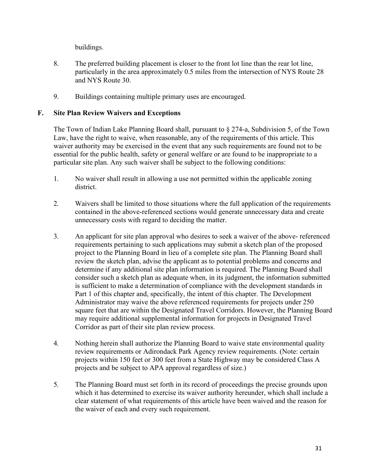buildings.

- 8. The preferred building placement is closer to the front lot line than the rear lot line, particularly in the area approximately 0.5 miles from the intersection of NYS Route 28 and NYS Route 30.
- 9. Buildings containing multiple primary uses are encouraged.

## <span id="page-30-0"></span>**F. Site Plan Review Waivers and Exceptions**

The Town of Indian Lake Planning Board shall, pursuant to § 274-a, Subdivision 5, of the Town Law, have the right to waive, when reasonable, any of the requirements of this article. This waiver authority may be exercised in the event that any such requirements are found not to be essential for the public health, safety or general welfare or are found to be inappropriate to a particular site plan. Any such waiver shall be subject to the following conditions:

- 1. No waiver shall result in allowing a use not permitted within the applicable zoning district.
- 2. Waivers shall be limited to those situations where the full application of the requirements contained in the above-referenced sections would generate unnecessary data and create unnecessary costs with regard to deciding the matter.
- 3. An applicant for site plan approval who desires to seek a waiver of the above- referenced requirements pertaining to such applications may submit a sketch plan of the proposed project to the Planning Board in lieu of a complete site plan. The Planning Board shall review the sketch plan, advise the applicant as to potential problems and concerns and determine if any additional site plan information is required. The Planning Board shall consider such a sketch plan as adequate when, in its judgment, the information submitted is sufficient to make a determination of compliance with the development standards in Part 1 of this chapter and, specifically, the intent of this chapter. The Development Administrator may waive the above referenced requirements for projects under 250 square feet that are within the Designated Travel Corridors. However, the Planning Board may require additional supplemental information for projects in Designated Travel Corridor as part of their site plan review process.
- 4. Nothing herein shall authorize the Planning Board to waive state environmental quality review requirements or Adirondack Park Agency review requirements. (Note: certain projects within 150 feet or 300 feet from a State Highway may be considered Class A projects and be subject to APA approval regardless of size.)
- 5. The Planning Board must set forth in its record of proceedings the precise grounds upon which it has determined to exercise its waiver authority hereunder, which shall include a clear statement of what requirements of this article have been waived and the reason for the waiver of each and every such requirement.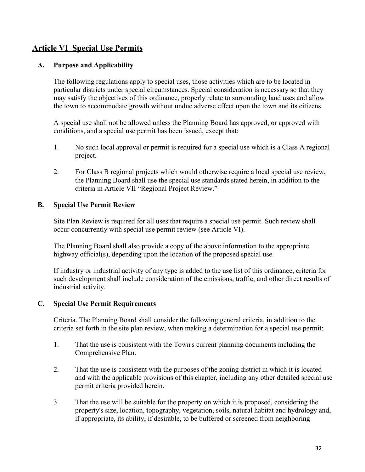# <span id="page-31-0"></span>**Article VI Special Use Permits**

#### <span id="page-31-1"></span>**A. Purpose and Applicability**

The following regulations apply to special uses, those activities which are to be located in particular districts under special circumstances. Special consideration is necessary so that they may satisfy the objectives of this ordinance, properly relate to surrounding land uses and allow the town to accommodate growth without undue adverse effect upon the town and its citizens.

A special use shall not be allowed unless the Planning Board has approved, or approved with conditions, and a special use permit has been issued, except that:

- 1. No such local approval or permit is required for a special use which is a Class A regional project.
- 2. For Class B regional projects which would otherwise require a local special use review, the Planning Board shall use the special use standards stated herein, in addition to the criteria in Article VII "Regional Project Review."

#### <span id="page-31-2"></span>**B. Special Use Permit Review**

Site Plan Review is required for all uses that require a special use permit. Such review shall occur concurrently with special use permit review (see Article VI).

The Planning Board shall also provide a copy of the above information to the appropriate highway official(s), depending upon the location of the proposed special use.

If industry or industrial activity of any type is added to the use list of this ordinance, criteria for such development shall include consideration of the emissions, traffic, and other direct results of industrial activity.

#### <span id="page-31-3"></span>**C. Special Use Permit Requirements**

Criteria. The Planning Board shall consider the following general criteria, in addition to the criteria set forth in the site plan review, when making a determination for a special use permit:

- 1. That the use is consistent with the Town's current planning documents including the Comprehensive Plan.
- 2. That the use is consistent with the purposes of the zoning district in which it is located and with the applicable provisions of this chapter, including any other detailed special use permit criteria provided herein.
- 3. That the use will be suitable for the property on which it is proposed, considering the property's size, location, topography, vegetation, soils, natural habitat and hydrology and, if appropriate, its ability, if desirable, to be buffered or screened from neighboring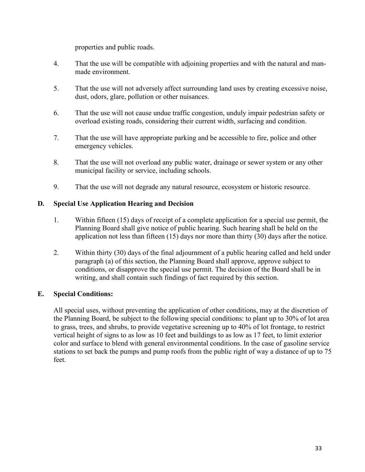properties and public roads.

- 4. That the use will be compatible with adjoining properties and with the natural and manmade environment.
- 5. That the use will not adversely affect surrounding land uses by creating excessive noise, dust, odors, glare, pollution or other nuisances.
- 6. That the use will not cause undue traffic congestion, unduly impair pedestrian safety or overload existing roads, considering their current width, surfacing and condition.
- 7. That the use will have appropriate parking and be accessible to fire, police and other emergency vehicles.
- 8. That the use will not overload any public water, drainage or sewer system or any other municipal facility or service, including schools.
- 9. That the use will not degrade any natural resource, ecosystem or historic resource.

## <span id="page-32-0"></span>**D. Special Use Application Hearing and Decision**

- 1. Within fifteen (15) days of receipt of a complete application for a special use permit, the Planning Board shall give notice of public hearing. Such hearing shall be held on the application not less than fifteen (15) days nor more than thirty (30) days after the notice.
- 2. Within thirty (30) days of the final adjournment of a public hearing called and held under paragraph (a) of this section, the Planning Board shall approve, approve subject to conditions, or disapprove the special use permit. The decision of the Board shall be in writing, and shall contain such findings of fact required by this section.

## <span id="page-32-1"></span>**E. Special Conditions:**

All special uses, without preventing the application of other conditions, may at the discretion of the Planning Board, be subject to the following special conditions: to plant up to 30% of lot area to grass, trees, and shrubs, to provide vegetative screening up to 40% of lot frontage, to restrict vertical height of signs to as low as 10 feet and buildings to as low as 17 feet, to limit exterior color and surface to blend with general environmental conditions. In the case of gasoline service stations to set back the pumps and pump roofs from the public right of way a distance of up to 75 feet.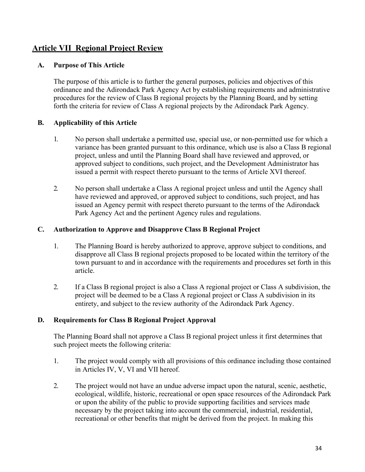# <span id="page-33-0"></span>**Article VII Regional Project Review**

#### <span id="page-33-1"></span>**A. Purpose of This Article**

The purpose of this article is to further the general purposes, policies and objectives of this ordinance and the Adirondack Park Agency Act by establishing requirements and administrative procedures for the review of Class B regional projects by the Planning Board, and by setting forth the criteria for review of Class A regional projects by the Adirondack Park Agency.

## <span id="page-33-2"></span>**B. Applicability of this Article**

- 1. No person shall undertake a permitted use, special use, or non-permitted use for which a variance has been granted pursuant to this ordinance, which use is also a Class B regional project, unless and until the Planning Board shall have reviewed and approved, or approved subject to conditions, such project, and the Development Administrator has issued a permit with respect thereto pursuant to the terms of Article XVI thereof.
- 2. No person shall undertake a Class A regional project unless and until the Agency shall have reviewed and approved, or approved subject to conditions, such project, and has issued an Agency permit with respect thereto pursuant to the terms of the Adirondack Park Agency Act and the pertinent Agency rules and regulations.

#### <span id="page-33-3"></span>**C. Authorization to Approve and Disapprove Class B Regional Project**

- 1. The Planning Board is hereby authorized to approve, approve subject to conditions, and disapprove all Class B regional projects proposed to be located within the territory of the town pursuant to and in accordance with the requirements and procedures set forth in this article.
- 2. If a Class B regional project is also a Class A regional project or Class A subdivision, the project will be deemed to be a Class A regional project or Class A subdivision in its entirety, and subject to the review authority of the Adirondack Park Agency.

#### <span id="page-33-4"></span>**D. Requirements for Class B Regional Project Approval**

The Planning Board shall not approve a Class B regional project unless it first determines that such project meets the following criteria:

- 1. The project would comply with all provisions of this ordinance including those contained in Articles IV, V, VI and VII hereof.
- 2. The project would not have an undue adverse impact upon the natural, scenic, aesthetic, ecological, wildlife, historic, recreational or open space resources of the Adirondack Park or upon the ability of the public to provide supporting facilities and services made necessary by the project taking into account the commercial, industrial, residential, recreational or other benefits that might be derived from the project. In making this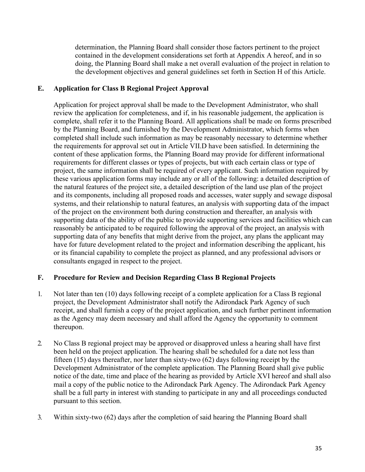determination, the Planning Board shall consider those factors pertinent to the project contained in the development considerations set forth at Appendix A hereof, and in so doing, the Planning Board shall make a net overall evaluation of the project in relation to the development objectives and general guidelines set forth in Section H of this Article.

#### <span id="page-34-0"></span>**E. Application for Class B Regional Project Approval**

Application for project approval shall be made to the Development Administrator, who shall review the application for completeness, and if, in his reasonable judgement, the application is complete, shall refer it to the Planning Board. All applications shall be made on forms prescribed by the Planning Board, and furnished by the Development Administrator, which forms when completed shall include such information as may be reasonably necessary to determine whether the requirements for approval set out in Article VII.D have been satisfied. In determining the content of these application forms, the Planning Board may provide for different informational requirements for different classes or types of projects, but with each certain class or type of project, the same information shall be required of every applicant. Such information required by these various application forms may include any or all of the following: a detailed description of the natural features of the project site, a detailed description of the land use plan of the project and its components, including all proposed roads and accesses, water supply and sewage disposal systems, and their relationship to natural features, an analysis with supporting data of the impact of the project on the environment both during construction and thereafter, an analysis with supporting data of the ability of the public to provide supporting services and facilities which can reasonably be anticipated to be required following the approval of the project, an analysis with supporting data of any benefits that might derive from the project, any plans the applicant may have for future development related to the project and information describing the applicant, his or its financial capability to complete the project as planned, and any professional advisors or consultants engaged in respect to the project.

#### <span id="page-34-1"></span>**F. Procedure for Review and Decision Regarding Class B Regional Projects**

- 1. Not later than ten (10) days following receipt of a complete application for a Class B regional project, the Development Administrator shall notify the Adirondack Park Agency of such receipt, and shall furnish a copy of the project application, and such further pertinent information as the Agency may deem necessary and shall afford the Agency the opportunity to comment thereupon.
- 2. No Class B regional project may be approved or disapproved unless a hearing shall have first been held on the project application. The hearing shall be scheduled for a date not less than fifteen (15) days thereafter, nor later than sixty-two (62) days following receipt by the Development Administrator of the complete application. The Planning Board shall give public notice of the date, time and place of the hearing as provided by Article XVI hereof and shall also mail a copy of the public notice to the Adirondack Park Agency. The Adirondack Park Agency shall be a full party in interest with standing to participate in any and all proceedings conducted pursuant to this section.
- 3. Within sixty-two (62) days after the completion of said hearing the Planning Board shall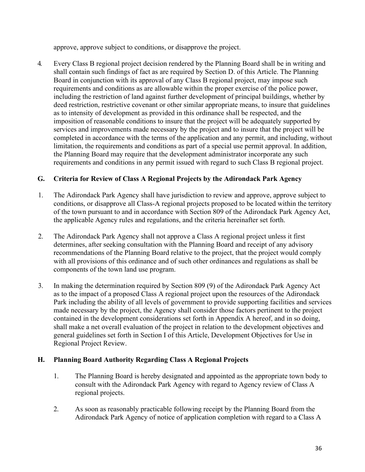approve, approve subject to conditions, or disapprove the project.

4. Every Class B regional project decision rendered by the Planning Board shall be in writing and shall contain such findings of fact as are required by Section D. of this Article. The Planning Board in conjunction with its approval of any Class B regional project, may impose such requirements and conditions as are allowable within the proper exercise of the police power, including the restriction of land against further development of principal buildings, whether by deed restriction, restrictive covenant or other similar appropriate means, to insure that guidelines as to intensity of development as provided in this ordinance shall be respected, and the imposition of reasonable conditions to insure that the project will be adequately supported by services and improvements made necessary by the project and to insure that the project will be completed in accordance with the terms of the application and any permit, and including, without limitation, the requirements and conditions as part of a special use permit approval. In addition, the Planning Board may require that the development administrator incorporate any such requirements and conditions in any permit issued with regard to such Class B regional project.

## <span id="page-35-0"></span>**G. Criteria for Review of Class A Regional Projects by the Adirondack Park Agency**

- 1. The Adirondack Park Agency shall have jurisdiction to review and approve, approve subject to conditions, or disapprove all Class-A regional projects proposed to be located within the territory of the town pursuant to and in accordance with Section 809 of the Adirondack Park Agency Act, the applicable Agency rules and regulations, and the criteria hereinafter set forth.
- 2. The Adirondack Park Agency shall not approve a Class A regional project unless it first determines, after seeking consultation with the Planning Board and receipt of any advisory recommendations of the Planning Board relative to the project, that the project would comply with all provisions of this ordinance and of such other ordinances and regulations as shall be components of the town land use program.
- 3. In making the determination required by Section 809 (9) of the Adirondack Park Agency Act as to the impact of a proposed Class A regional project upon the resources of the Adirondack Park including the ability of all levels of government to provide supporting facilities and services made necessary by the project, the Agency shall consider those factors pertinent to the project contained in the development considerations set forth in Appendix A hereof, and in so doing, shall make a net overall evaluation of the project in relation to the development objectives and general guidelines set forth in Section I of this Article, Development Objectives for Use in Regional Project Review.

#### <span id="page-35-1"></span>**H. Planning Board Authority Regarding Class A Regional Projects**

- 1. The Planning Board is hereby designated and appointed as the appropriate town body to consult with the Adirondack Park Agency with regard to Agency review of Class A regional projects.
- 2. As soon as reasonably practicable following receipt by the Planning Board from the Adirondack Park Agency of notice of application completion with regard to a Class A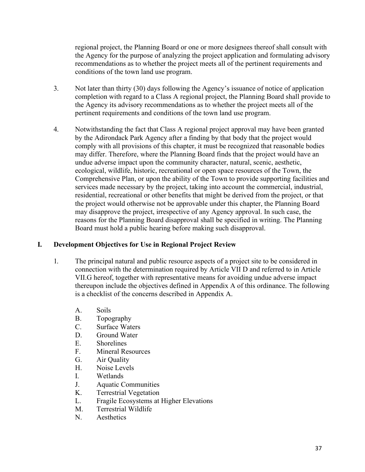regional project, the Planning Board or one or more designees thereof shall consult with the Agency for the purpose of analyzing the project application and formulating advisory recommendations as to whether the project meets all of the pertinent requirements and conditions of the town land use program.

- 3. Not later than thirty (30) days following the Agency's issuance of notice of application completion with regard to a Class A regional project, the Planning Board shall provide to the Agency its advisory recommendations as to whether the project meets all of the pertinent requirements and conditions of the town land use program.
- 4. Notwithstanding the fact that Class A regional project approval may have been granted by the Adirondack Park Agency after a finding by that body that the project would comply with all provisions of this chapter, it must be recognized that reasonable bodies may differ. Therefore, where the Planning Board finds that the project would have an undue adverse impact upon the community character, natural, scenic, aesthetic, ecological, wildlife, historic, recreational or open space resources of the Town, the Comprehensive Plan, or upon the ability of the Town to provide supporting facilities and services made necessary by the project, taking into account the commercial, industrial, residential, recreational or other benefits that might be derived from the project, or that the project would otherwise not be approvable under this chapter, the Planning Board may disapprove the project, irrespective of any Agency approval. In such case, the reasons for the Planning Board disapproval shall be specified in writing. The Planning Board must hold a public hearing before making such disapproval.

### **I. Development Objectives for Use in Regional Project Review**

- 1. The principal natural and public resource aspects of a project site to be considered in connection with the determination required by Article VII D and referred to in Article VII.G hereof, together with representative means for avoiding undue adverse impact thereupon include the objectives defined in Appendix A of this ordinance. The following is a checklist of the concerns described in Appendix A.
	- A. Soils
	- B. Topography
	- C. Surface Waters
	- D. Ground Water
	- E. Shorelines
	- F. Mineral Resources
	- G. Air Quality
	- H. Noise Levels
	- I. Wetlands
	- J. Aquatic Communities
	- K. Terrestrial Vegetation
	- L. Fragile Ecosystems at Higher Elevations
	- M. Terrestrial Wildlife
	- N. Aesthetics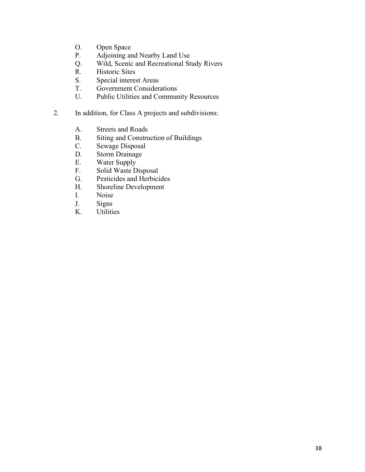- O. Open Space
- P. Adjoining and Nearby Land Use
- Q. Wild, Scenic and Recreational Study Rivers
- R. Historic Sites<br>S. Special interes
- S. Special interest Areas<br>T. Government Consideration
- T. Government Considerations<br>U. Public Utilities and Commun
- Public Utilities and Community Resources
- 2. In addition, for Class A projects and subdivisions:
	- A. Streets and Roads
	- B. Siting and Construction of Buildings
	- C. Sewage Disposal
	- D. Storm Drainage<br>E. Water Supply
	- Water Supply
	- F. Solid Waste Disposal
	- G. Pesticides and Herbicides
	- H. Shoreline Development
	- I. Noise
	- J. Signs
	- K. Utilities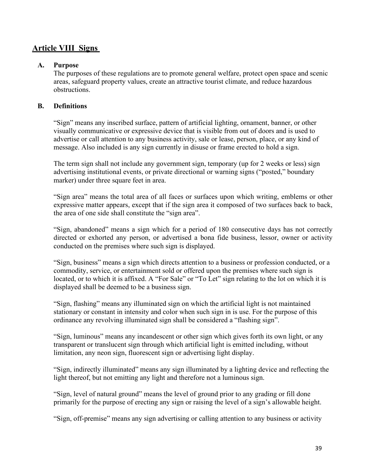# **Article VIII Signs**

#### **A. Purpose**

The purposes of these regulations are to promote general welfare, protect open space and scenic areas, safeguard property values, create an attractive tourist climate, and reduce hazardous obstructions.

### **B. Definitions**

"Sign" means any inscribed surface, pattern of artificial lighting, ornament, banner, or other visually communicative or expressive device that is visible from out of doors and is used to advertise or call attention to any business activity, sale or lease, person, place, or any kind of message. Also included is any sign currently in disuse or frame erected to hold a sign.

The term sign shall not include any government sign, temporary (up for 2 weeks or less) sign advertising institutional events, or private directional or warning signs ("posted," boundary marker) under three square feet in area.

"Sign area" means the total area of all faces or surfaces upon which writing, emblems or other expressive matter appears, except that if the sign area it composed of two surfaces back to back, the area of one side shall constitute the "sign area".

"Sign, abandoned" means a sign which for a period of 180 consecutive days has not correctly directed or exhorted any person, or advertised a bona fide business, lessor, owner or activity conducted on the premises where such sign is displayed.

"Sign, business" means a sign which directs attention to a business or profession conducted, or a commodity, service, or entertainment sold or offered upon the premises where such sign is located, or to which it is affixed. A "For Sale" or "To Let" sign relating to the lot on which it is displayed shall be deemed to be a business sign.

"Sign, flashing" means any illuminated sign on which the artificial light is not maintained stationary or constant in intensity and color when such sign in is use. For the purpose of this ordinance any revolving illuminated sign shall be considered a "flashing sign".

"Sign, luminous" means any incandescent or other sign which gives forth its own light, or any transparent or translucent sign through which artificial light is emitted including, without limitation, any neon sign, fluorescent sign or advertising light display.

"Sign, indirectly illuminated" means any sign illuminated by a lighting device and reflecting the light thereof, but not emitting any light and therefore not a luminous sign.

"Sign, level of natural ground" means the level of ground prior to any grading or fill done primarily for the purpose of erecting any sign or raising the level of a sign's allowable height.

"Sign, off-premise" means any sign advertising or calling attention to any business or activity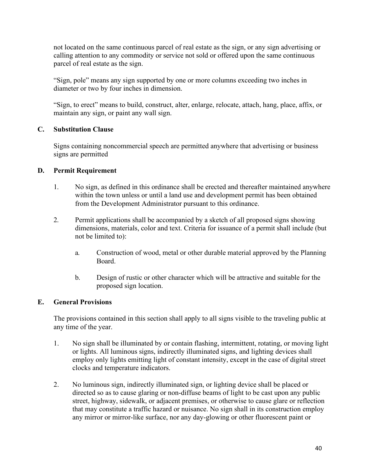not located on the same continuous parcel of real estate as the sign, or any sign advertising or calling attention to any commodity or service not sold or offered upon the same continuous parcel of real estate as the sign.

"Sign, pole" means any sign supported by one or more columns exceeding two inches in diameter or two by four inches in dimension.

"Sign, to erect" means to build, construct, alter, enlarge, relocate, attach, hang, place, affix, or maintain any sign, or paint any wall sign.

## **C. Substitution Clause**

Signs containing noncommercial speech are permitted anywhere that advertising or business signs are permitted

### **D. Permit Requirement**

- 1. No sign, as defined in this ordinance shall be erected and thereafter maintained anywhere within the town unless or until a land use and development permit has been obtained from the Development Administrator pursuant to this ordinance.
- 2. Permit applications shall be accompanied by a sketch of all proposed signs showing dimensions, materials, color and text. Criteria for issuance of a permit shall include (but not be limited to):
	- a. Construction of wood, metal or other durable material approved by the Planning Board.
	- b. Design of rustic or other character which will be attractive and suitable for the proposed sign location.

### **E. General Provisions**

The provisions contained in this section shall apply to all signs visible to the traveling public at any time of the year.

- 1. No sign shall be illuminated by or contain flashing, intermittent, rotating, or moving light or lights. All luminous signs, indirectly illuminated signs, and lighting devices shall employ only lights emitting light of constant intensity, except in the case of digital street clocks and temperature indicators.
- 2. No luminous sign, indirectly illuminated sign, or lighting device shall be placed or directed so as to cause glaring or non-diffuse beams of light to be cast upon any public street, highway, sidewalk, or adjacent premises, or otherwise to cause glare or reflection that may constitute a traffic hazard or nuisance. No sign shall in its construction employ any mirror or mirror-like surface, nor any day-glowing or other fluorescent paint or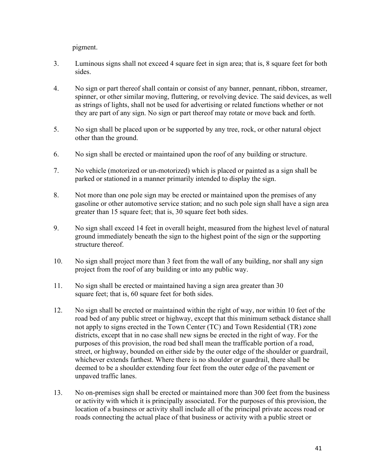pigment.

- 3. Luminous signs shall not exceed 4 square feet in sign area; that is, 8 square feet for both sides.
- 4. No sign or part thereof shall contain or consist of any banner, pennant, ribbon, streamer, spinner, or other similar moving, fluttering, or revolving device. The said devices, as well as strings of lights, shall not be used for advertising or related functions whether or not they are part of any sign. No sign or part thereof may rotate or move back and forth.
- 5. No sign shall be placed upon or be supported by any tree, rock, or other natural object other than the ground.
- 6. No sign shall be erected or maintained upon the roof of any building or structure.
- 7. No vehicle (motorized or un-motorized) which is placed or painted as a sign shall be parked or stationed in a manner primarily intended to display the sign.
- 8. Not more than one pole sign may be erected or maintained upon the premises of any gasoline or other automotive service station; and no such pole sign shall have a sign area greater than 15 square feet; that is, 30 square feet both sides.
- 9. No sign shall exceed 14 feet in overall height, measured from the highest level of natural ground immediately beneath the sign to the highest point of the sign or the supporting structure thereof.
- 10. No sign shall project more than 3 feet from the wall of any building, nor shall any sign project from the roof of any building or into any public way.
- 11. No sign shall be erected or maintained having a sign area greater than 30 square feet; that is, 60 square feet for both sides.
- 12. No sign shall be erected or maintained within the right of way, nor within 10 feet of the road bed of any public street or highway, except that this minimum setback distance shall not apply to signs erected in the Town Center (TC) and Town Residential (TR) zone districts, except that in no case shall new signs be erected in the right of way. For the purposes of this provision, the road bed shall mean the trafficable portion of a road, street, or highway, bounded on either side by the outer edge of the shoulder or guardrail, whichever extends farthest. Where there is no shoulder or guardrail, there shall be deemed to be a shoulder extending four feet from the outer edge of the pavement or unpaved traffic lanes.
- 13. No on-premises sign shall be erected or maintained more than 300 feet from the business or activity with which it is principally associated. For the purposes of this provision, the location of a business or activity shall include all of the principal private access road or roads connecting the actual place of that business or activity with a public street or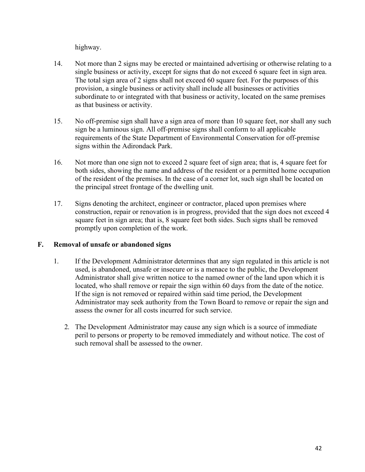highway.

- 14. Not more than 2 signs may be erected or maintained advertising or otherwise relating to a single business or activity, except for signs that do not exceed 6 square feet in sign area. The total sign area of 2 signs shall not exceed 60 square feet. For the purposes of this provision, a single business or activity shall include all businesses or activities subordinate to or integrated with that business or activity, located on the same premises as that business or activity.
- 15. No off-premise sign shall have a sign area of more than 10 square feet, nor shall any such sign be a luminous sign. All off-premise signs shall conform to all applicable requirements of the State Department of Environmental Conservation for off-premise signs within the Adirondack Park.
- 16. Not more than one sign not to exceed 2 square feet of sign area; that is, 4 square feet for both sides, showing the name and address of the resident or a permitted home occupation of the resident of the premises. In the case of a corner lot, such sign shall be located on the principal street frontage of the dwelling unit.
- 17. Signs denoting the architect, engineer or contractor, placed upon premises where construction, repair or renovation is in progress, provided that the sign does not exceed 4 square feet in sign area; that is, 8 square feet both sides. Such signs shall be removed promptly upon completion of the work.

## **F. Removal of unsafe or abandoned signs**

- 1. If the Development Administrator determines that any sign regulated in this article is not used, is abandoned, unsafe or insecure or is a menace to the public, the Development Administrator shall give written notice to the named owner of the land upon which it is located, who shall remove or repair the sign within 60 days from the date of the notice. If the sign is not removed or repaired within said time period, the Development Administrator may seek authority from the Town Board to remove or repair the sign and assess the owner for all costs incurred for such service.
	- 2. The Development Administrator may cause any sign which is a source of immediate peril to persons or property to be removed immediately and without notice. The cost of such removal shall be assessed to the owner.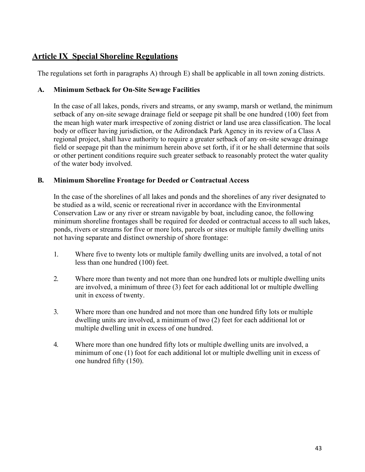# **Article IX Special Shoreline Regulations**

The regulations set forth in paragraphs A) through E) shall be applicable in all town zoning districts.

### **A. Minimum Setback for On-Site Sewage Facilities**

In the case of all lakes, ponds, rivers and streams, or any swamp, marsh or wetland, the minimum setback of any on-site sewage drainage field or seepage pit shall be one hundred (100) feet from the mean high water mark irrespective of zoning district or land use area classification. The local body or officer having jurisdiction, or the Adirondack Park Agency in its review of a Class A regional project, shall have authority to require a greater setback of any on-site sewage drainage field or seepage pit than the minimum herein above set forth, if it or he shall determine that soils or other pertinent conditions require such greater setback to reasonably protect the water quality of the water body involved.

### **B. Minimum Shoreline Frontage for Deeded or Contractual Access**

In the case of the shorelines of all lakes and ponds and the shorelines of any river designated to be studied as a wild, scenic or recreational river in accordance with the Environmental Conservation Law or any river or stream navigable by boat, including canoe, the following minimum shoreline frontages shall be required for deeded or contractual access to all such lakes, ponds, rivers or streams for five or more lots, parcels or sites or multiple family dwelling units not having separate and distinct ownership of shore frontage:

- 1. Where five to twenty lots or multiple family dwelling units are involved, a total of not less than one hundred (100) feet.
- 2. Where more than twenty and not more than one hundred lots or multiple dwelling units are involved, a minimum of three (3) feet for each additional lot or multiple dwelling unit in excess of twenty.
- 3. Where more than one hundred and not more than one hundred fifty lots or multiple dwelling units are involved, a minimum of two (2) feet for each additional lot or multiple dwelling unit in excess of one hundred.
- 4. Where more than one hundred fifty lots or multiple dwelling units are involved, a minimum of one (1) foot for each additional lot or multiple dwelling unit in excess of one hundred fifty (150).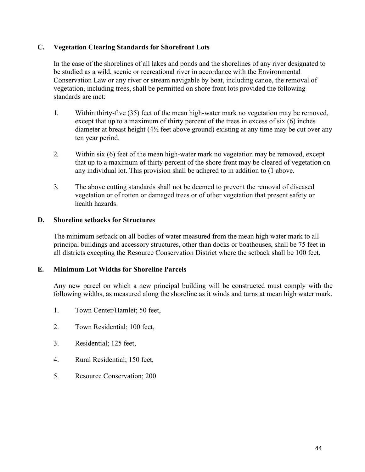### **C. Vegetation Clearing Standards for Shorefront Lots**

In the case of the shorelines of all lakes and ponds and the shorelines of any river designated to be studied as a wild, scenic or recreational river in accordance with the Environmental Conservation Law or any river or stream navigable by boat, including canoe, the removal of vegetation, including trees, shall be permitted on shore front lots provided the following standards are met:

- 1. Within thirty-five (35) feet of the mean high-water mark no vegetation may be removed, except that up to a maximum of thirty percent of the trees in excess of six (6) inches diameter at breast height (4½ feet above ground) existing at any time may be cut over any ten year period.
- 2. Within six (6) feet of the mean high-water mark no vegetation may be removed, except that up to a maximum of thirty percent of the shore front may be cleared of vegetation on any individual lot. This provision shall be adhered to in addition to (1 above.
- 3. The above cutting standards shall not be deemed to prevent the removal of diseased vegetation or of rotten or damaged trees or of other vegetation that present safety or health hazards.

### **D. Shoreline setbacks for Structures**

The minimum setback on all bodies of water measured from the mean high water mark to all principal buildings and accessory structures, other than docks or boathouses, shall be 75 feet in all districts excepting the Resource Conservation District where the setback shall be 100 feet.

### **E. Minimum Lot Widths for Shoreline Parcels**

Any new parcel on which a new principal building will be constructed must comply with the following widths, as measured along the shoreline as it winds and turns at mean high water mark.

- 1. Town Center/Hamlet; 50 feet,
- 2. Town Residential; 100 feet,
- 3. Residential; 125 feet,
- 4. Rural Residential; 150 feet,
- 5. Resource Conservation; 200.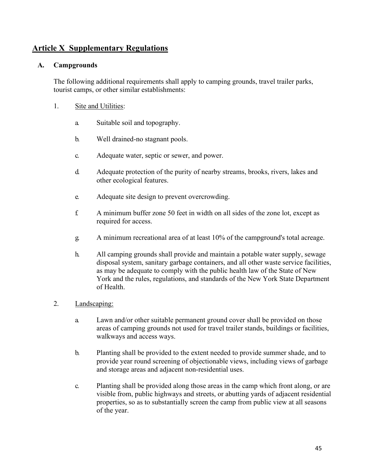# **Article X Supplementary Regulations**

### **A. Campgrounds**

The following additional requirements shall apply to camping grounds, travel trailer parks, tourist camps, or other similar establishments:

- 1. Site and Utilities:
	- a. Suitable soil and topography.
	- b. Well drained-no stagnant pools.
	- c. Adequate water, septic or sewer, and power.
	- d. Adequate protection of the purity of nearby streams, brooks, rivers, lakes and other ecological features.
	- e. Adequate site design to prevent overcrowding.
	- f. A minimum buffer zone 50 feet in width on all sides of the zone lot, except as required for access.
	- g. A minimum recreational area of at least 10% of the campground's total acreage.
	- h. All camping grounds shall provide and maintain a potable water supply, sewage disposal system, sanitary garbage containers, and all other waste service facilities, as may be adequate to comply with the public health law of the State of New York and the rules, regulations, and standards of the New York State Department of Health.

#### 2. Landscaping:

- a. Lawn and/or other suitable permanent ground cover shall be provided on those areas of camping grounds not used for travel trailer stands, buildings or facilities, walkways and access ways.
- b. Planting shall be provided to the extent needed to provide summer shade, and to provide year round screening of objectionable views, including views of garbage and storage areas and adjacent non-residential uses.
- c. Planting shall be provided along those areas in the camp which front along, or are visible from, public highways and streets, or abutting yards of adjacent residential properties, so as to substantially screen the camp from public view at all seasons of the year.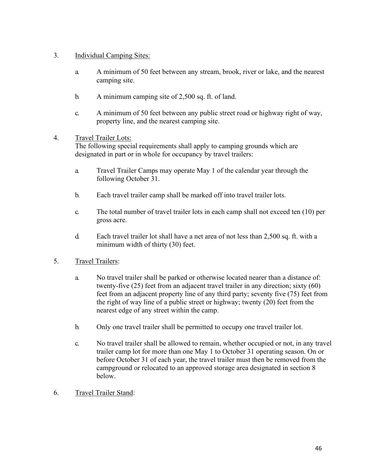### 3. Individual Camping Sites:

- a. A minimum of 50 feet between any stream, brook, river or lake, and the nearest camping site.
- b. A minimum camping site of 2,500 sq. ft. of land.
- c. A minimum of 50 feet between any public street road or highway right of way, property line, and the nearest camping site.

### 4. Travel Trailer Lots:

The following special requirements shall apply to camping grounds which are designated in part or in whole for occupancy by travel trailers:

- a. Travel Trailer Camps may operate May 1 of the calendar year through the following October 31.
- b. Each travel trailer camp shall be marked off into travel trailer lots.
- c. The total number of travel trailer lots in each camp shall not exceed ten (10) per gross acre.
- d. Each travel trailer lot shall have a net area of not less than 2,500 sq. ft. with a minimum width of thirty (30) feet.
- 5. Travel Trailers:
	- a. No travel trailer shall be parked or otherwise located nearer than a distance of: twenty-five (25) feet from an adjacent travel trailer in any direction; sixty (60) feet from an adjacent property line of any third party; seventy five (75) feet from the right of way line of a public street or highway; twenty (20) feet from the nearest edge of any street within the camp.
	- b. Only one travel trailer shall be permitted to occupy one travel trailer lot.
	- c. No travel trailer shall be allowed to remain, whether occupied or not, in any travel trailer camp lot for more than one May 1 to October 31 operating season. On or before October 31 of each year, the travel trailer must then be removed from the campground or relocated to an approved storage area designated in section 8 below.
- 6. Travel Trailer Stand: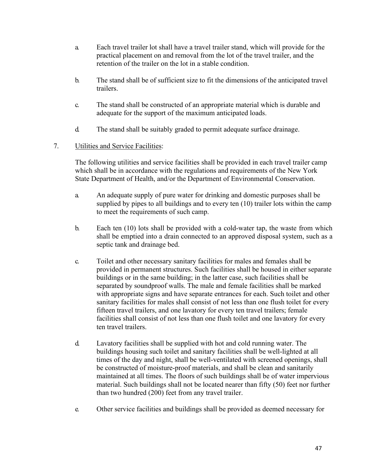- a. Each travel trailer lot shall have a travel trailer stand, which will provide for the practical placement on and removal from the lot of the travel trailer, and the retention of the trailer on the lot in a stable condition.
- b. The stand shall be of sufficient size to fit the dimensions of the anticipated travel trailers.
- c. The stand shall be constructed of an appropriate material which is durable and adequate for the support of the maximum anticipated loads.
- d. The stand shall be suitably graded to permit adequate surface drainage.

### 7. Utilities and Service Facilities:

The following utilities and service facilities shall be provided in each travel trailer camp which shall be in accordance with the regulations and requirements of the New York State Department of Health, and/or the Department of Environmental Conservation.

- a. An adequate supply of pure water for drinking and domestic purposes shall be supplied by pipes to all buildings and to every ten (10) trailer lots within the camp to meet the requirements of such camp.
- b. Each ten (10) lots shall be provided with a cold-water tap, the waste from which shall be emptied into a drain connected to an approved disposal system, such as a septic tank and drainage bed.
- c. Toilet and other necessary sanitary facilities for males and females shall be provided in permanent structures. Such facilities shall be housed in either separate buildings or in the same building; in the latter case, such facilities shall be separated by soundproof walls. The male and female facilities shall be marked with appropriate signs and have separate entrances for each. Such toilet and other sanitary facilities for males shall consist of not less than one flush toilet for every fifteen travel trailers, and one lavatory for every ten travel trailers; female facilities shall consist of not less than one flush toilet and one lavatory for every ten travel trailers.
- d. Lavatory facilities shall be supplied with hot and cold running water. The buildings housing such toilet and sanitary facilities shall be well-lighted at all times of the day and night, shall be well-ventilated with screened openings, shall be constructed of moisture-proof materials, and shall be clean and sanitarily maintained at all times. The floors of such buildings shall be of water impervious material. Such buildings shall not be located nearer than fifty (50) feet nor further than two hundred (200) feet from any travel trailer.
- e. Other service facilities and buildings shall be provided as deemed necessary for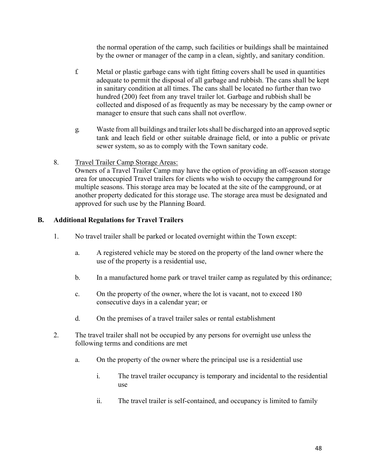the normal operation of the camp, such facilities or buildings shall be maintained by the owner or manager of the camp in a clean, sightly, and sanitary condition.

- f. Metal or plastic garbage cans with tight fitting covers shall be used in quantities adequate to permit the disposal of all garbage and rubbish. The cans shall be kept in sanitary condition at all times. The cans shall be located no further than two hundred (200) feet from any travel trailer lot. Garbage and rubbish shall be collected and disposed of as frequently as may be necessary by the camp owner or manager to ensure that such cans shall not overflow.
- g. Waste from all buildings and trailer lots shall be discharged into an approved septic tank and leach field or other suitable drainage field, or into a public or private sewer system, so as to comply with the Town sanitary code.
- 8. Travel Trailer Camp Storage Areas:

Owners of a Travel Trailer Camp may have the option of providing an off-season storage area for unoccupied Travel trailers for clients who wish to occupy the campground for multiple seasons. This storage area may be located at the site of the campground, or at another property dedicated for this storage use. The storage area must be designated and approved for such use by the Planning Board.

## **B. Additional Regulations for Travel Trailers**

- 1. No travel trailer shall be parked or located overnight within the Town except:
	- a. A registered vehicle may be stored on the property of the land owner where the use of the property is a residential use,
	- b. In a manufactured home park or travel trailer camp as regulated by this ordinance;
	- c. On the property of the owner, where the lot is vacant, not to exceed 180 consecutive days in a calendar year; or
	- d. On the premises of a travel trailer sales or rental establishment
- 2. The travel trailer shall not be occupied by any persons for overnight use unless the following terms and conditions are met
	- a. On the property of the owner where the principal use is a residential use
		- i. The travel trailer occupancy is temporary and incidental to the residential use
		- ii. The travel trailer is self-contained, and occupancy is limited to family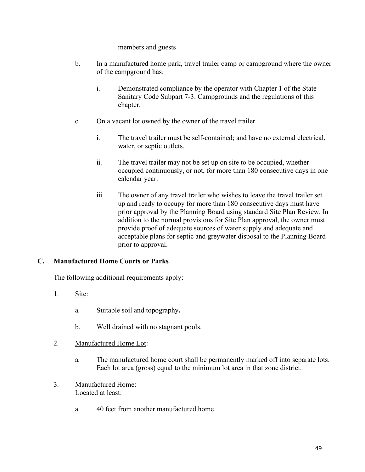members and guests

- b. In a manufactured home park, travel trailer camp or campground where the owner of the campground has:
	- i. Demonstrated compliance by the operator with Chapter 1 of the State Sanitary Code Subpart 7-3. Campgrounds and the regulations of this chapter.
- c. On a vacant lot owned by the owner of the travel trailer.
	- i. The travel trailer must be self-contained; and have no external electrical, water, or septic outlets.
	- ii. The travel trailer may not be set up on site to be occupied, whether occupied continuously, or not, for more than 180 consecutive days in one calendar year.
	- iii. The owner of any travel trailer who wishes to leave the travel trailer set up and ready to occupy for more than 180 consecutive days must have prior approval by the Planning Board using standard Site Plan Review. In addition to the normal provisions for Site Plan approval, the owner must provide proof of adequate sources of water supply and adequate and acceptable plans for septic and greywater disposal to the Planning Board prior to approval.

### **C. Manufactured Home Courts or Parks**

The following additional requirements apply:

- 1. Site:
	- a. Suitable soil and topography**.**
	- b. Well drained with no stagnant pools.
- 2. Manufactured Home Lot:
	- a. The manufactured home court shall be permanently marked off into separate lots. Each lot area (gross) equal to the minimum lot area in that zone district.
- 3. Manufactured Home: Located at least:
	- a. 40 feet from another manufactured home.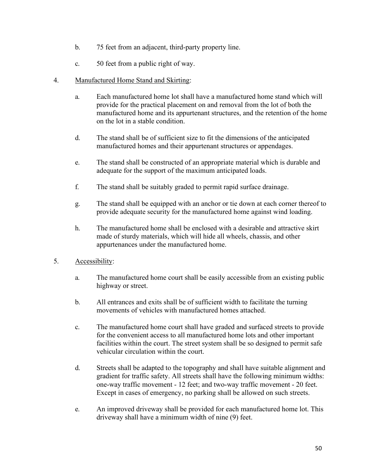- b. 75 feet from an adjacent, third-party property line.
- c. 50 feet from a public right of way.
- 4. Manufactured Home Stand and Skirting:
	- a. Each manufactured home lot shall have a manufactured home stand which will provide for the practical placement on and removal from the lot of both the manufactured home and its appurtenant structures, and the retention of the home on the lot in a stable condition.
	- d. The stand shall be of sufficient size to fit the dimensions of the anticipated manufactured homes and their appurtenant structures or appendages.
	- e. The stand shall be constructed of an appropriate material which is durable and adequate for the support of the maximum anticipated loads.
	- f. The stand shall be suitably graded to permit rapid surface drainage.
	- g. The stand shall be equipped with an anchor or tie down at each corner thereof to provide adequate security for the manufactured home against wind loading.
	- h. The manufactured home shall be enclosed with a desirable and attractive skirt made of sturdy materials, which will hide all wheels, chassis, and other appurtenances under the manufactured home.
- 5. Accessibility:
	- a. The manufactured home court shall be easily accessible from an existing public highway or street.
	- b. All entrances and exits shall be of sufficient width to facilitate the turning movements of vehicles with manufactured homes attached.
	- c. The manufactured home court shall have graded and surfaced streets to provide for the convenient access to all manufactured home lots and other important facilities within the court. The street system shall be so designed to permit safe vehicular circulation within the court.
	- d. Streets shall be adapted to the topography and shall have suitable alignment and gradient for traffic safety. All streets shall have the following minimum widths: one-way traffic movement - 12 feet; and two-way traffic movement - 20 feet. Except in cases of emergency, no parking shall be allowed on such streets.
	- e. An improved driveway shall be provided for each manufactured home lot. This driveway shall have a minimum width of nine (9) feet.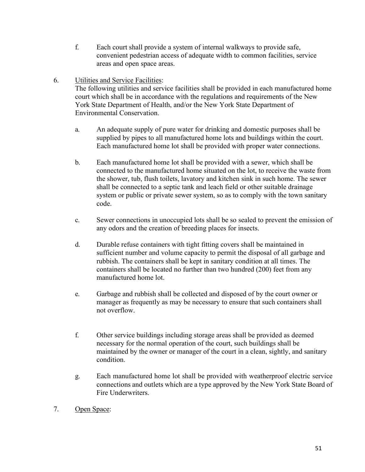- f. Each court shall provide a system of internal walkways to provide safe, convenient pedestrian access of adequate width to common facilities, service areas and open space areas.
- 6. Utilities and Service Facilities:

The following utilities and service facilities shall be provided in each manufactured home court which shall be in accordance with the regulations and requirements of the New York State Department of Health, and/or the New York State Department of Environmental Conservation.

- a. An adequate supply of pure water for drinking and domestic purposes shall be supplied by pipes to all manufactured home lots and buildings within the court. Each manufactured home lot shall be provided with proper water connections.
- b. Each manufactured home lot shall be provided with a sewer, which shall be connected to the manufactured home situated on the lot, to receive the waste from the shower, tub, flush toilets, lavatory and kitchen sink in such home. The sewer shall be connected to a septic tank and leach field or other suitable drainage system or public or private sewer system, so as to comply with the town sanitary code.
- c. Sewer connections in unoccupied lots shall be so sealed to prevent the emission of any odors and the creation of breeding places for insects.
- d. Durable refuse containers with tight fitting covers shall be maintained in sufficient number and volume capacity to permit the disposal of all garbage and rubbish. The containers shall be kept in sanitary condition at all times. The containers shall be located no further than two hundred (200) feet from any manufactured home lot.
- e. Garbage and rubbish shall be collected and disposed of by the court owner or manager as frequently as may be necessary to ensure that such containers shall not overflow.
- f. Other service buildings including storage areas shall be provided as deemed necessary for the normal operation of the court, such buildings shall be maintained by the owner or manager of the court in a clean, sightly, and sanitary condition.
- g. Each manufactured home lot shall be provided with weatherproof electric service connections and outlets which are a type approved by the New York State Board of Fire Underwriters.
- 7. Open Space: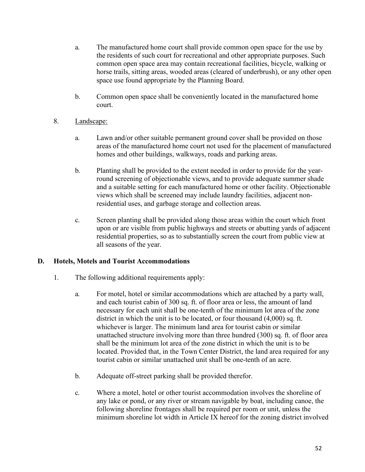- a. The manufactured home court shall provide common open space for the use by the residents of such court for recreational and other appropriate purposes. Such common open space area may contain recreational facilities, bicycle, walking or horse trails, sitting areas, wooded areas (cleared of underbrush), or any other open space use found appropriate by the Planning Board.
- b. Common open space shall be conveniently located in the manufactured home court.
- 8. Landscape:
	- a. Lawn and/or other suitable permanent ground cover shall be provided on those areas of the manufactured home court not used for the placement of manufactured homes and other buildings, walkways, roads and parking areas.
	- b. Planting shall be provided to the extent needed in order to provide for the yearround screening of objectionable views, and to provide adequate summer shade and a suitable setting for each manufactured home or other facility. Objectionable views which shall be screened may include laundry facilities, adjacent nonresidential uses, and garbage storage and collection areas.
	- c. Screen planting shall be provided along those areas within the court which front upon or are visible from public highways and streets or abutting yards of adjacent residential properties, so as to substantially screen the court from public view at all seasons of the year.

### **D. Hotels, Motels and Tourist Accommodations**

- 1. The following additional requirements apply:
	- a. For motel, hotel or similar accommodations which are attached by a party wall, and each tourist cabin of 300 sq. ft. of floor area or less, the amount of land necessary for each unit shall be one-tenth of the minimum lot area of the zone district in which the unit is to be located, or four thousand (4,000) sq. ft. whichever is larger. The minimum land area for tourist cabin or similar unattached structure involving more than three hundred (300) sq. ft. of floor area shall be the minimum lot area of the zone district in which the unit is to be located. Provided that, in the Town Center District, the land area required for any tourist cabin or similar unattached unit shall be one-tenth of an acre.
	- b. Adequate off-street parking shall be provided therefor.
	- c. Where a motel, hotel or other tourist accommodation involves the shoreline of any lake or pond, or any river or stream navigable by boat, including canoe, the following shoreline frontages shall be required per room or unit, unless the minimum shoreline lot width in Article IX hereof for the zoning district involved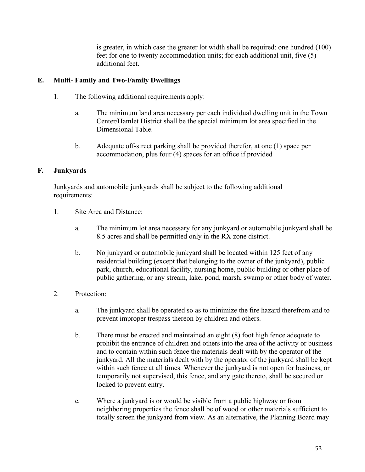is greater, in which case the greater lot width shall be required: one hundred (100) feet for one to twenty accommodation units; for each additional unit, five (5) additional feet.

## **E. Multi- Family and Two-Family Dwellings**

- 1. The following additional requirements apply:
	- a. The minimum land area necessary per each individual dwelling unit in the Town Center/Hamlet District shall be the special minimum lot area specified in the Dimensional Table.
	- b. Adequate off-street parking shall be provided therefor, at one (1) space per accommodation, plus four (4) spaces for an office if provided

## **F. Junkyards**

Junkyards and automobile junkyards shall be subject to the following additional requirements:

- 1. Site Area and Distance:
	- a. The minimum lot area necessary for any junkyard or automobile junkyard shall be 8.5 acres and shall be permitted only in the RX zone district.
	- b. No junkyard or automobile junkyard shall be located within 125 feet of any residential building (except that belonging to the owner of the junkyard), public park, church, educational facility, nursing home, public building or other place of public gathering, or any stream, lake, pond, marsh, swamp or other body of water.
- 2. Protection:
	- a. The junkyard shall be operated so as to minimize the fire hazard therefrom and to prevent improper trespass thereon by children and others.
	- b. There must be erected and maintained an eight (8) foot high fence adequate to prohibit the entrance of children and others into the area of the activity or business and to contain within such fence the materials dealt with by the operator of the junkyard. All the materials dealt with by the operator of the junkyard shall be kept within such fence at all times. Whenever the junkyard is not open for business, or temporarily not supervised, this fence, and any gate thereto, shall be secured or locked to prevent entry.
	- c. Where a junkyard is or would be visible from a public highway or from neighboring properties the fence shall be of wood or other materials sufficient to totally screen the junkyard from view. As an alternative, the Planning Board may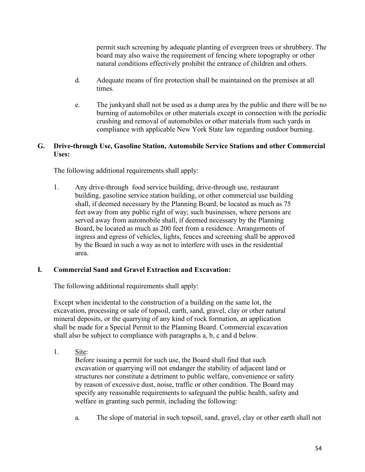permit such screening by adequate planting of evergreen trees or shrubbery. The board may also waive the requirement of fencing where topography or other natural conditions effectively prohibit the entrance of children and others.

- d. Adequate means of fire protection shall be maintained on the premises at all times.
- e. The junkyard shall not be used as a dump area by the public and there will be no burning of automobiles or other materials except in connection with the periodic crushing and removal of automobiles or other materials from such yards in compliance with applicable New York State law regarding outdoor burning.

### **G. Drive-through Use, Gasoline Station, Automobile Service Stations and other Commercial Uses:**

The following additional requirements shall apply:

1. Any drive-through food service building, drive-through use, restaurant building, gasoline service station building, or other commercial use building shall, if deemed necessary by the Planning Board, be located as much as 75 feet away from any public right of way; such businesses, where persons are served away from automobile shall, if deemed necessary by the Planning Board, be located as much as 200 feet from a residence. Arrangements of ingress and egress of vehicles, lights, fences and screening shall be approved by the Board in such a way as not to interfere with uses in the residential area.

### **I. Commercial Sand and Gravel Extraction and Excavation:**

The following additional requirements shall apply:

Except when incidental to the construction of a building on the same lot, the excavation, processing or sale of topsoil, earth, sand, gravel, clay or other natural mineral deposits, or the quarrying of any kind of rock formation, an application shall be made for a Special Permit to the Planning Board. Commercial excavation shall also be subject to compliance with paragraphs a, b, c and d below.

1. Site:

Before issuing a permit for such use, the Board shall find that such excavation or quarrying will not endanger the stability of adjacent land or structures nor constitute a detriment to public welfare, convenience or safety by reason of excessive dust, noise, traffic or other condition. The Board may specify any reasonable requirements to safeguard the public health, safety and welfare in granting such permit, including the following:

a. The slope of material in such topsoil, sand, gravel, clay or other earth shall not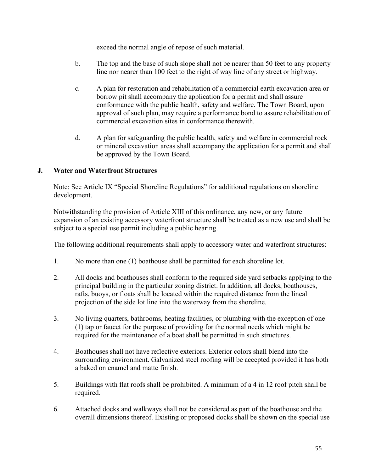exceed the normal angle of repose of such material.

- b. The top and the base of such slope shall not be nearer than 50 feet to any property line nor nearer than 100 feet to the right of way line of any street or highway.
- c. A plan for restoration and rehabilitation of a commercial earth excavation area or borrow pit shall accompany the application for a permit and shall assure conformance with the public health, safety and welfare. The Town Board, upon approval of such plan, may require a performance bond to assure rehabilitation of commercial excavation sites in conformance therewith.
- d. A plan for safeguarding the public health, safety and welfare in commercial rock or mineral excavation areas shall accompany the application for a permit and shall be approved by the Town Board.

### **J. Water and Waterfront Structures**

Note: See Article IX "Special Shoreline Regulations" for additional regulations on shoreline development.

Notwithstanding the provision of Article XIII of this ordinance, any new, or any future expansion of an existing accessory waterfront structure shall be treated as a new use and shall be subject to a special use permit including a public hearing.

The following additional requirements shall apply to accessory water and waterfront structures:

- 1. No more than one (1) boathouse shall be permitted for each shoreline lot.
- 2. All docks and boathouses shall conform to the required side yard setbacks applying to the principal building in the particular zoning district. In addition, all docks, boathouses, rafts, buoys, or floats shall be located within the required distance from the lineal projection of the side lot line into the waterway from the shoreline.
- 3. No living quarters, bathrooms, heating facilities, or plumbing with the exception of one (1) tap or faucet for the purpose of providing for the normal needs which might be required for the maintenance of a boat shall be permitted in such structures.
- 4. Boathouses shall not have reflective exteriors. Exterior colors shall blend into the surrounding environment. Galvanized steel roofing will be accepted provided it has both a baked on enamel and matte finish.
- 5. Buildings with flat roofs shall be prohibited. A minimum of a 4 in 12 roof pitch shall be required.
- 6. Attached docks and walkways shall not be considered as part of the boathouse and the overall dimensions thereof. Existing or proposed docks shall be shown on the special use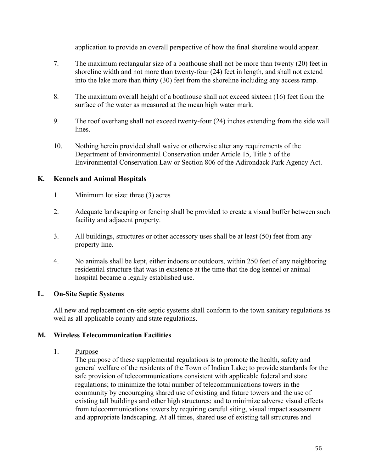application to provide an overall perspective of how the final shoreline would appear.

- 7. The maximum rectangular size of a boathouse shall not be more than twenty (20) feet in shoreline width and not more than twenty-four (24) feet in length, and shall not extend into the lake more than thirty (30) feet from the shoreline including any access ramp.
- 8. The maximum overall height of a boathouse shall not exceed sixteen (16) feet from the surface of the water as measured at the mean high water mark.
- 9. The roof overhang shall not exceed twenty-four (24) inches extending from the side wall lines.
- 10. Nothing herein provided shall waive or otherwise alter any requirements of the Department of Environmental Conservation under Article 15, Title 5 of the Environmental Conservation Law or Section 806 of the Adirondack Park Agency Act.

## **K. Kennels and Animal Hospitals**

- 1. Minimum lot size: three (3) acres
- 2. Adequate landscaping or fencing shall be provided to create a visual buffer between such facility and adjacent property.
- 3. All buildings, structures or other accessory uses shall be at least (50) feet from any property line.
- 4. No animals shall be kept, either indoors or outdoors, within 250 feet of any neighboring residential structure that was in existence at the time that the dog kennel or animal hospital became a legally established use.

## **L. On-Site Septic Systems**

All new and replacement on-site septic systems shall conform to the town sanitary regulations as well as all applicable county and state regulations.

### **M. Wireless Telecommunication Facilities**

### 1. Purpose

The purpose of these supplemental regulations is to promote the health, safety and general welfare of the residents of the Town of Indian Lake; to provide standards for the safe provision of telecommunications consistent with applicable federal and state regulations; to minimize the total number of telecommunications towers in the community by encouraging shared use of existing and future towers and the use of existing tall buildings and other high structures; and to minimize adverse visual effects from telecommunications towers by requiring careful siting, visual impact assessment and appropriate landscaping. At all times, shared use of existing tall structures and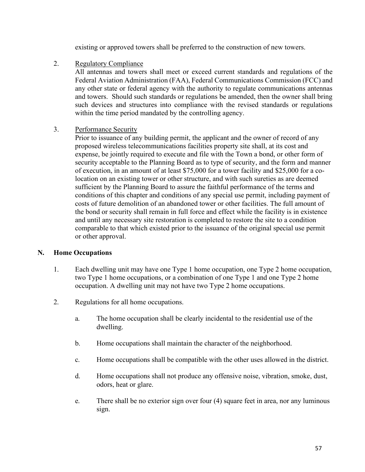existing or approved towers shall be preferred to the construction of new towers.

### 2. Regulatory Compliance

All antennas and towers shall meet or exceed current standards and regulations of the Federal Aviation Administration (FAA), Federal Communications Commission (FCC) and any other state or federal agency with the authority to regulate communications antennas and towers. Should such standards or regulations be amended, then the owner shall bring such devices and structures into compliance with the revised standards or regulations within the time period mandated by the controlling agency.

3. Performance Security

Prior to issuance of any building permit, the applicant and the owner of record of any proposed wireless telecommunications facilities property site shall, at its cost and expense, be jointly required to execute and file with the Town a bond, or other form of security acceptable to the Planning Board as to type of security, and the form and manner of execution, in an amount of at least \$75,000 for a tower facility and \$25,000 for a colocation on an existing tower or other structure, and with such sureties as are deemed sufficient by the Planning Board to assure the faithful performance of the terms and conditions of this chapter and conditions of any special use permit, including payment of costs of future demolition of an abandoned tower or other facilities. The full amount of the bond or security shall remain in full force and effect while the facility is in existence and until any necessary site restoration is completed to restore the site to a condition comparable to that which existed prior to the issuance of the original special use permit or other approval.

### **N. Home Occupations**

- 1. Each dwelling unit may have one Type 1 home occupation, one Type 2 home occupation, two Type 1 home occupations, or a combination of one Type 1 and one Type 2 home occupation. A dwelling unit may not have two Type 2 home occupations.
- 2. Regulations for all home occupations.
	- a. The home occupation shall be clearly incidental to the residential use of the dwelling.
	- b. Home occupations shall maintain the character of the neighborhood.
	- c. Home occupations shall be compatible with the other uses allowed in the district.
	- d. Home occupations shall not produce any offensive noise, vibration, smoke, dust, odors, heat or glare.
	- e. There shall be no exterior sign over four (4) square feet in area, nor any luminous sign.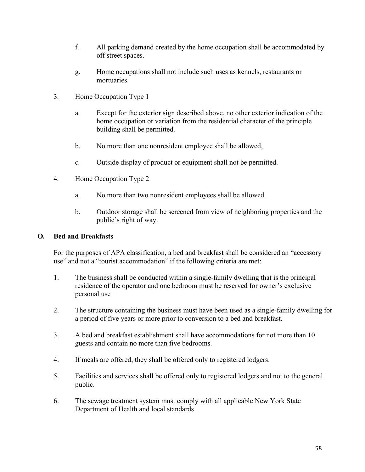- f. All parking demand created by the home occupation shall be accommodated by off street spaces.
- g. Home occupations shall not include such uses as kennels, restaurants or mortuaries.
- 3. Home Occupation Type 1
	- a. Except for the exterior sign described above, no other exterior indication of the home occupation or variation from the residential character of the principle building shall be permitted.
	- b. No more than one nonresident employee shall be allowed,
	- c. Outside display of product or equipment shall not be permitted.
- 4. Home Occupation Type 2
	- a. No more than two nonresident employees shall be allowed.
	- b. Outdoor storage shall be screened from view of neighboring properties and the public's right of way.

#### **O. Bed and Breakfasts**

For the purposes of APA classification, a bed and breakfast shall be considered an "accessory use" and not a "tourist accommodation" if the following criteria are met:

- 1. The business shall be conducted within a single-family dwelling that is the principal residence of the operator and one bedroom must be reserved for owner's exclusive personal use
- 2. The structure containing the business must have been used as a single-family dwelling for a period of five years or more prior to conversion to a bed and breakfast.
- 3. A bed and breakfast establishment shall have accommodations for not more than 10 guests and contain no more than five bedrooms.
- 4. If meals are offered, they shall be offered only to registered lodgers.
- 5. Facilities and services shall be offered only to registered lodgers and not to the general public.
- 6. The sewage treatment system must comply with all applicable New York State Department of Health and local standards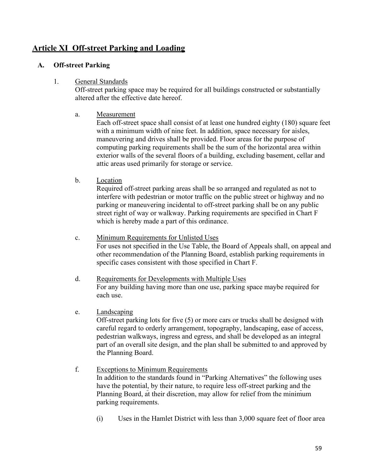# **Article XI Off-street Parking and Loading**

### **A. Off-street Parking**

### 1. General Standards

Off-street parking space may be required for all buildings constructed or substantially altered after the effective date hereof.

### a. Measurement

Each off-street space shall consist of at least one hundred eighty (180) square feet with a minimum width of nine feet. In addition, space necessary for aisles, maneuvering and drives shall be provided. Floor areas for the purpose of computing parking requirements shall be the sum of the horizontal area within exterior walls of the several floors of a building, excluding basement, cellar and attic areas used primarily for storage or service.

### b. Location

Required off-street parking areas shall be so arranged and regulated as not to interfere with pedestrian or motor traffic on the public street or highway and no parking or maneuvering incidental to off-street parking shall be on any public street right of way or walkway. Parking requirements are specified in Chart F which is hereby made a part of this ordinance.

- c. Minimum Requirements for Unlisted Uses For uses not specified in the Use Table, the Board of Appeals shall, on appeal and other recommendation of the Planning Board, establish parking requirements in specific cases consistent with those specified in Chart F.
- d. Requirements for Developments with Multiple Uses For any building having more than one use, parking space maybe required for each use.

### e. Landscaping

Off-street parking lots for five (5) or more cars or trucks shall be designed with careful regard to orderly arrangement, topography, landscaping, ease of access, pedestrian walkways, ingress and egress, and shall be developed as an integral part of an overall site design, and the plan shall be submitted to and approved by the Planning Board.

- f. Exceptions to Minimum Requirements In addition to the standards found in "Parking Alternatives" the following uses have the potential, by their nature, to require less off-street parking and the Planning Board, at their discretion, may allow for relief from the minimum parking requirements.
	- (i) Uses in the Hamlet District with less than 3,000 square feet of floor area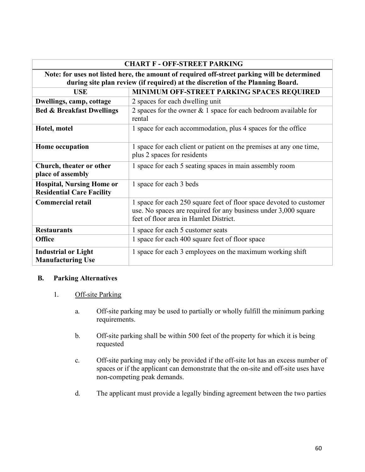| <b>CHART F - OFF-STREET PARKING</b>                                                                                                                                            |                                                                                                                                                                                  |
|--------------------------------------------------------------------------------------------------------------------------------------------------------------------------------|----------------------------------------------------------------------------------------------------------------------------------------------------------------------------------|
| Note: for uses not listed here, the amount of required off-street parking will be determined<br>during site plan review (if required) at the discretion of the Planning Board. |                                                                                                                                                                                  |
| <b>USE</b>                                                                                                                                                                     | MINIMUM OFF-STREET PARKING SPACES REQUIRED                                                                                                                                       |
| Dwellings, camp, cottage                                                                                                                                                       | 2 spaces for each dwelling unit                                                                                                                                                  |
| <b>Bed &amp; Breakfast Dwellings</b>                                                                                                                                           | 2 spaces for the owner $& 1$ space for each bedroom available for<br>rental                                                                                                      |
| Hotel, motel                                                                                                                                                                   | 1 space for each accommodation, plus 4 spaces for the office                                                                                                                     |
| Home occupation                                                                                                                                                                | 1 space for each client or patient on the premises at any one time,<br>plus 2 spaces for residents                                                                               |
| Church, theater or other<br>place of assembly                                                                                                                                  | 1 space for each 5 seating spaces in main assembly room                                                                                                                          |
| <b>Hospital, Nursing Home or</b><br><b>Residential Care Facility</b>                                                                                                           | 1 space for each 3 beds                                                                                                                                                          |
| <b>Commercial retail</b>                                                                                                                                                       | 1 space for each 250 square feet of floor space devoted to customer<br>use. No spaces are required for any business under 3,000 square<br>feet of floor area in Hamlet District. |
| <b>Restaurants</b>                                                                                                                                                             | 1 space for each 5 customer seats                                                                                                                                                |
| <b>Office</b>                                                                                                                                                                  | 1 space for each 400 square feet of floor space                                                                                                                                  |
| <b>Industrial or Light</b><br><b>Manufacturing Use</b>                                                                                                                         | 1 space for each 3 employees on the maximum working shift                                                                                                                        |

#### **B. Parking Alternatives**

### 1. Off-site Parking

- a. Off-site parking may be used to partially or wholly fulfill the minimum parking requirements.
- b. Off-site parking shall be within 500 feet of the property for which it is being requested
- c. Off-site parking may only be provided if the off-site lot has an excess number of spaces or if the applicant can demonstrate that the on-site and off-site uses have non-competing peak demands.
- d. The applicant must provide a legally binding agreement between the two parties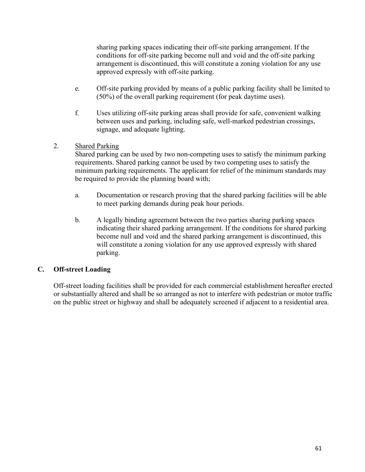sharing parking spaces indicating their off-site parking arrangement. If the conditions for off-site parking become null and void and the off-site parking arrangement is discontinued, this will constitute a zoning violation for any use approved expressly with off-site parking.

- e. Off-site parking provided by means of a public parking facility shall be limited to (50%) of the overall parking requirement (for peak daytime uses).
- f. Uses utilizing off-site parking areas shall provide for safe, convenient walking between uses and parking, including safe, well-marked pedestrian crossings, signage, and adequate lighting.

## 2. Shared Parking

Shared parking can be used by two non-competing uses to satisfy the minimum parking requirements. Shared parking cannot be used by two competing uses to satisfy the minimum parking requirements. The applicant for relief of the minimum standards may be required to provide the planning board with;

- a. Documentation or research proving that the shared parking facilities will be able to meet parking demands during peak hour periods.
- b. A legally binding agreement between the two parties sharing parking spaces indicating their shared parking arrangement. If the conditions for shared parking become null and void and the shared parking arrangement is discontinued, this will constitute a zoning violation for any use approved expressly with shared parking.

## **C. Off-street Loading**

Off-street loading facilities shall be provided for each commercial establishment hereafter erected or substantially altered and shall be so arranged as not to interfere with pedestrian or motor traffic on the public street or highway and shall be adequately screened if adjacent to a residential area.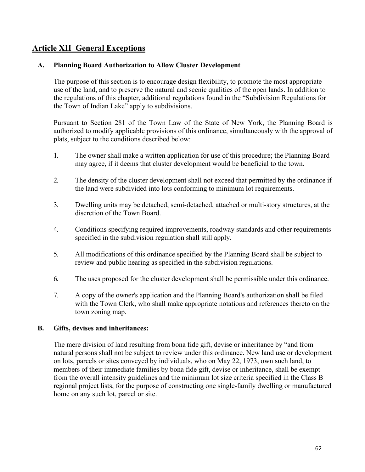# **Article XII General Exceptions**

#### **A. Planning Board Authorization to Allow Cluster Development**

The purpose of this section is to encourage design flexibility, to promote the most appropriate use of the land, and to preserve the natural and scenic qualities of the open lands. In addition to the regulations of this chapter, additional regulations found in the "Subdivision Regulations for the Town of Indian Lake" apply to subdivisions.

Pursuant to Section 281 of the Town Law of the State of New York, the Planning Board is authorized to modify applicable provisions of this ordinance, simultaneously with the approval of plats, subject to the conditions described below:

- 1. The owner shall make a written application for use of this procedure; the Planning Board may agree, if it deems that cluster development would be beneficial to the town.
- 2. The density of the cluster development shall not exceed that permitted by the ordinance if the land were subdivided into lots conforming to minimum lot requirements.
- 3. Dwelling units may be detached, semi-detached, attached or multi-story structures, at the discretion of the Town Board.
- 4. Conditions specifying required improvements, roadway standards and other requirements specified in the subdivision regulation shall still apply.
- 5. All modifications of this ordinance specified by the Planning Board shall be subject to review and public hearing as specified in the subdivision regulations.
- 6. The uses proposed for the cluster development shall be permissible under this ordinance.
- 7. A copy of the owner's application and the Planning Board's authorization shall be filed with the Town Clerk, who shall make appropriate notations and references thereto on the town zoning map.

#### **B. Gifts, devises and inheritances:**

The mere division of land resulting from bona fide gift, devise or inheritance by "and from natural persons shall not be subject to review under this ordinance. New land use or development on lots, parcels or sites conveyed by individuals, who on May 22, 1973, own such land, to members of their immediate families by bona fide gift, devise or inheritance, shall be exempt from the overall intensity guidelines and the minimum lot size criteria specified in the Class B regional project lists, for the purpose of constructing one single-family dwelling or manufactured home on any such lot, parcel or site.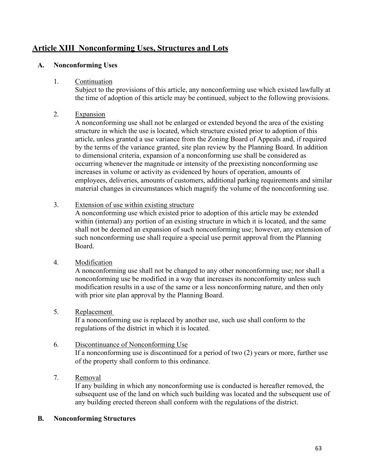# **Article XIII Nonconforming Uses, Structures and Lots**

### **A. Nonconforming Uses**

#### 1. Continuation

Subject to the provisions of this article, any nonconforming use which existed lawfully at the time of adoption of this article may be continued, subject to the following provisions.

### 2. Expansion

A nonconforming use shall not be enlarged or extended beyond the area of the existing structure in which the use is located, which structure existed prior to adoption of this article, unless granted a use variance from the Zoning Board of Appeals and, if required by the terms of the variance granted, site plan review by the Planning Board. In addition to dimensional criteria, expansion of a nonconforming use shall be considered as occurring whenever the magnitude or intensity of the preexisting nonconforming use increases in volume or activity as evidenced by hours of operation, amounts of employees, deliveries, amounts of customers, additional parking requirements and similar material changes in circumstances which magnify the volume of the nonconforming use.

### 3. Extension of use within existing structure

A nonconforming use which existed prior to adoption of this article may be extended within (internal) any portion of an existing structure in which it is located, and the same shall not be deemed an expansion of such nonconforming use; however, any extension of such nonconforming use shall require a special use permit approval from the Planning Board.

### 4. Modification

A nonconforming use shall not be changed to any other nonconforming use; nor shall a nonconforming use be modified in a way that increases its nonconformity unless such modification results in a use of the same or a less nonconforming nature, and then only with prior site plan approval by the Planning Board.

### 5. Replacement

If a nonconforming use is replaced by another use, such use shall conform to the regulations of the district in which it is located.

### 6. Discontinuance of Nonconforming Use

If a nonconforming use is discontinued for a period of two (2) years or more, further use of the property shall conform to this ordinance.

7. Removal

If any building in which any nonconforming use is conducted is hereafter removed, the subsequent use of the land on which such building was located and the subsequent use of any building erected thereon shall conform with the regulations of the district.

### **B. Nonconforming Structures**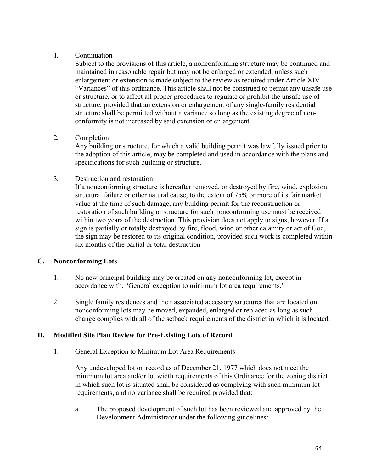### 1. Continuation

Subject to the provisions of this article, a nonconforming structure may be continued and maintained in reasonable repair but may not be enlarged or extended, unless such enlargement or extension is made subject to the review as required under Article XIV "Variances" of this ordinance. This article shall not be construed to permit any unsafe use or structure, or to affect all proper procedures to regulate or prohibit the unsafe use of structure, provided that an extension or enlargement of any single-family residential structure shall be permitted without a variance so long as the existing degree of nonconformity is not increased by said extension or enlargement.

### 2. Completion

Any building or structure, for which a valid building permit was lawfully issued prior to the adoption of this article, may be completed and used in accordance with the plans and specifications for such building or structure.

### 3. Destruction and restoration

If a nonconforming structure is hereafter removed, or destroyed by fire, wind, explosion, structural failure or other natural cause, to the extent of 75% or more of its fair market value at the time of such damage, any building permit for the reconstruction or restoration of such building or structure for such nonconforming use must be received within two years of the destruction. This provision does not apply to signs, however. If a sign is partially or totally destroyed by fire, flood, wind or other calamity or act of God, the sign may be restored to its original condition, provided such work is completed within six months of the partial or total destruction

### **C. Nonconforming Lots**

- 1. No new principal building may be created on any nonconforming lot, except in accordance with, "General exception to minimum lot area requirements."
- 2. Single family residences and their associated accessory structures that are located on nonconforming lots may be moved, expanded, enlarged or replaced as long as such change complies with all of the setback requirements of the district in which it is located.

### **D. Modified Site Plan Review for Pre-Existing Lots of Record**

1. General Exception to Minimum Lot Area Requirements

Any undeveloped lot on record as of December 21, 1977 which does not meet the minimum lot area and/or lot width requirements of this Ordinance for the zoning district in which such lot is situated shall be considered as complying with such minimum lot requirements, and no variance shall be required provided that:

a. The proposed development of such lot has been reviewed and approved by the Development Administrator under the following guidelines: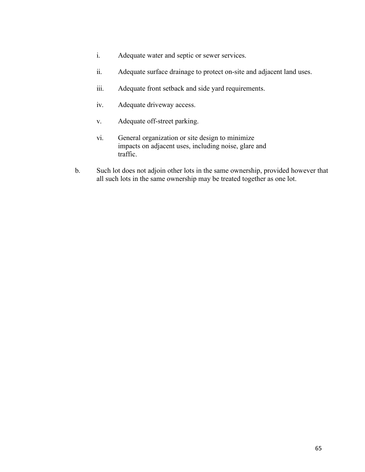- i. Adequate water and septic or sewer services.
- ii. Adequate surface drainage to protect on-site and adjacent land uses.
- iii. Adequate front setback and side yard requirements.
- iv. Adequate driveway access.
- v. Adequate off-street parking.
- vi. General organization or site design to minimize impacts on adjacent uses, including noise, glare and traffic.
- b. Such lot does not adjoin other lots in the same ownership, provided however that all such lots in the same ownership may be treated together as one lot.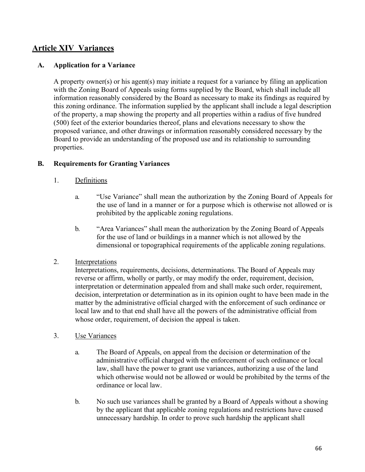# **Article XIV Variances**

### **A. Application for a Variance**

A property owner(s) or his agent(s) may initiate a request for a variance by filing an application with the Zoning Board of Appeals using forms supplied by the Board, which shall include all information reasonably considered by the Board as necessary to make its findings as required by this zoning ordinance. The information supplied by the applicant shall include a legal description of the property, a map showing the property and all properties within a radius of five hundred (500) feet of the exterior boundaries thereof, plans and elevations necessary to show the proposed variance, and other drawings or information reasonably considered necessary by the Board to provide an understanding of the proposed use and its relationship to surrounding properties.

### **B. Requirements for Granting Variances**

- 1. Definitions
	- a. "Use Variance" shall mean the authorization by the Zoning Board of Appeals for the use of land in a manner or for a purpose which is otherwise not allowed or is prohibited by the applicable zoning regulations.
	- b. "Area Variances" shall mean the authorization by the Zoning Board of Appeals for the use of land or buildings in a manner which is not allowed by the dimensional or topographical requirements of the applicable zoning regulations.
- 2. Interpretations

Interpretations, requirements, decisions, determinations. The Board of Appeals may reverse or affirm, wholly or partly, or may modify the order, requirement, decision, interpretation or determination appealed from and shall make such order, requirement, decision, interpretation or determination as in its opinion ought to have been made in the matter by the administrative official charged with the enforcement of such ordinance or local law and to that end shall have all the powers of the administrative official from whose order, requirement, of decision the appeal is taken.

- 3. Use Variances
	- a. The Board of Appeals, on appeal from the decision or determination of the administrative official charged with the enforcement of such ordinance or local law, shall have the power to grant use variances, authorizing a use of the land which otherwise would not be allowed or would be prohibited by the terms of the ordinance or local law.
	- b. No such use variances shall be granted by a Board of Appeals without a showing by the applicant that applicable zoning regulations and restrictions have caused unnecessary hardship. In order to prove such hardship the applicant shall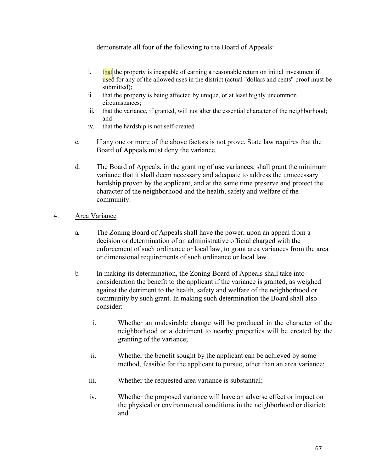demonstrate all four of the following to the Board of Appeals:

- i.  $\frac{d}{dx}$  the property is incapable of earning a reasonable return on initial investment if used for any of the allowed uses in the district (actual "dollars and cents" proof must be submitted);
- ii. that the property is being affected by unique, or at least highly uncommon circumstances;
- iii. that the variance, if granted, will not alter the essential character of the neighborhood; and
- iv. that the hardship is not self-created
- c. If any one or more of the above factors is not prove, State law requires that the Board of Appeals must deny the variance.
- d. The Board of Appeals, in the granting of use variances, shall grant the minimum variance that it shall deem necessary and adequate to address the unnecessary hardship proven by the applicant, and at the same time preserve and protect the character of the neighborhood and the health, safety and welfare of the community.

### 4. Area Variance

- a. The Zoning Board of Appeals shall have the power, upon an appeal from a decision or determination of an administrative official charged with the enforcement of such ordinance or local law, to grant area variances from the area or dimensional requirements of such ordinance or local law.
- b. In making its determination, the Zoning Board of Appeals shall take into consideration the benefit to the applicant if the variance is granted, as weighed against the detriment to the health, safety and welfare of the neighborhood or community by such grant. In making such determination the Board shall also consider:
	- i. Whether an undesirable change will be produced in the character of the neighborhood or a detriment to nearby properties will be created by the granting of the variance;
	- ii. Whether the benefit sought by the applicant can be achieved by some method, feasible for the applicant to pursue, other than an area variance;
	- iii. Whether the requested area variance is substantial;
	- iv. Whether the proposed variance will have an adverse effect or impact on the physical or environmental conditions in the neighborhood or district; and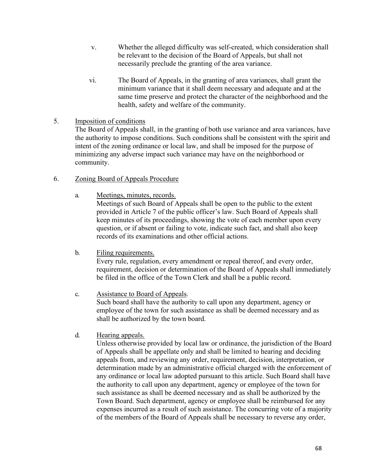- v. Whether the alleged difficulty was self-created, which consideration shall be relevant to the decision of the Board of Appeals, but shall not necessarily preclude the granting of the area variance.
- vi. The Board of Appeals, in the granting of area variances, shall grant the minimum variance that it shall deem necessary and adequate and at the same time preserve and protect the character of the neighborhood and the health, safety and welfare of the community.

### 5. Imposition of conditions

The Board of Appeals shall, in the granting of both use variance and area variances, have the authority to impose conditions. Such conditions shall be consistent with the spirit and intent of the zoning ordinance or local law, and shall be imposed for the purpose of minimizing any adverse impact such variance may have on the neighborhood or community.

### 6. Zoning Board of Appeals Procedure

a. Meetings, minutes, records.

Meetings of such Board of Appeals shall be open to the public to the extent provided in Article 7 of the public officer's law. Such Board of Appeals shall keep minutes of its proceedings, showing the vote of each member upon every question, or if absent or failing to vote, indicate such fact, and shall also keep records of its examinations and other official actions.

- b. Filing requirements. Every rule, regulation, every amendment or repeal thereof, and every order, requirement, decision or determination of the Board of Appeals shall immediately be filed in the office of the Town Clerk and shall be a public record.
- c. Assistance to Board of Appeals. Such board shall have the authority to call upon any department, agency or employee of the town for such assistance as shall be deemed necessary and as shall be authorized by the town board.
- d. Hearing appeals.

Unless otherwise provided by local law or ordinance, the jurisdiction of the Board of Appeals shall be appellate only and shall be limited to hearing and deciding appeals from, and reviewing any order, requirement, decision, interpretation, or determination made by an administrative official charged with the enforcement of any ordinance or local law adopted pursuant to this article. Such Board shall have the authority to call upon any department, agency or employee of the town for such assistance as shall be deemed necessary and as shall be authorized by the Town Board. Such department, agency or employee shall be reimbursed for any expenses incurred as a result of such assistance. The concurring vote of a majority of the members of the Board of Appeals shall be necessary to reverse any order,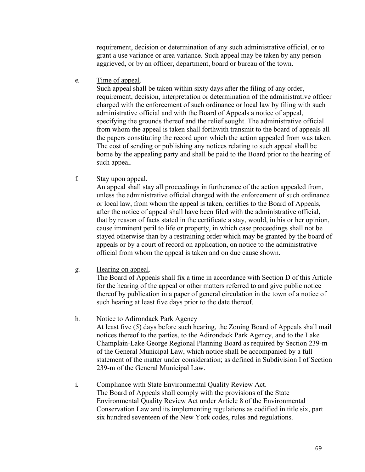requirement, decision or determination of any such administrative official, or to grant a use variance or area variance. Such appeal may be taken by any person aggrieved, or by an officer, department, board or bureau of the town.

e. Time of appeal.

Such appeal shall be taken within sixty days after the filing of any order, requirement, decision, interpretation or determination of the administrative officer charged with the enforcement of such ordinance or local law by filing with such administrative official and with the Board of Appeals a notice of appeal, specifying the grounds thereof and the relief sought. The administrative official from whom the appeal is taken shall forthwith transmit to the board of appeals all the papers constituting the record upon which the action appealed from was taken. The cost of sending or publishing any notices relating to such appeal shall be borne by the appealing party and shall be paid to the Board prior to the hearing of such appeal.

f. Stay upon appeal.

An appeal shall stay all proceedings in furtherance of the action appealed from, unless the administrative official charged with the enforcement of such ordinance or local law, from whom the appeal is taken, certifies to the Board of Appeals, after the notice of appeal shall have been filed with the administrative official, that by reason of facts stated in the certificate a stay, would, in his or her opinion, cause imminent peril to life or property, in which case proceedings shall not be stayed otherwise than by a restraining order which may be granted by the board of appeals or by a court of record on application, on notice to the administrative official from whom the appeal is taken and on due cause shown.

g. Hearing on appeal.

The Board of Appeals shall fix a time in accordance with Section D of this Article for the hearing of the appeal or other matters referred to and give public notice thereof by publication in a paper of general circulation in the town of a notice of such hearing at least five days prior to the date thereof.

- h. Notice to Adirondack Park Agency At least five (5) days before such hearing, the Zoning Board of Appeals shall mail notices thereof to the parties, to the Adirondack Park Agency, and to the Lake Champlain-Lake George Regional Planning Board as required by Section 239-m of the General Municipal Law, which notice shall be accompanied by a full statement of the matter under consideration; as defined in Subdivision I of Section 239-m of the General Municipal Law.
- i. Compliance with State Environmental Quality Review Act. The Board of Appeals shall comply with the provisions of the State Environmental Quality Review Act under Article 8 of the Environmental Conservation Law and its implementing regulations as codified in title six, part six hundred seventeen of the New York codes, rules and regulations.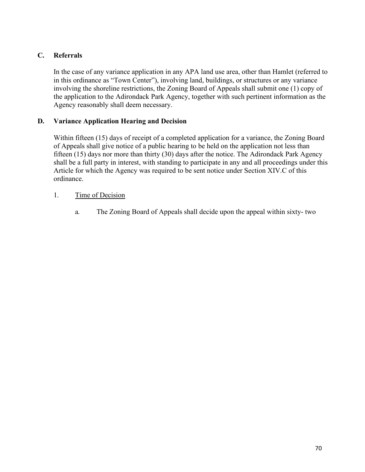# **C. Referrals**

In the case of any variance application in any APA land use area, other than Hamlet (referred to in this ordinance as "Town Center"), involving land, buildings, or structures or any variance involving the shoreline restrictions, the Zoning Board of Appeals shall submit one (1) copy of the application to the Adirondack Park Agency, together with such pertinent information as the Agency reasonably shall deem necessary.

### **D. Variance Application Hearing and Decision**

Within fifteen (15) days of receipt of a completed application for a variance, the Zoning Board of Appeals shall give notice of a public hearing to be held on the application not less than fifteen (15) days nor more than thirty (30) days after the notice. The Adirondack Park Agency shall be a full party in interest, with standing to participate in any and all proceedings under this Article for which the Agency was required to be sent notice under Section XIV.C of this ordinance.

### 1. Time of Decision

a. The Zoning Board of Appeals shall decide upon the appeal within sixty- two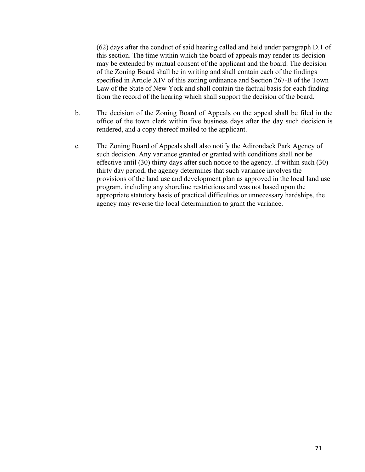(62) days after the conduct of said hearing called and held under paragraph D.1 of this section. The time within which the board of appeals may render its decision may be extended by mutual consent of the applicant and the board. The decision of the Zoning Board shall be in writing and shall contain each of the findings specified in Article XIV of this zoning ordinance and Section 267-B of the Town Law of the State of New York and shall contain the factual basis for each finding from the record of the hearing which shall support the decision of the board.

- b. The decision of the Zoning Board of Appeals on the appeal shall be filed in the office of the town clerk within five business days after the day such decision is rendered, and a copy thereof mailed to the applicant.
- c. The Zoning Board of Appeals shall also notify the Adirondack Park Agency of such decision. Any variance granted or granted with conditions shall not be effective until (30) thirty days after such notice to the agency. If within such (30) thirty day period, the agency determines that such variance involves the provisions of the land use and development plan as approved in the local land use program, including any shoreline restrictions and was not based upon the appropriate statutory basis of practical difficulties or unnecessary hardships, the agency may reverse the local determination to grant the variance.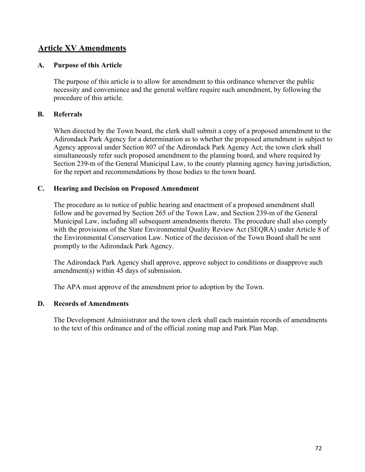# **Article XV Amendments**

### **A. Purpose of this Article**

The purpose of this article is to allow for amendment to this ordinance whenever the public necessity and convenience and the general welfare require such amendment, by following the procedure of this article.

### **B. Referrals**

When directed by the Town board, the clerk shall submit a copy of a proposed amendment to the Adirondack Park Agency for a determination as to whether the proposed amendment is subject to Agency approval under Section 807 of the Adirondack Park Agency Act; the town clerk shall simultaneously refer such proposed amendment to the planning board, and where required by Section 239-m of the General Municipal Law, to the county planning agency having jurisdiction, for the report and recommendations by those bodies to the town board.

### **C. Hearing and Decision on Proposed Amendment**

The procedure as to notice of public hearing and enactment of a proposed amendment shall follow and be governed by Section 265 of the Town Law, and Section 239-m of the General Municipal Law, including all subsequent amendments thereto. The procedure shall also comply with the provisions of the State Environmental Quality Review Act (SEQRA) under Article 8 of the Environmental Conservation Law. Notice of the decision of the Town Board shall be sent promptly to the Adirondack Park Agency.

The Adirondack Park Agency shall approve, approve subject to conditions or disapprove such amendment(s) within 45 days of submission.

The APA must approve of the amendment prior to adoption by the Town.

### **D. Records of Amendments**

The Development Administrator and the town clerk shall each maintain records of amendments to the text of this ordinance and of the official zoning map and Park Plan Map.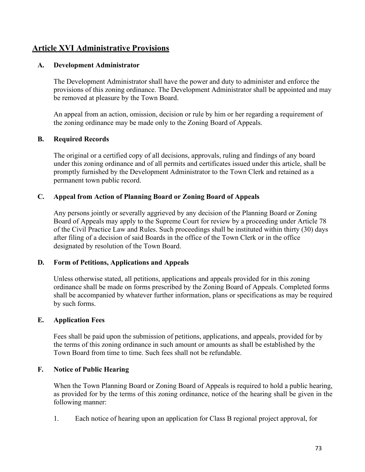# **Article XVI Administrative Provisions**

#### **A. Development Administrator**

The Development Administrator shall have the power and duty to administer and enforce the provisions of this zoning ordinance. The Development Administrator shall be appointed and may be removed at pleasure by the Town Board.

An appeal from an action, omission, decision or rule by him or her regarding a requirement of the zoning ordinance may be made only to the Zoning Board of Appeals.

#### **B. Required Records**

The original or a certified copy of all decisions, approvals, ruling and findings of any board under this zoning ordinance and of all permits and certificates issued under this article, shall be promptly furnished by the Development Administrator to the Town Clerk and retained as a permanent town public record.

#### **C. Appeal from Action of Planning Board or Zoning Board of Appeals**

Any persons jointly or severally aggrieved by any decision of the Planning Board or Zoning Board of Appeals may apply to the Supreme Court for review by a proceeding under Article 78 of the Civil Practice Law and Rules. Such proceedings shall be instituted within thirty (30) days after filing of a decision of said Boards in the office of the Town Clerk or in the office designated by resolution of the Town Board.

#### **D. Form of Petitions, Applications and Appeals**

Unless otherwise stated, all petitions, applications and appeals provided for in this zoning ordinance shall be made on forms prescribed by the Zoning Board of Appeals. Completed forms shall be accompanied by whatever further information, plans or specifications as may be required by such forms.

# **E. Application Fees**

Fees shall be paid upon the submission of petitions, applications, and appeals, provided for by the terms of this zoning ordinance in such amount or amounts as shall be established by the Town Board from time to time. Such fees shall not be refundable.

# **F. Notice of Public Hearing**

When the Town Planning Board or Zoning Board of Appeals is required to hold a public hearing, as provided for by the terms of this zoning ordinance, notice of the hearing shall be given in the following manner:

1. Each notice of hearing upon an application for Class B regional project approval, for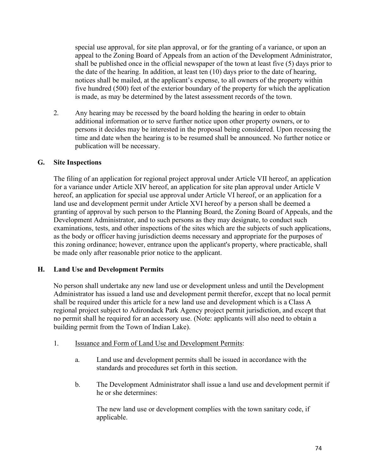special use approval, for site plan approval, or for the granting of a variance, or upon an appeal to the Zoning Board of Appeals from an action of the Development Administrator, shall be published once in the official newspaper of the town at least five (5) days prior to the date of the hearing. In addition, at least ten (10) days prior to the date of hearing, notices shall be mailed, at the applicant's expense, to all owners of the property within five hundred (500) feet of the exterior boundary of the property for which the application is made, as may be determined by the latest assessment records of the town.

2. Any hearing may be recessed by the board holding the hearing in order to obtain additional information or to serve further notice upon other property owners, or to persons it decides may be interested in the proposal being considered. Upon recessing the time and date when the hearing is to be resumed shall be announced. No further notice or publication will be necessary.

#### **G. Site Inspections**

The filing of an application for regional project approval under Article VII hereof, an application for a variance under Article XIV hereof, an application for site plan approval under Article V hereof, an application for special use approval under Article VI hereof, or an application for a land use and development permit under Article XVI hereof by a person shall be deemed a granting of approval by such person to the Planning Board, the Zoning Board of Appeals, and the Development Administrator, and to such persons as they may designate, to conduct such examinations, tests, and other inspections of the sites which are the subjects of such applications, as the body or officer having jurisdiction deems necessary and appropriate for the purposes of this zoning ordinance; however, entrance upon the applicant's property, where practicable, shall be made only after reasonable prior notice to the applicant.

#### **H. Land Use and Development Permits**

No person shall undertake any new land use or development unless and until the Development Administrator has issued a land use and development permit therefor, except that no local permit shall be required under this article for a new land use and development which is a Class A regional project subject to Adirondack Park Agency project permit jurisdiction, and except that no permit shall he required for an accessory use. (Note: applicants will also need to obtain a building permit from the Town of Indian Lake).

- 1. Issuance and Form of Land Use and Development Permits:
	- a. Land use and development permits shall be issued in accordance with the standards and procedures set forth in this section.
	- b. The Development Administrator shall issue a land use and development permit if he or she determines:

The new land use or development complies with the town sanitary code, if applicable.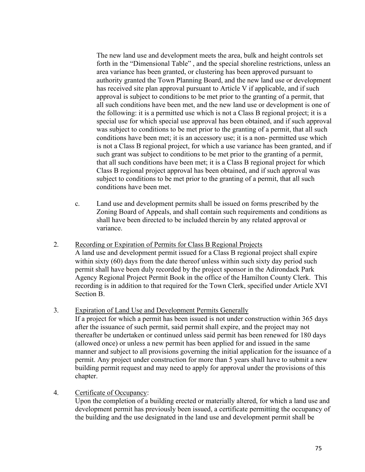The new land use and development meets the area, bulk and height controls set forth in the "Dimensional Table" , and the special shoreline restrictions, unless an area variance has been granted, or clustering has been approved pursuant to authority granted the Town Planning Board, and the new land use or development has received site plan approval pursuant to Article V if applicable, and if such approval is subject to conditions to be met prior to the granting of a permit, that all such conditions have been met, and the new land use or development is one of the following: it is a permitted use which is not a Class B regional project; it is a special use for which special use approval has been obtained, and if such approval was subject to conditions to be met prior to the granting of a permit, that all such conditions have been met; it is an accessory use; it is a non- permitted use which is not a Class B regional project, for which a use variance has been granted, and if such grant was subject to conditions to be met prior to the granting of a permit, that all such conditions have been met; it is a Class B regional project for which Class B regional project approval has been obtained, and if such approval was subject to conditions to be met prior to the granting of a permit, that all such conditions have been met.

- c. Land use and development permits shall be issued on forms prescribed by the Zoning Board of Appeals, and shall contain such requirements and conditions as shall have been directed to be included therein by any related approval or variance.
- 2. Recording or Expiration of Permits for Class B Regional Projects A land use and development permit issued for a Class B regional project shall expire within sixty (60) days from the date thereof unless within such sixty day period such permit shall have been duly recorded by the project sponsor in the Adirondack Park Agency Regional Project Permit Book in the office of the Hamilton County Clerk. This recording is in addition to that required for the Town Clerk, specified under Article XVI Section B.
- 3. Expiration of Land Use and Development Permits Generally

If a project for which a permit has been issued is not under construction within 365 days after the issuance of such permit, said permit shall expire, and the project may not thereafter be undertaken or continued unless said permit has been renewed for 180 days (allowed once) or unless a new permit has been applied for and issued in the same manner and subject to all provisions governing the initial application for the issuance of a permit. Any project under construction for more than 5 years shall have to submit a new building permit request and may need to apply for approval under the provisions of this chapter.

4. Certificate of Occupancy:

Upon the completion of a building erected or materially altered, for which a land use and development permit has previously been issued, a certificate permitting the occupancy of the building and the use designated in the land use and development permit shall be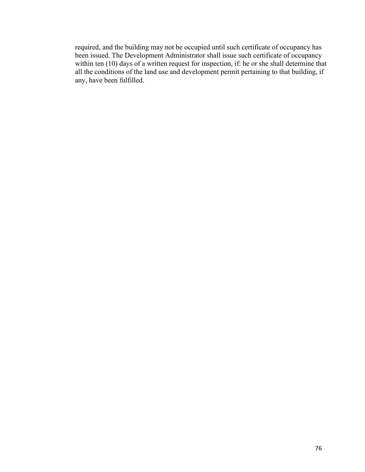required, and the building may not be occupied until such certificate of occupancy has been issued. The Development Administrator shall issue such certificate of occupancy within ten (10) days of a written request for inspection, if: he or she shall determine that all the conditions of the land use and development permit pertaining to that building, if any, have been fulfilled.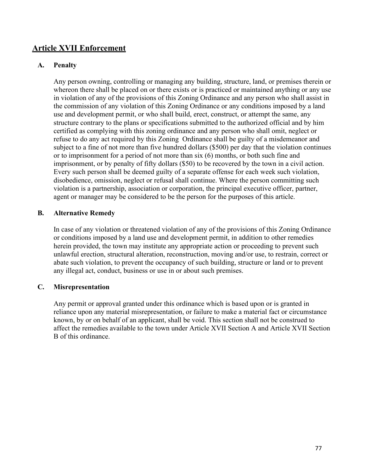# **Article XVII Enforcement**

#### **A. Penalty**

Any person owning, controlling or managing any building, structure, land, or premises therein or whereon there shall be placed on or there exists or is practiced or maintained anything or any use in violation of any of the provisions of this Zoning Ordinance and any person who shall assist in the commission of any violation of this Zoning Ordinance or any conditions imposed by a land use and development permit, or who shall build, erect, construct, or attempt the same, any structure contrary to the plans or specifications submitted to the authorized official and by him certified as complying with this zoning ordinance and any person who shall omit, neglect or refuse to do any act required by this Zoning Ordinance shall be guilty of a misdemeanor and subject to a fine of not more than five hundred dollars (\$500) per day that the violation continues or to imprisonment for a period of not more than six (6) months, or both such fine and imprisonment, or by penalty of fifty dollars (\$50) to be recovered by the town in a civil action. Every such person shall be deemed guilty of a separate offense for each week such violation, disobedience, omission, neglect or refusal shall continue. Where the person committing such violation is a partnership, association or corporation, the principal executive officer, partner, agent or manager may be considered to be the person for the purposes of this article.

#### **B. Alternative Remedy**

In case of any violation or threatened violation of any of the provisions of this Zoning Ordinance or conditions imposed by a land use and development permit, in addition to other remedies herein provided, the town may institute any appropriate action or proceeding to prevent such unlawful erection, structural alteration, reconstruction, moving and/or use, to restrain, correct or abate such violation, to prevent the occupancy of such building, structure or land or to prevent any illegal act, conduct, business or use in or about such premises.

#### **C. Misrepresentation**

Any permit or approval granted under this ordinance which is based upon or is granted in reliance upon any material misrepresentation, or failure to make a material fact or circumstance known, by or on behalf of an applicant, shall be void. This section shall not be construed to affect the remedies available to the town under Article XVII Section A and Article XVII Section B of this ordinance.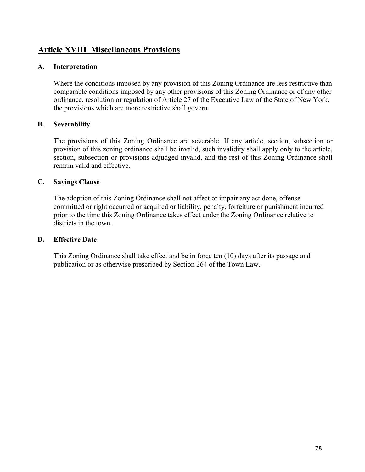# **Article XVIII Miscellaneous Provisions**

#### **A. Interpretation**

Where the conditions imposed by any provision of this Zoning Ordinance are less restrictive than comparable conditions imposed by any other provisions of this Zoning Ordinance or of any other ordinance, resolution or regulation of Article 27 of the Executive Law of the State of New York, the provisions which are more restrictive shall govern.

#### **B. Severability**

The provisions of this Zoning Ordinance are severable. If any article, section, subsection or provision of this zoning ordinance shall be invalid, such invalidity shall apply only to the article, section, subsection or provisions adjudged invalid, and the rest of this Zoning Ordinance shall remain valid and effective.

#### **C. Savings Clause**

The adoption of this Zoning Ordinance shall not affect or impair any act done, offense committed or right occurred or acquired or liability, penalty, forfeiture or punishment incurred prior to the time this Zoning Ordinance takes effect under the Zoning Ordinance relative to districts in the town.

#### **D. Effective Date**

This Zoning Ordinance shall take effect and be in force ten (10) days after its passage and publication or as otherwise prescribed by Section 264 of the Town Law.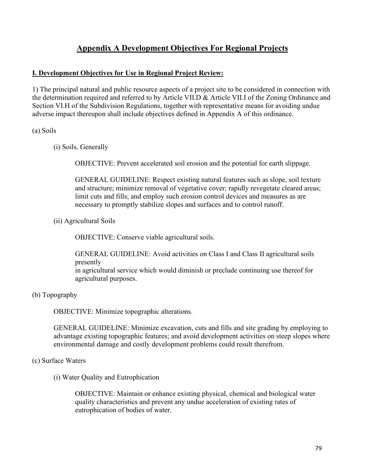# **Appendix A Development Objectives For Regional Projects**

# **I. Development Objectives for Use in Regional Project Review:**

1) The principal natural and public resource aspects of a project site to be considered in connection with the determination required and referred to by Article VII.D & Article VII.I of the Zoning Ordinance and Section VI.H of the Subdivision Regulations, together with representative means for avoiding undue adverse impact thereupon shall include objectives defined in Appendix A of this ordinance.

#### (a) Soils

(i) Soils, Generally

OBJECTIVE: Prevent accelerated soil erosion and the potential for earth slippage.

GENERAL GUIDELINE: Respect existing natural features such as slope, soil texture and structure; minimize removal of vegetative cover; rapidly revegetate cleared areas; limit cuts and fills; and employ such erosion control devices and measures as are necessary to promptly stabilize slopes and surfaces and to control runoff.

(ii) Agricultural Soils

OBJECTIVE: Conserve viable agricultural soils.

GENERAL GUIDELINE: Avoid activities on Class I and Class II agricultural soils presently

in agricultural service which would diminish or preclude continuing use thereof for agricultural purposes.

(b) Topography

OBJECTIVE: Minimize topographic alterations.

GENERAL GUIDELINE: Minimize excavation, cuts and fills and site grading by employing to advantage existing topographic features; and avoid development activities on steep slopes where environmental damage and costly development problems could result therefrom.

# (c) Surface Waters

(i) Water Quality and Eutrophication

OBJECTIVE: Maintain or enhance existing physical, chemical and biological water quality characteristics and prevent any undue acceleration of existing rates of eutrophication of bodies of water.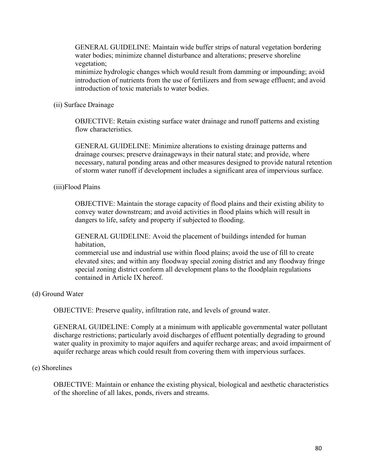GENERAL GUIDELINE: Maintain wide buffer strips of natural vegetation bordering water bodies; minimize channel disturbance and alterations; preserve shoreline vegetation;

minimize hydrologic changes which would result from damming or impounding; avoid introduction of nutrients from the use of fertilizers and from sewage effluent; and avoid introduction of toxic materials to water bodies.

(ii) Surface Drainage

OBJECTIVE: Retain existing surface water drainage and runoff patterns and existing flow characteristics.

GENERAL GUIDELINE: Minimize alterations to existing drainage patterns and drainage courses; preserve drainageways in their natural state; and provide, where necessary, natural ponding areas and other measures designed to provide natural retention of storm water runoff if development includes a significant area of impervious surface.

(iii)Flood Plains

OBJECTIVE: Maintain the storage capacity of flood plains and their existing ability to convey water downstream; and avoid activities in flood plains which will result in dangers to life, safety and property if subjected to flooding.

GENERAL GUIDELINE: Avoid the placement of buildings intended for human habitation,

commercial use and industrial use within flood plains; avoid the use of fill to create elevated sites; and within any floodway special zoning district and any floodway fringe special zoning district conform all development plans to the floodplain regulations contained in Article IX hereof.

(d) Ground Water

OBJECTIVE: Preserve quality, infiltration rate, and levels of ground water.

GENERAL GUIDELINE: Comply at a minimum with applicable governmental water pollutant discharge restrictions; particularly avoid discharges of effluent potentially degrading to ground water quality in proximity to major aquifers and aquifer recharge areas; and avoid impairment of aquifer recharge areas which could result from covering them with impervious surfaces.

#### (e) Shorelines

OBJECTIVE: Maintain or enhance the existing physical, biological and aesthetic characteristics of the shoreline of all lakes, ponds, rivers and streams.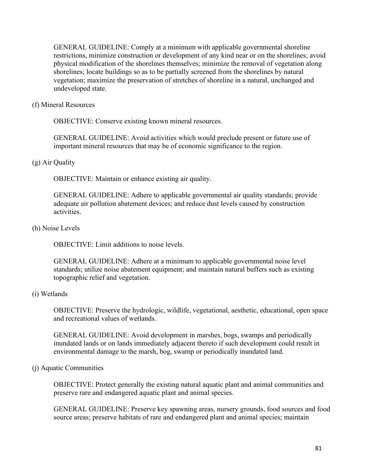GENERAL GUIDELINE: Comply at a minimum with applicable governmental shoreline restrictions, minimize construction or development of any kind near or on the shorelines; avoid physical modification of the shorelines themselves; minimize the removal of vegetation along shorelines; locate buildings so as to be partially screened from the shorelines by natural vegetation; maximize the preservation of stretches of shoreline in a natural, unchanged and undeveloped state.

#### (f) Mineral Resources

OBJECTIVE: Conserve existing known mineral resources.

GENERAL GUIDELINE: Avoid activities which would preclude present or future use of important mineral resources that may be of economic significance to the region.

#### (g) Air Quality

OBJECTIVE: Maintain or enhance existing air quality.

GENERAL GUIDELINE: Adhere to applicable governmental air quality standards; provide adequate air pollution abatement devices; and reduce dust levels caused by construction activities.

#### (h) Noise Levels

OBJECTIVE: Limit additions to noise levels.

GENERAL GUIDELINE: Adhere at a minimum to applicable governmental noise level standards; utilize noise abatement equipment; and maintain natural buffers such as existing topographic relief and vegetation.

#### (i) Wetlands

OBJECTIVE: Preserve the hydrologic, wildlife, vegetational, aesthetic, educational, open space and recreational values of wetlands.

GENERAL GUIDELINE: Avoid development in marshes, bogs, swamps and periodically inundated lands or on lands immediately adjacent thereto if such development could result in environmental damage to the marsh, bog, swamp or periodically inundated land.

#### (j) Aquatic Communities

OBJECTIVE: Protect generally the existing natural aquatic plant and animal communities and preserve rare and endangered aquatic plant and animal species.

GENERAL GUIDELINE: Preserve key spawning areas, nursery grounds, food sources and food source areas; preserve habitats of rare and endangered plant and animal species; maintain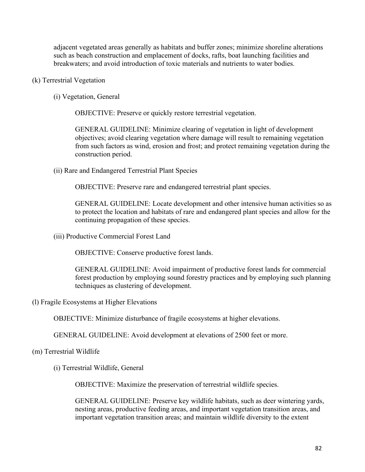adjacent vegetated areas generally as habitats and buffer zones; minimize shoreline alterations such as beach construction and emplacement of docks, rafts, boat launching facilities and breakwaters; and avoid introduction of toxic materials and nutrients to water bodies.

- (k) Terrestrial Vegetation
	- (i) Vegetation, General

OBJECTIVE: Preserve or quickly restore terrestrial vegetation.

GENERAL GUIDELINE: Minimize clearing of vegetation in light of development objectives; avoid clearing vegetation where damage will result to remaining vegetation from such factors as wind, erosion and frost; and protect remaining vegetation during the construction period.

(ii) Rare and Endangered Terrestrial Plant Species

OBJECTIVE: Preserve rare and endangered terrestrial plant species.

GENERAL GUIDELINE: Locate development and other intensive human activities so as to protect the location and habitats of rare and endangered plant species and allow for the continuing propagation of these species.

(iii) Productive Commercial Forest Land

OBJECTIVE: Conserve productive forest lands.

GENERAL GUIDELINE: Avoid impairment of productive forest lands for commercial forest production by employing sound forestry practices and by employing such planning techniques as clustering of development.

(l) Fragile Ecosystems at Higher Elevations

OBJECTIVE: Minimize disturbance of fragile ecosystems at higher elevations.

GENERAL GUIDELINE: Avoid development at elevations of 2500 feet or more.

#### (m) Terrestrial Wildlife

(i) Terrestrial Wildlife, General

OBJECTIVE: Maximize the preservation of terrestrial wildlife species.

GENERAL GUIDELINE: Preserve key wildlife habitats, such as deer wintering yards, nesting areas, productive feeding areas, and important vegetation transition areas, and important vegetation transition areas; and maintain wildlife diversity to the extent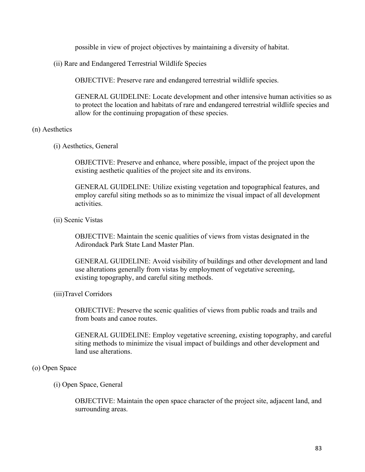possible in view of project objectives by maintaining a diversity of habitat.

(ii) Rare and Endangered Terrestrial Wildlife Species

OBJECTIVE: Preserve rare and endangered terrestrial wildlife species.

GENERAL GUIDELINE: Locate development and other intensive human activities so as to protect the location and habitats of rare and endangered terrestrial wildlife species and allow for the continuing propagation of these species.

#### (n) Aesthetics

(i) Aesthetics, General

OBJECTIVE: Preserve and enhance, where possible, impact of the project upon the existing aesthetic qualities of the project site and its environs.

GENERAL GUIDELINE: Utilize existing vegetation and topographical features, and employ careful siting methods so as to minimize the visual impact of all development activities.

(ii) Scenic Vistas

OBJECTIVE: Maintain the scenic qualities of views from vistas designated in the Adirondack Park State Land Master Plan.

GENERAL GUIDELINE: Avoid visibility of buildings and other development and land use alterations generally from vistas by employment of vegetative screening, existing topography, and careful siting methods.

#### (iii)Travel Corridors

OBJECTIVE: Preserve the scenic qualities of views from public roads and trails and from boats and canoe routes.

GENERAL GUIDELINE: Employ vegetative screening, existing topography, and careful siting methods to minimize the visual impact of buildings and other development and land use alterations.

#### (o) Open Space

#### (i) Open Space, General

OBJECTIVE: Maintain the open space character of the project site, adjacent land, and surrounding areas.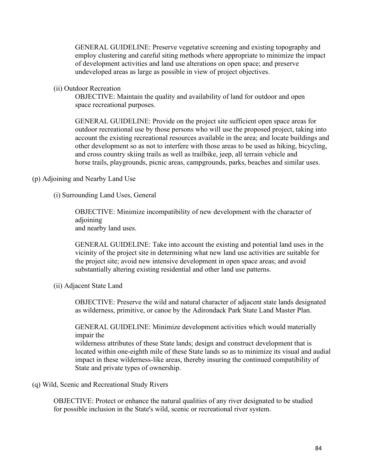GENERAL GUIDELINE: Preserve vegetative screening and existing topography and employ clustering and careful siting methods where appropriate to minimize the impact of development activities and land use alterations on open space; and preserve undeveloped areas as large as possible in view of project objectives.

(ii) Outdoor Recreation

OBJECTIVE: Maintain the quality and availability of land for outdoor and open space recreational purposes.

GENERAL GUIDELINE: Provide on the project site sufficient open space areas for outdoor recreational use by those persons who will use the proposed project, taking into account the existing recreational resources available in the area; and locate buildings and other development so as not to interfere with those areas to be used as hiking, bicycling, and cross country skiing trails as well as trailbike, jeep, all terrain vehicle and horse trails, playgrounds, picnic areas, campgrounds, parks, beaches and similar uses.

#### (p) Adjoining and Nearby Land Use

(i) Surrounding Land Uses, General

OBJECTIVE: Minimize incompatibility of new development with the character of adjoining and nearby land uses.

GENERAL GUIDELINE: Take into account the existing and potential land uses in the vicinity of the project site in determining what new land use activities are suitable for the project site; avoid new intensive development in open space areas; and avoid substantially altering existing residential and other land use patterns.

(ii) Adjacent State Land

OBJECTIVE: Preserve the wild and natural character of adjacent state lands designated as wilderness, primitive, or canoe by the Adirondack Park State Land Master Plan.

GENERAL GUIDELINE: Minimize development activities which would materially impair the

wilderness attributes of these State lands; design and construct development that is located within one-eighth mile of these State lands so as to minimize its visual and audial impact in these wilderness-like areas, thereby insuring the continued compatibility of State and private types of ownership.

#### (q) Wild, Scenic and Recreational Study Rivers

OBJECTIVE: Protect or enhance the natural qualities of any river designated to be studied for possible inclusion in the State's wild, scenic or recreational river system.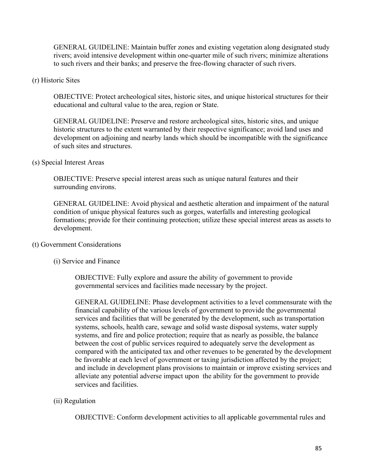GENERAL GUIDELINE: Maintain buffer zones and existing vegetation along designated study rivers; avoid intensive development within one-quarter mile of such rivers; minimize alterations to such rivers and their banks; and preserve the free-flowing character of such rivers.

#### (r) Historic Sites

OBJECTIVE: Protect archeological sites, historic sites, and unique historical structures for their educational and cultural value to the area, region or State.

GENERAL GUIDELINE: Preserve and restore archeological sites, historic sites, and unique historic structures to the extent warranted by their respective significance; avoid land uses and development on adjoining and nearby lands which should be incompatible with the significance of such sites and structures.

#### (s) Special Interest Areas

OBJECTIVE: Preserve special interest areas such as unique natural features and their surrounding environs.

GENERAL GUIDELINE: Avoid physical and aesthetic alteration and impairment of the natural condition of unique physical features such as gorges, waterfalls and interesting geological formations; provide for their continuing protection; utilize these special interest areas as assets to development.

# (t) Government Considerations

(i) Service and Finance

OBJECTIVE: Fully explore and assure the ability of government to provide governmental services and facilities made necessary by the project.

GENERAL GUIDELINE: Phase development activities to a level commensurate with the financial capability of the various levels of government to provide the governmental services and facilities that will be generated by the development, such as transportation systems, schools, health care, sewage and solid waste disposal systems, water supply systems, and fire and police protection; require that as nearly as possible, the balance between the cost of public services required to adequately serve the development as compared with the anticipated tax and other revenues to be generated by the development be favorable at each level of government or taxing jurisdiction affected by the project; and include in development plans provisions to maintain or improve existing services and alleviate any potential adverse impact upon the ability for the government to provide services and facilities.

# (ii) Regulation

OBJECTIVE: Conform development activities to all applicable governmental rules and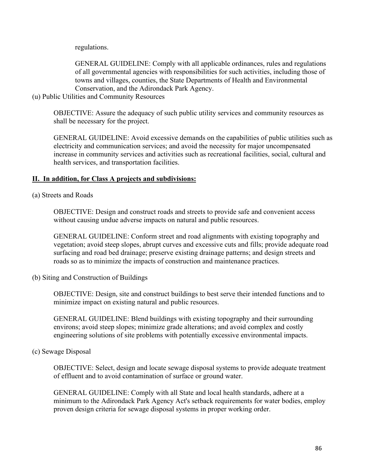regulations.

GENERAL GUIDELINE: Comply with all applicable ordinances, rules and regulations of all governmental agencies with responsibilities for such activities, including those of towns and villages, counties, the State Departments of Health and Environmental Conservation, and the Adirondack Park Agency.

#### (u) Public Utilities and Community Resources

OBJECTIVE: Assure the adequacy of such public utility services and community resources as shall be necessary for the project.

GENERAL GUIDELINE: Avoid excessive demands on the capabilities of public utilities such as electricity and communication services; and avoid the necessity for major uncompensated increase in community services and activities such as recreational facilities, social, cultural and health services, and transportation facilities.

# **II. In addition, for Class A projects and subdivisions:**

(a) Streets and Roads

OBJECTIVE: Design and construct roads and streets to provide safe and convenient access without causing undue adverse impacts on natural and public resources.

GENERAL GUIDELINE: Conform street and road alignments with existing topography and vegetation; avoid steep slopes, abrupt curves and excessive cuts and fills; provide adequate road surfacing and road bed drainage; preserve existing drainage patterns; and design streets and roads so as to minimize the impacts of construction and maintenance practices.

(b) Siting and Construction of Buildings

OBJECTIVE: Design, site and construct buildings to best serve their intended functions and to minimize impact on existing natural and public resources.

GENERAL GUIDELINE: Blend buildings with existing topography and their surrounding environs; avoid steep slopes; minimize grade alterations; and avoid complex and costly engineering solutions of site problems with potentially excessive environmental impacts.

# (c) Sewage Disposal

OBJECTIVE: Select, design and locate sewage disposal systems to provide adequate treatment of effluent and to avoid contamination of surface or ground water.

GENERAL GUIDELINE: Comply with all State and local health standards, adhere at a minimum to the Adirondack Park Agency Act's setback requirements for water bodies, employ proven design criteria for sewage disposal systems in proper working order.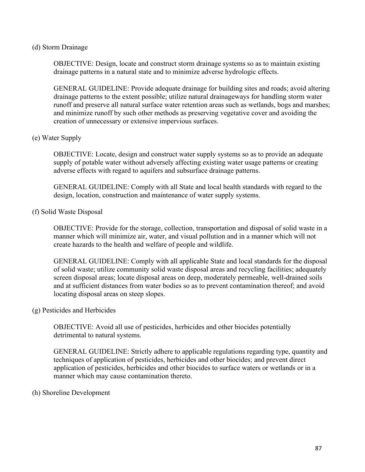#### (d) Storm Drainage

OBJECTIVE: Design, locate and construct storm drainage systems so as to maintain existing drainage patterns in a natural state and to minimize adverse hydrologic effects.

GENERAL GUIDELINE: Provide adequate drainage for building sites and roads; avoid altering drainage patterns to the extent possible; utilize natural drainageways for handling storm water runoff and preserve all natural surface water retention areas such as wetlands, bogs and marshes; and minimize runoff by such other methods as preserving vegetative cover and avoiding the creation of unnecessary or extensive impervious surfaces.

#### (e) Water Supply

OBJECTIVE: Locate, design and construct water supply systems so as to provide an adequate supply of potable water without adversely affecting existing water usage patterns or creating adverse effects with regard to aquifers and subsurface drainage patterns.

GENERAL GUIDELINE: Comply with all State and local health standards with regard to the design, location, construction and maintenance of water supply systems.

#### (f) Solid Waste Disposal

OBJECTIVE: Provide for the storage, collection, transportation and disposal of solid waste in a manner which will minimize air, water, and visual pollution and in a manner which will not create hazards to the health and welfare of people and wildlife.

GENERAL GUIDELINE: Comply with all applicable State and local standards for the disposal of solid waste; utilize community solid waste disposal areas and recycling facilities; adequately screen disposal areas; locate disposal areas on deep, moderately permeable, well-drained soils and at sufficient distances from water bodies so as to prevent contamination thereof; and avoid locating disposal areas on steep slopes.

#### (g) Pesticides and Herbicides

OBJECTIVE: Avoid all use of pesticides, herbicides and other biocides potentially detrimental to natural systems.

GENERAL GUIDELINE: Strictly adhere to applicable regulations regarding type, quantity and techniques of application of pesticides, herbicides and other biocides; and prevent direct application of pesticides, herbicides and other biocides to surface waters or wetlands or in a manner which may cause contamination thereto.

#### (h) Shoreline Development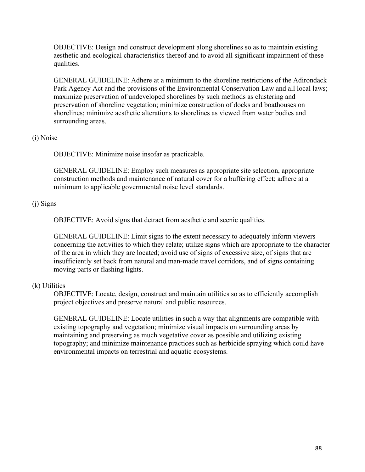OBJECTIVE: Design and construct development along shorelines so as to maintain existing aesthetic and ecological characteristics thereof and to avoid all significant impairment of these qualities.

GENERAL GUIDELINE: Adhere at a minimum to the shoreline restrictions of the Adirondack Park Agency Act and the provisions of the Environmental Conservation Law and all local laws; maximize preservation of undeveloped shorelines by such methods as clustering and preservation of shoreline vegetation; minimize construction of docks and boathouses on shorelines; minimize aesthetic alterations to shorelines as viewed from water bodies and surrounding areas.

# (i) Noise

OBJECTIVE: Minimize noise insofar as practicable.

GENERAL GUIDELINE: Employ such measures as appropriate site selection, appropriate construction methods and maintenance of natural cover for a buffering effect; adhere at a minimum to applicable governmental noise level standards.

# (j) Signs

OBJECTIVE: Avoid signs that detract from aesthetic and scenic qualities.

GENERAL GUIDELINE: Limit signs to the extent necessary to adequately inform viewers concerning the activities to which they relate; utilize signs which are appropriate to the character of the area in which they are located; avoid use of signs of excessive size, of signs that are insufficiently set back from natural and man-made travel corridors, and of signs containing moving parts or flashing lights.

# (k) Utilities

OBJECTIVE: Locate, design, construct and maintain utilities so as to efficiently accomplish project objectives and preserve natural and public resources.

GENERAL GUIDELINE: Locate utilities in such a way that alignments are compatible with existing topography and vegetation; minimize visual impacts on surrounding areas by maintaining and preserving as much vegetative cover as possible and utilizing existing topography; and minimize maintenance practices such as herbicide spraying which could have environmental impacts on terrestrial and aquatic ecosystems.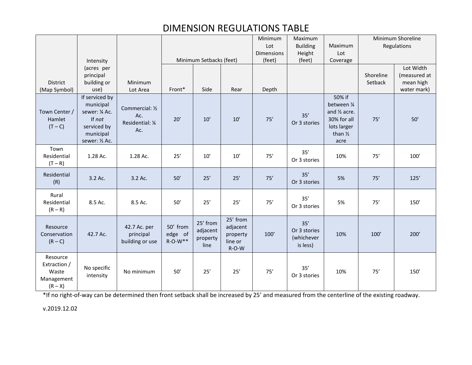# DIMENSION REGULATIONS TABLE

|                                                              |                                                                                                       |                                                   |                                  |                                          |                                                      | Minimum           | Maximum                                       |                                                                                                    | Minimum Shoreline |                           |
|--------------------------------------------------------------|-------------------------------------------------------------------------------------------------------|---------------------------------------------------|----------------------------------|------------------------------------------|------------------------------------------------------|-------------------|-----------------------------------------------|----------------------------------------------------------------------------------------------------|-------------------|---------------------------|
|                                                              |                                                                                                       |                                                   |                                  |                                          |                                                      | Lot               | <b>Building</b>                               | Maximum                                                                                            | Regulations       |                           |
|                                                              |                                                                                                       |                                                   |                                  |                                          |                                                      | <b>Dimensions</b> | Height                                        | Lot                                                                                                |                   |                           |
|                                                              | Intensity                                                                                             |                                                   | Minimum Setbacks (feet)          |                                          |                                                      | (feet)            | (feet)                                        | Coverage                                                                                           |                   |                           |
|                                                              | (acres per                                                                                            |                                                   |                                  |                                          |                                                      |                   |                                               |                                                                                                    | Shoreline         | Lot Width                 |
| District                                                     | principal<br>building or                                                                              | Minimum                                           |                                  |                                          |                                                      |                   |                                               |                                                                                                    | Setback           | (measured at<br>mean high |
| (Map Symbol)                                                 | use)                                                                                                  | Lot Area                                          | Front*                           | Side                                     | Rear                                                 | Depth             |                                               |                                                                                                    |                   | water mark)               |
| Town Center /<br>Hamlet<br>$(T - C)$                         | If serviced by<br>municipal<br>sewer: 1/4 Ac.<br>If not<br>serviced by<br>municipal<br>sewer: 1/2 Ac. | Commercial: 1/2<br>Ac.<br>Residential: 1/4<br>Ac. | 20'                              | 10'                                      | 10'                                                  | 75'               | 35'<br>Or 3 stories                           | 50% if<br>between 1/4<br>and 1/2 acre.<br>30% for all<br>lots larger<br>than $\frac{1}{2}$<br>acre | 75'               | 50'                       |
| Town<br>Residential<br>$(T - R)$                             | 1.28 Ac.                                                                                              | 1.28 Ac.                                          | 25'                              | 10'                                      | 10'                                                  | 75'               | 35'<br>Or 3 stories                           | 10%                                                                                                | 75'               | 100'                      |
| Residential<br>(R)                                           | 3.2 Ac.                                                                                               | 3.2 Ac.                                           | 50'                              | 25'                                      | 25'                                                  | 75'               | 35'<br>Or 3 stories                           | 5%                                                                                                 | 75'               | 125'                      |
| Rural<br>Residential<br>$(R - R)$                            | 8.5 Ac.                                                                                               | 8.5 Ac.                                           | 50'                              | 25'                                      | 25'                                                  | 75'               | 35'<br>Or 3 stories                           | 5%                                                                                                 | 75'               | 150'                      |
| Resource<br>Conservation<br>$(R - C)$                        | 42.7 Ac.                                                                                              | 42.7 Ac. per<br>principal<br>building or use      | 50' from<br>edge of<br>$R-O-W**$ | 25' from<br>adjacent<br>property<br>line | 25' from<br>adjacent<br>property<br>line or<br>R-O-W | 100'              | 35'<br>Or 3 stories<br>(whichever<br>is less) | 10%                                                                                                | 100'              | 200'                      |
| Resource<br>Extraction /<br>Waste<br>Management<br>$(R - X)$ | No specific<br>intensity                                                                              | No minimum                                        | 50'                              | 25'                                      | 25'                                                  | 75'               | 35'<br>Or 3 stories                           | 10%                                                                                                | 75'               | 150'                      |

\*If no right‐of‐way can be determined then front setback shall be increased by 25' and measured from the centerline of the existing roadway.

v.2019.12.02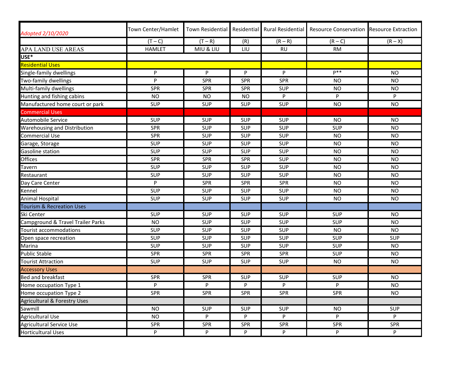| Adopted 2/10/2020                       | Town Center/Hamlet |            |            |            | Town Residential   Residential   Rural Residential   Resource Conservation   Resource Extraction |            |
|-----------------------------------------|--------------------|------------|------------|------------|--------------------------------------------------------------------------------------------------|------------|
|                                         | $(T - C)$          | $(T - R)$  | (R)        | $(R - R)$  | $(R - C)$                                                                                        | $(R - X)$  |
| <b>APA LAND USE AREAS</b>               | <b>HAMLET</b>      | MIU & LIU  | LIU        | <b>RU</b>  | <b>RM</b>                                                                                        |            |
| USE*                                    |                    |            |            |            |                                                                                                  |            |
| <b>Residential Uses</b>                 |                    |            |            |            |                                                                                                  |            |
| Single-family dwellings                 | P                  | P          | P          | P          | $P***$                                                                                           | NO.        |
| Two-family dwellings                    | P                  | SPR        | SPR        | <b>SPR</b> | <b>NO</b>                                                                                        | <b>NO</b>  |
| Multi-family dwellings                  | <b>SPR</b>         | SPR        | SPR        | <b>SUP</b> | <b>NO</b>                                                                                        | <b>NO</b>  |
| Hunting and fishing cabins              | <b>NO</b>          | <b>NO</b>  | <b>NO</b>  | P          | P                                                                                                | P          |
| Manufactured home court or park         | <b>SUP</b>         | <b>SUP</b> | <b>SUP</b> | <b>SUP</b> | <b>NO</b>                                                                                        | <b>NO</b>  |
| <b>Commercial Uses</b>                  |                    |            |            |            |                                                                                                  |            |
| <b>Automobile Service</b>               | <b>SUP</b>         | <b>SUP</b> | <b>SUP</b> | <b>SUP</b> | <b>NO</b>                                                                                        | <b>NO</b>  |
| <b>Warehousing and Distribution</b>     | <b>SPR</b>         | SUP        | <b>SUP</b> | <b>SUP</b> | <b>SUP</b>                                                                                       | <b>NO</b>  |
| <b>Commercial Use</b>                   | SPR                | SUP        | <b>SUP</b> | <b>SUP</b> | <b>NO</b>                                                                                        | <b>NO</b>  |
| Garage, Storage                         | <b>SUP</b>         | SUP        | <b>SUP</b> | <b>SUP</b> | <b>NO</b>                                                                                        | <b>NO</b>  |
| <b>Gasoline station</b>                 | <b>SUP</b>         | SUP        | <b>SUP</b> | <b>SUP</b> | <b>NO</b>                                                                                        | <b>NO</b>  |
| Offices                                 | SPR                | SPR        | SPR        | <b>SUP</b> | <b>NO</b>                                                                                        | <b>NO</b>  |
| Tavern                                  | <b>SUP</b>         | SUP        | <b>SUP</b> | <b>SUP</b> | <b>NO</b>                                                                                        | <b>NO</b>  |
| Restaurant                              | <b>SUP</b>         | SUP        | <b>SUP</b> | <b>SUP</b> | <b>NO</b>                                                                                        | <b>NO</b>  |
| Day Care Center                         | P                  | <b>SPR</b> | <b>SPR</b> | <b>SPR</b> | <b>NO</b>                                                                                        | <b>NO</b>  |
| Kennel                                  | <b>SUP</b>         | <b>SUP</b> | <b>SUP</b> | <b>SUP</b> | <b>NO</b>                                                                                        | <b>NO</b>  |
| Animal Hospital                         | <b>SUP</b>         | <b>SUP</b> | <b>SUP</b> | <b>SUP</b> | <b>NO</b>                                                                                        | <b>NO</b>  |
| <b>Tourism &amp; Recreation Uses</b>    |                    |            |            |            |                                                                                                  |            |
| Ski Center                              | <b>SUP</b>         | <b>SUP</b> | <b>SUP</b> | <b>SUP</b> | SUP                                                                                              | <b>NO</b>  |
| Campground & Travel Trailer Parks       | <b>NO</b>          | <b>SUP</b> | <b>SUP</b> | <b>SUP</b> | SUP                                                                                              | <b>NO</b>  |
| Tourist accommodations                  | <b>SUP</b>         | SUP        | <b>SUP</b> | <b>SUP</b> | <b>NO</b>                                                                                        | <b>NO</b>  |
| Open space recreation                   | <b>SUP</b>         | SUP        | SUP        | <b>SUP</b> | <b>SUP</b>                                                                                       | <b>SUP</b> |
| Marina                                  | <b>SUP</b>         | SUP        | <b>SUP</b> | <b>SUP</b> | <b>SUP</b>                                                                                       | <b>NO</b>  |
| Public Stable                           | SPR                | SPR        | <b>SPR</b> | <b>SPR</b> | <b>SUP</b>                                                                                       | <b>NO</b>  |
| <b>Tourist Attraction</b>               | <b>SUP</b>         | <b>SUP</b> | <b>SUP</b> | <b>SUP</b> | <b>NO</b>                                                                                        | <b>NO</b>  |
| <b>Accessory Uses</b>                   |                    |            |            |            |                                                                                                  |            |
| <b>Bed and breakfast</b>                | SPR                | SPR        | <b>SUP</b> | <b>SUP</b> | <b>SUP</b>                                                                                       | <b>NO</b>  |
| Home occupation Type 1                  | P                  | P          | P          | P          | P                                                                                                | <b>NO</b>  |
| Home occupation Type 2                  | SPR                | <b>SPR</b> | SPR        | <b>SPR</b> | SPR                                                                                              | <b>NO</b>  |
| <b>Agricultural &amp; Forestry Uses</b> |                    |            |            |            |                                                                                                  |            |
| Sawmill                                 | <b>NO</b>          | SUP        | <b>SUP</b> | <b>SUP</b> | <b>NO</b>                                                                                        | <b>SUP</b> |
| <b>Agricultural Use</b>                 | <b>NO</b>          | P          | P          | P          | P                                                                                                | P          |
| Agricultural Service Use                | SPR                | <b>SPR</b> | SPR        | <b>SPR</b> | <b>SPR</b>                                                                                       | SPR        |
| Horticultural Uses                      | P                  | P          | P          | P          | P                                                                                                | P          |